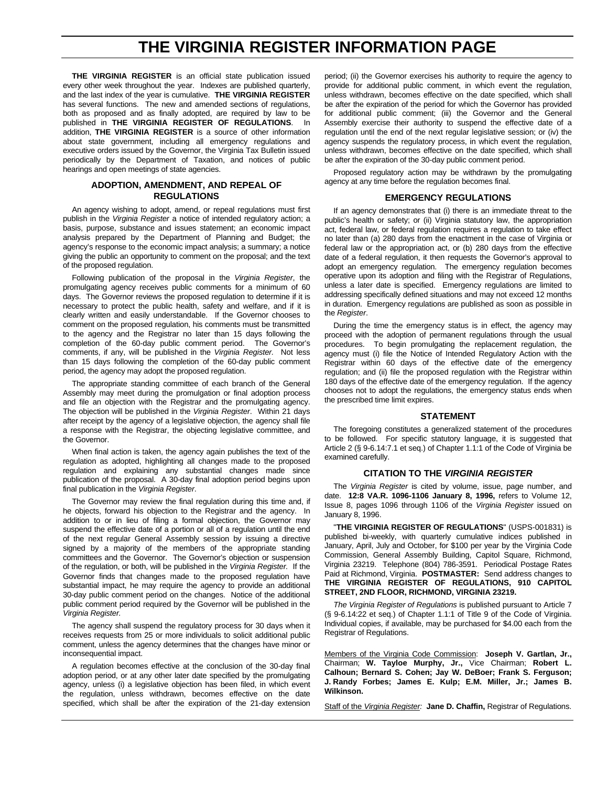## **THE VIRGINIA REGISTER INFORMATION PAGE**

**THE VIRGINIA REGISTER** is an official state publication issued every other week throughout the year. Indexes are published quarterly, and the last index of the year is cumulative. **THE VIRGINIA REGISTER** has several functions. The new and amended sections of regulations, both as proposed and as finally adopted, are required by law to be published in **THE VIRGINIA REGISTER OF REGULATIONS**. In addition, **THE VIRGINIA REGISTER** is a source of other information about state government, including all emergency regulations and executive orders issued by the Governor, the Virginia Tax Bulletin issued periodically by the Department of Taxation, and notices of public hearings and open meetings of state agencies.

#### **ADOPTION, AMENDMENT, AND REPEAL OF REGULATIONS**

An agency wishing to adopt, amend, or repeal regulations must first publish in the *Virginia Register* a notice of intended regulatory action; a basis, purpose, substance and issues statement; an economic impact analysis prepared by the Department of Planning and Budget; the agency's response to the economic impact analysis; a summary; a notice giving the public an opportunity to comment on the proposal; and the text of the proposed regulation.

Following publication of the proposal in the *Virginia Register*, the promulgating agency receives public comments for a minimum of 60 days. The Governor reviews the proposed regulation to determine if it is necessary to protect the public health, safety and welfare, and if it is clearly written and easily understandable. If the Governor chooses to comment on the proposed regulation, his comments must be transmitted to the agency and the Registrar no later than 15 days following the completion of the 60-day public comment period. The Governor's comments, if any, will be published in the *Virginia Register.* Not less than 15 days following the completion of the 60-day public comment period, the agency may adopt the proposed regulation.

The appropriate standing committee of each branch of the General Assembly may meet during the promulgation or final adoption process and file an objection with the Registrar and the promulgating agency. The objection will be published in the *Virginia Register*. Within 21 days after receipt by the agency of a legislative objection, the agency shall file a response with the Registrar, the objecting legislative committee, and the Governor.

When final action is taken, the agency again publishes the text of the regulation as adopted, highlighting all changes made to the proposed regulation and explaining any substantial changes made since publication of the proposal. A 30-day final adoption period begins upon final publication in the *Virginia Register*.

The Governor may review the final regulation during this time and, if he objects, forward his objection to the Registrar and the agency. In addition to or in lieu of filing a formal objection, the Governor may suspend the effective date of a portion or all of a regulation until the end of the next regular General Assembly session by issuing a directive signed by a majority of the members of the appropriate standing committees and the Governor. The Governor's objection or suspension of the regulation, or both, will be published in the *Virginia Register.* If the Governor finds that changes made to the proposed regulation have substantial impact, he may require the agency to provide an additional 30-day public comment period on the changes. Notice of the additional public comment period required by the Governor will be published in the *Virginia Register.*

The agency shall suspend the regulatory process for 30 days when it receives requests from 25 or more individuals to solicit additional public comment, unless the agency determines that the changes have minor or inconsequential impact.

A regulation becomes effective at the conclusion of the 30-day final adoption period, or at any other later date specified by the promulgating agency, unless (i) a legislative objection has been filed, in which event the regulation, unless withdrawn, becomes effective on the date specified, which shall be after the expiration of the 21-day extension

period; (ii) the Governor exercises his authority to require the agency to provide for additional public comment, in which event the regulation, unless withdrawn, becomes effective on the date specified, which shall be after the expiration of the period for which the Governor has provided for additional public comment; (iii) the Governor and the General Assembly exercise their authority to suspend the effective date of a regulation until the end of the next regular legislative session; or (iv) the agency suspends the regulatory process, in which event the regulation, unless withdrawn, becomes effective on the date specified, which shall be after the expiration of the 30-day public comment period.

Proposed regulatory action may be withdrawn by the promulgating agency at any time before the regulation becomes final.

#### **EMERGENCY REGULATIONS**

If an agency demonstrates that (i) there is an immediate threat to the public's health or safety; or (ii) Virginia statutory law, the appropriation act, federal law, or federal regulation requires a regulation to take effect no later than (a) 280 days from the enactment in the case of Virginia or federal law or the appropriation act, or (b) 280 days from the effective date of a federal regulation, it then requests the Governor's approval to adopt an emergency regulation. The emergency regulation becomes operative upon its adoption and filing with the Registrar of Regulations, unless a later date is specified. Emergency regulations are limited to addressing specifically defined situations and may not exceed 12 months in duration. Emergency regulations are published as soon as possible in the *Register*.

During the time the emergency status is in effect, the agency may proceed with the adoption of permanent regulations through the usual procedures. To begin promulgating the replacement regulation, the agency must (i) file the Notice of Intended Regulatory Action with the Registrar within 60 days of the effective date of the emergency regulation; and (ii) file the proposed regulation with the Registrar within 180 days of the effective date of the emergency regulation. If the agency chooses not to adopt the regulations, the emergency status ends when the prescribed time limit expires.

#### **STATEMENT**

The foregoing constitutes a generalized statement of the procedures to be followed. For specific statutory language, it is suggested that Article 2 (§ 9-6.14:7.1 et seq.) of Chapter 1.1:1 of the Code of Virginia be examined carefully.

#### **CITATION TO THE** *VIRGINIA REGISTER*

The *Virginia Register* is cited by volume, issue, page number, and date. **12:8 VA.R. 1096-1106 January 8, 1996,** refers to Volume 12, Issue 8, pages 1096 through 1106 of the *Virginia Register* issued on January 8, 1996.

"**THE VIRGINIA REGISTER OF REGULATIONS**" (USPS-001831) is published bi-weekly, with quarterly cumulative indices published in January, April, July and October, for \$100 per year by the Virginia Code Commission, General Assembly Building, Capitol Square, Richmond, Virginia 23219. Telephone (804) 786-3591. Periodical Postage Rates Paid at Richmond, Virginia. **POSTMASTER:** Send address changes to **THE VIRGINIA REGISTER OF REGULATIONS, 910 CAPITOL STREET, 2ND FLOOR, RICHMOND, VIRGINIA 23219.**

*The Virginia Register of Regulations* is published pursuant to Article 7 (§ 9-6.14:22 et seq.) of Chapter 1.1:1 of Title 9 of the Code of Virginia. Individual copies, if available, may be purchased for \$4.00 each from the Registrar of Regulations.

Members of the Virginia Code Commission: **Joseph V. Gartlan, Jr.,** Chairman; **W. Tayloe Murphy, Jr.,** Vice Chairman; **Robert L. Calhoun; Bernard S. Cohen; Jay W. DeBoer; Frank S. Ferguson; J. Randy Forbes; James E. Kulp; E.M. Miller, Jr.; James B. Wilkinson.**

Staff of the *Virginia Register:* **Jane D. Chaffin,** Registrar of Regulations.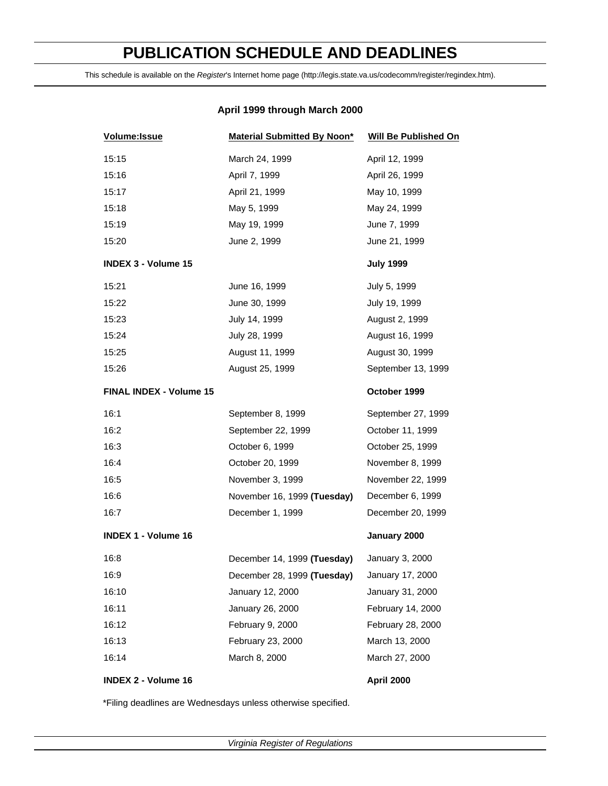# **PUBLICATION SCHEDULE AND DEADLINES**

This schedule is available on the *Register*'s Internet home page (http://legis.state.va.us/codecomm/register/regindex.htm).

## **April 1999 through March 2000**

| Volume: Issue                  | <b>Material Submitted By Noon*</b> | <b>Will Be Published On</b> |
|--------------------------------|------------------------------------|-----------------------------|
| 15:15                          | March 24, 1999                     | April 12, 1999              |
| 15:16                          | April 7, 1999                      | April 26, 1999              |
| 15:17                          | April 21, 1999                     | May 10, 1999                |
| 15:18                          | May 5, 1999                        | May 24, 1999                |
| 15:19                          | May 19, 1999                       | June 7, 1999                |
| 15:20                          | June 2, 1999                       | June 21, 1999               |
| <b>INDEX 3 - Volume 15</b>     |                                    | <b>July 1999</b>            |
| 15:21                          | June 16, 1999                      | July 5, 1999                |
| 15:22                          | June 30, 1999                      | July 19, 1999               |
| 15:23                          | July 14, 1999                      | August 2, 1999              |
| 15:24                          | July 28, 1999                      | August 16, 1999             |
| 15:25                          | August 11, 1999                    | August 30, 1999             |
| 15:26                          | August 25, 1999                    | September 13, 1999          |
| <b>FINAL INDEX - Volume 15</b> |                                    | October 1999                |
| 16:1                           | September 8, 1999                  | September 27, 1999          |
| 16:2                           | September 22, 1999                 | October 11, 1999            |
| 16:3                           | October 6, 1999                    | October 25, 1999            |
| 16:4                           | October 20, 1999                   | November 8, 1999            |
| 16:5                           | November 3, 1999                   | November 22, 1999           |
| 16:6                           | November 16, 1999 (Tuesday)        | December 6, 1999            |
| 16:7                           | December 1, 1999                   | December 20, 1999           |
| <b>INDEX 1 - Volume 16</b>     |                                    | January 2000                |
| 16:8                           | December 14, 1999 (Tuesday)        | January 3, 2000             |
| 16:9                           | December 28, 1999 (Tuesday)        | January 17, 2000            |
| 16:10                          | January 12, 2000                   | January 31, 2000            |
| 16:11                          | January 26, 2000                   | February 14, 2000           |
| 16:12                          | February 9, 2000                   | February 28, 2000           |
| 16:13                          | February 23, 2000                  | March 13, 2000              |
| 16:14                          | March 8, 2000                      | March 27, 2000              |
| <b>INDEX 2 - Volume 16</b>     |                                    | April 2000                  |

\*Filing deadlines are Wednesdays unless otherwise specified.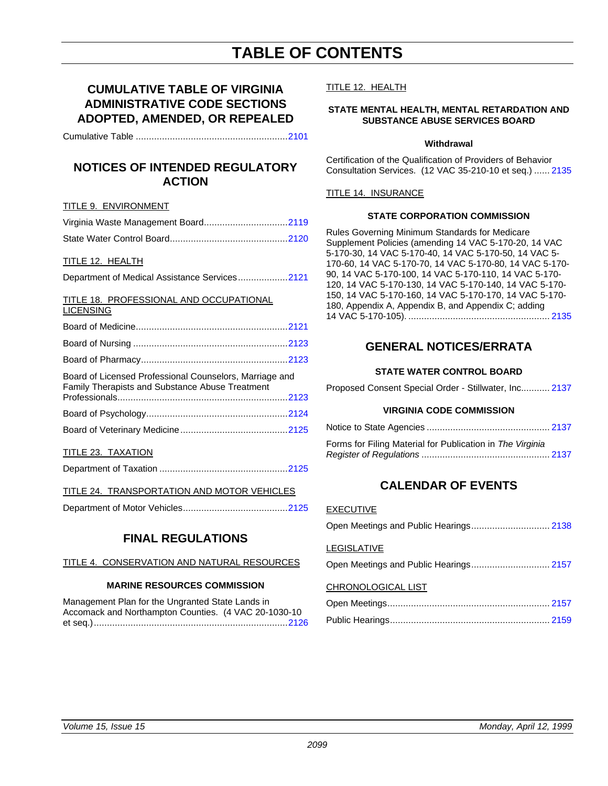## **TABLE OF CONTENTS**

## **CUMULATIVE TABLE OF VIRGINIA ADMINISTRATIVE CODE SECTIONS ADOPTED, AMENDED, OR REPEALED**

Cumulative Table ........................................................[..2101](#page-4-0)

## **NOTICES OF INTENDED REGULATORY ACTION**

#### TITLE 9. ENVIRONMENT

#### TITLE 12. HEALTH

Department of Medical Assistance Services.................[..2121](#page-24-0)

#### TITLE 18. PROFESSIONAL AND OCCUPATIONAL **LICENSING**

| Board of Licensed Professional Counselors, Marriage and<br>Family Therapists and Substance Abuse Treatment |  |
|------------------------------------------------------------------------------------------------------------|--|
|                                                                                                            |  |
|                                                                                                            |  |
|                                                                                                            |  |

## TITLE 23. TAXATION

|--|--|

## TITLE 24. TRANSPORTATION AND MOTOR VEHICLES

|--|--|--|

## **FINAL REGULATIONS**

## TITLE 4. CONSERVATION AND NATURAL RESOURCES

#### **MARINE RESOURCES COMMISSION**

Management Plan for the Ungranted State Lands in Accomack and Northampton Counties. (4 VAC 20-1030-10 et seq.).........................................................................[.2126](#page-29-0)

#### TITLE 12. HEALTH

## **STATE MENTAL HEALTH, MENTAL RETARDATION AND SUBSTANCE ABUSE SERVICES BOARD**

#### **Withdrawal**

Certification of the Qualification of Providers of Behavior Consultation Services. (12 VAC 35-210-10 et seq.) ...... 2135

## TITLE 14. INSURANCE

#### **STATE CORPORATION COMMISSION**

Rules Governing Minimum Standards for Medicare Supplement Policies (amending 14 VAC 5-170-20, 14 VAC 5-170-30, 14 VAC 5-170-40, 14 VAC 5-170-50, 14 VAC 5- 170-60, 14 VAC 5-170-70, 14 VAC 5-170-80, 14 VAC 5[-170-](#page-38-0) 90, 14 VAC 5-170-100, 14 VAC 5-170-110, 14 VAC 5-170- 120, 14 VAC 5-170-130, 14 VAC 5-170-140, 14 VAC 5-170- 150, 14 VAC 5-170-160, 14 VAC 5-170-170, 14 VAC 5-170- 180, Appendix A, Appendix B, and Appendix C; adding 14 VAC 5-170-105). ...................................................... 2135

## **GENERAL NOTICES/ERRATA**

## **STATE WATER CONTROL BOARD**

Proposed Consent Special Order - Stillwater, Inc........... [2137](#page-40-0)

#### **VIRGINIA CODE COMMISSION**

| Forms for Filing Material for Publication in The Virginia |  |
|-----------------------------------------------------------|--|
|                                                           |  |

## **CALENDAR OF EVENTS**

## EXECUTIVE

| LEGISLATIVE        |  |
|--------------------|--|
|                    |  |
| CHRONOLOGICAL LIST |  |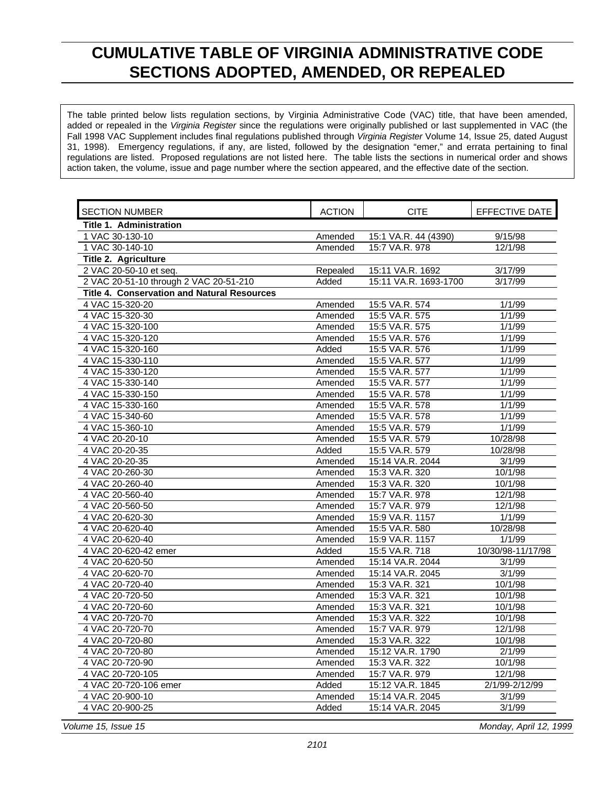## <span id="page-4-0"></span>**CUMULATIVE TABLE OF VIRGINIA ADMINISTRATIVE CODE SECTIONS ADOPTED, AMENDED, OR REPEALED**

The table printed below lists regulation sections, by Virginia Administrative Code (VAC) title, that have been amended, added or repealed in the *Virginia Register* since the regulations were originally published or last supplemented in VAC (the Fall 1998 VAC Supplement includes final regulations published through *Virginia Register* Volume 14, Issue 25, dated August 31, 1998). Emergency regulations, if any, are listed, followed by the designation "emer," and errata pertaining to final regulations are listed. Proposed regulations are not listed here. The table lists the sections in numerical order and shows action taken, the volume, issue and page number where the section appeared, and the effective date of the section.

| <b>SECTION NUMBER</b>                              | <b>ACTION</b> | <b>CITE</b>           | <b>EFFECTIVE DATE</b> |
|----------------------------------------------------|---------------|-----------------------|-----------------------|
| Title 1. Administration                            |               |                       |                       |
| 1 VAC 30-130-10                                    | Amended       | 15:1 VA.R. 44 (4390)  | 9/15/98               |
| 1 VAC 30-140-10                                    | Amended       | 15:7 VA.R. 978        | 12/1/98               |
| Title 2. Agriculture                               |               |                       |                       |
| 2 VAC 20-50-10 et seq.                             | Repealed      | 15:11 VA.R. 1692      | 3/17/99               |
| 2 VAC 20-51-10 through 2 VAC 20-51-210             | Added         | 15:11 VA.R. 1693-1700 | 3/17/99               |
| <b>Title 4. Conservation and Natural Resources</b> |               |                       |                       |
| 4 VAC 15-320-20                                    | Amended       | 15:5 VA.R. 574        | 1/1/99                |
| 4 VAC 15-320-30                                    | Amended       | 15:5 VA.R. 575        | 1/1/99                |
| 4 VAC 15-320-100                                   | Amended       | 15:5 VA.R. 575        | 1/1/99                |
| 4 VAC 15-320-120                                   | Amended       | 15:5 VA.R. 576        | 1/1/99                |
| 4 VAC 15-320-160                                   | Added         | 15:5 VA.R. 576        | 1/1/99                |
| 4 VAC 15-330-110                                   | Amended       | 15:5 VA.R. 577        | 1/1/99                |
| 4 VAC 15-330-120                                   | Amended       | 15:5 VA.R. 577        | 1/1/99                |
| 4 VAC 15-330-140                                   | Amended       | 15:5 VA.R. 577        | 1/1/99                |
| 4 VAC 15-330-150                                   | Amended       | 15:5 VA.R. 578        | 1/1/99                |
| 4 VAC 15-330-160                                   | Amended       | 15:5 VA.R. 578        | 1/1/99                |
| 4 VAC 15-340-60                                    | Amended       | 15:5 VA.R. 578        | 1/1/99                |
| 4 VAC 15-360-10                                    | Amended       | 15:5 VA.R. 579        | 1/1/99                |
| 4 VAC 20-20-10                                     | Amended       | 15:5 VA.R. 579        | 10/28/98              |
| 4 VAC 20-20-35                                     | Added         | 15:5 VA.R. 579        | 10/28/98              |
| 4 VAC 20-20-35                                     | Amended       | 15:14 VA.R. 2044      | 3/1/99                |
| 4 VAC 20-260-30                                    | Amended       | 15:3 VA.R. 320        | 10/1/98               |
| 4 VAC 20-260-40                                    | Amended       | 15:3 VA.R. 320        | 10/1/98               |
| 4 VAC 20-560-40                                    | Amended       | 15:7 VA.R. 978        | 12/1/98               |
| 4 VAC 20-560-50                                    | Amended       | 15:7 VA.R. 979        | 12/1/98               |
| 4 VAC 20-620-30                                    | Amended       | 15:9 VA.R. 1157       | 1/1/99                |
| 4 VAC 20-620-40                                    | Amended       | 15:5 VA.R. 580        | 10/28/98              |
| 4 VAC 20-620-40                                    | Amended       | 15:9 VA.R. 1157       | 1/1/99                |
| 4 VAC 20-620-42 emer                               | Added         | 15:5 VA.R. 718        | 10/30/98-11/17/98     |
| 4 VAC 20-620-50                                    | Amended       | 15:14 VA.R. 2044      | 3/1/99                |
| 4 VAC 20-620-70                                    | Amended       | 15:14 VA.R. 2045      | 3/1/99                |
| 4 VAC 20-720-40                                    | Amended       | 15:3 VA.R. 321        | 10/1/98               |
| 4 VAC 20-720-50                                    | Amended       | 15:3 VA.R. 321        | 10/1/98               |
| 4 VAC 20-720-60                                    | Amended       | 15:3 VA.R. 321        | 10/1/98               |
| 4 VAC 20-720-70                                    | Amended       | 15:3 VA.R. 322        | 10/1/98               |
| 4 VAC 20-720-70                                    | Amended       | 15:7 VA.R. 979        | 12/1/98               |
| 4 VAC 20-720-80                                    | Amended       | 15:3 VA.R. 322        | 10/1/98               |
| 4 VAC 20-720-80                                    | Amended       | 15:12 VA.R. 1790      | 2/1/99                |
| 4 VAC 20-720-90                                    | Amended       | 15:3 VA.R. 322        | 10/1/98               |
| 4 VAC 20-720-105                                   | Amended       | 15:7 VA.R. 979        | 12/1/98               |
| 4 VAC 20-720-106 emer                              | Added         | 15:12 VA.R. 1845      | 2/1/99-2/12/99        |
| 4 VAC 20-900-10                                    | Amended       | 15:14 VA.R. 2045      | 3/1/99                |
| 4 VAC 20-900-25                                    | Added         | 15:14 VA.R. 2045      | 3/1/99                |
|                                                    |               |                       |                       |

*Volume 15, Issue 15 Monday, April 12, 1999*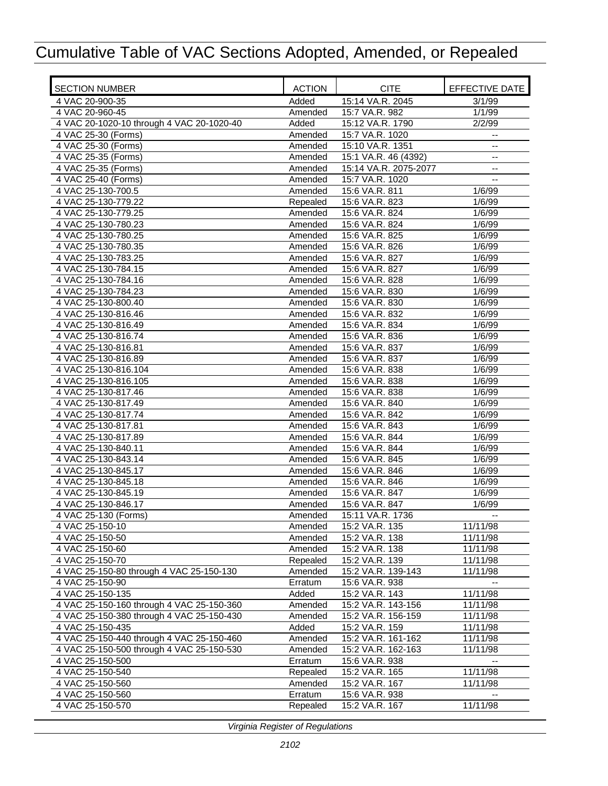| <b>SECTION NUMBER</b>                     | <b>ACTION</b> | <b>CITE</b>           | EFFECTIVE DATE |
|-------------------------------------------|---------------|-----------------------|----------------|
| 4 VAC 20-900-35                           | Added         | 15:14 VA.R. 2045      | 3/1/99         |
| 4 VAC 20-960-45                           | Amended       | 15:7 VA.R. 982        | 1/1/99         |
| 4 VAC 20-1020-10 through 4 VAC 20-1020-40 | Added         | 15:12 VA.R. 1790      | 2/2/99         |
| 4 VAC 25-30 (Forms)                       | Amended       | 15:7 VA.R. 1020       | --             |
| 4 VAC 25-30 (Forms)                       | Amended       | 15:10 VA.R. 1351      | $-$            |
| 4 VAC 25-35 (Forms)                       | Amended       | 15:1 VA.R. 46 (4392)  | --             |
| 4 VAC 25-35 (Forms)                       | Amended       | 15:14 VA.R. 2075-2077 | $-$            |
| 4 VAC 25-40 (Forms)                       | Amended       | 15:7 VA.R. 1020       |                |
| 4 VAC 25-130-700.5                        | Amended       | 15:6 VA.R. 811        | 1/6/99         |
| 4 VAC 25-130-779.22                       | Repealed      | 15:6 VA.R. 823        | 1/6/99         |
| 4 VAC 25-130-779.25                       | Amended       | 15:6 VA.R. 824        | 1/6/99         |
| 4 VAC 25-130-780.23                       | Amended       | 15:6 VA.R. 824        | 1/6/99         |
| 4 VAC 25-130-780.25                       | Amended       | 15:6 VA.R. 825        | 1/6/99         |
| 4 VAC 25-130-780.35                       | Amended       | 15:6 VA.R. 826        | 1/6/99         |
| 4 VAC 25-130-783.25                       | Amended       | 15:6 VA.R. 827        | 1/6/99         |
| 4 VAC 25-130-784.15                       | Amended       | 15:6 VA.R. 827        | 1/6/99         |
| 4 VAC 25-130-784.16                       | Amended       | 15:6 VA.R. 828        | 1/6/99         |
| 4 VAC 25-130-784.23                       | Amended       | 15:6 VA.R. 830        | 1/6/99         |
| 4 VAC 25-130-800.40                       | Amended       | 15:6 VA.R. 830        | 1/6/99         |
| 4 VAC 25-130-816.46                       | Amended       | 15:6 VA.R. 832        | 1/6/99         |
| 4 VAC 25-130-816.49                       | Amended       | 15:6 VA.R. 834        | 1/6/99         |
| 4 VAC 25-130-816.74                       | Amended       | 15:6 VA.R. 836        | 1/6/99         |
| 4 VAC 25-130-816.81                       | Amended       | 15:6 VA.R. 837        | 1/6/99         |
| 4 VAC 25-130-816.89                       | Amended       | 15:6 VA.R. 837        | 1/6/99         |
| 4 VAC 25-130-816.104                      | Amended       | 15:6 VA.R. 838        | 1/6/99         |
| 4 VAC 25-130-816.105                      | Amended       | 15:6 VA.R. 838        | 1/6/99         |
| 4 VAC 25-130-817.46                       | Amended       | 15:6 VA.R. 838        | 1/6/99         |
| 4 VAC 25-130-817.49                       | Amended       | 15:6 VA.R. 840        | 1/6/99         |
| 4 VAC 25-130-817.74                       | Amended       | 15:6 VA.R. 842        | 1/6/99         |
| 4 VAC 25-130-817.81                       | Amended       | 15:6 VA.R. 843        | 1/6/99         |
| 4 VAC 25-130-817.89                       | Amended       | 15:6 VA.R. 844        | 1/6/99         |
| 4 VAC 25-130-840.11                       | Amended       | 15:6 VA.R. 844        | 1/6/99         |
| 4 VAC 25-130-843.14                       | Amended       | 15:6 VA.R. 845        | 1/6/99         |
| 4 VAC 25-130-845.17                       | Amended       | 15:6 VA.R. 846        | 1/6/99         |
| 4 VAC 25-130-845.18                       | Amended       | 15:6 VA.R. 846        | 1/6/99         |
| 4 VAC 25-130-845.19                       | Amended       | 15:6 VA.R. 847        | 1/6/99         |
| 4 VAC 25-130-846.17                       | Amended       | 15:6 VA.R. 847        | 1/6/99         |
| 4 VAC 25-130 (Forms)                      | Amended       | 15:11 VA.R. 1736      |                |
| 4 VAC 25-150-10                           | Amended       | 15:2 VA.R. 135        | 11/11/98       |
| 4 VAC 25-150-50                           | Amended       | 15:2 VA.R. 138        | 11/11/98       |
| 4 VAC 25-150-60                           | Amended       | 15:2 VA.R. 138        | 11/11/98       |
| 4 VAC 25-150-70                           | Repealed      | 15:2 VA.R. 139        | 11/11/98       |
| 4 VAC 25-150-80 through 4 VAC 25-150-130  | Amended       | 15:2 VA.R. 139-143    | 11/11/98       |
| 4 VAC 25-150-90                           | Erratum       | 15:6 VA.R. 938        |                |
| 4 VAC 25-150-135                          | Added         | 15:2 VA.R. 143        | 11/11/98       |
| 4 VAC 25-150-160 through 4 VAC 25-150-360 | Amended       | 15:2 VA.R. 143-156    | 11/11/98       |
| 4 VAC 25-150-380 through 4 VAC 25-150-430 | Amended       | 15:2 VA.R. 156-159    | 11/11/98       |
| 4 VAC 25-150-435                          | Added         | 15:2 VA.R. 159        | 11/11/98       |
| 4 VAC 25-150-440 through 4 VAC 25-150-460 | Amended       | 15:2 VA.R. 161-162    | 11/11/98       |
| 4 VAC 25-150-500 through 4 VAC 25-150-530 | Amended       | 15:2 VA.R. 162-163    | 11/11/98       |
| 4 VAC 25-150-500                          | Erratum       | 15:6 VA.R. 938        | $\overline{a}$ |
| 4 VAC 25-150-540                          | Repealed      | 15:2 VA.R. 165        | 11/11/98       |
| 4 VAC 25-150-560                          | Amended       | 15:2 VA.R. 167        | 11/11/98       |
| 4 VAC 25-150-560                          | Erratum       | 15:6 VA.R. 938        |                |
| 4 VAC 25-150-570                          | Repealed      | 15:2 VA.R. 167        | 11/11/98       |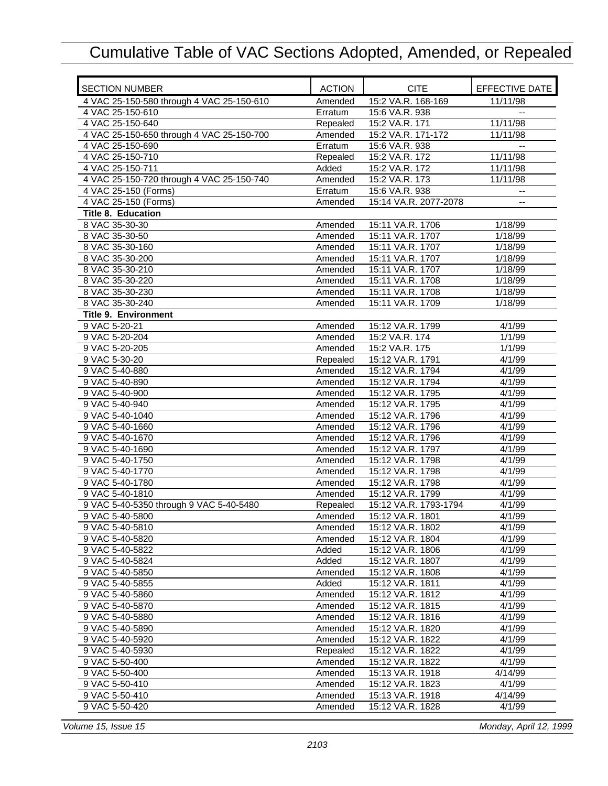| <b>SECTION NUMBER</b>                     | <b>ACTION</b> | <b>CITE</b>           | EFFECTIVE DATE           |
|-------------------------------------------|---------------|-----------------------|--------------------------|
| 4 VAC 25-150-580 through 4 VAC 25-150-610 | Amended       | 15:2 VA.R. 168-169    | 11/11/98                 |
| 4 VAC 25-150-610                          | Erratum       | 15:6 VA.R. 938        |                          |
| 4 VAC 25-150-640                          | Repealed      | 15:2 VA.R. 171        | 11/11/98                 |
| 4 VAC 25-150-650 through 4 VAC 25-150-700 | Amended       | 15:2 VA.R. 171-172    | 11/11/98                 |
| 4 VAC 25-150-690                          | Erratum       | 15:6 VA.R. 938        | $-1$                     |
| 4 VAC 25-150-710                          | Repealed      | 15:2 VA.R. 172        | 11/11/98                 |
| 4 VAC 25-150-711                          | Added         | 15:2 VA.R. 172        | 11/11/98                 |
| 4 VAC 25-150-720 through 4 VAC 25-150-740 | Amended       | 15:2 VA.R. 173        | 11/11/98                 |
| 4 VAC 25-150 (Forms)                      | Erratum       | 15:6 VA.R. 938        | $\overline{\phantom{a}}$ |
| 4 VAC 25-150 (Forms)                      | Amended       | 15:14 VA.R. 2077-2078 | $\overline{\phantom{a}}$ |
| <b>Title 8. Education</b>                 |               |                       |                          |
| 8 VAC 35-30-30                            | Amended       | 15:11 VA.R. 1706      | 1/18/99                  |
| 8 VAC 35-30-50                            | Amended       | 15:11 VA.R. 1707      | 1/18/99                  |
| 8 VAC 35-30-160                           | Amended       | 15:11 VA.R. 1707      | 1/18/99                  |
| 8 VAC 35-30-200                           | Amended       | 15:11 VA.R. 1707      | 1/18/99                  |
| 8 VAC 35-30-210                           | Amended       | 15:11 VA.R. 1707      | 1/18/99                  |
| 8 VAC 35-30-220                           | Amended       | 15:11 VA.R. 1708      | 1/18/99                  |
| 8 VAC 35-30-230                           | Amended       | 15:11 VA.R. 1708      | $\frac{1}{1}$ 18/99      |
| 8 VAC 35-30-240                           | Amended       | 15:11 VA.R. 1709      | 1/18/99                  |
| <b>Title 9. Environment</b>               |               |                       |                          |
| 9 VAC 5-20-21                             | Amended       | 15:12 VA.R. 1799      | 4/1/99                   |
| 9 VAC 5-20-204                            | Amended       | 15:2 VA.R. 174        | 1/1/99                   |
| 9 VAC 5-20-205                            | Amended       | 15:2 VA.R. 175        | 1/1/99                   |
| 9 VAC 5-30-20                             | Repealed      | 15:12 VA.R. 1791      | 4/1/99                   |
| 9 VAC 5-40-880                            | Amended       | 15:12 VA.R. 1794      | 4/1/99                   |
| 9 VAC 5-40-890                            | Amended       | 15:12 VA.R. 1794      | 4/1/99                   |
| 9 VAC 5-40-900                            | Amended       | 15:12 VA.R. 1795      | 4/1/99                   |
| 9 VAC 5-40-940                            | Amended       | 15:12 VA.R. 1795      | 4/1/99                   |
| 9 VAC 5-40-1040                           | Amended       | 15:12 VA.R. 1796      | 4/1/99                   |
| 9 VAC 5-40-1660                           | Amended       | 15:12 VA.R. 1796      | 4/1/99                   |
| 9 VAC 5-40-1670                           | Amended       | 15:12 VA.R. 1796      | 4/1/99                   |
| 9 VAC 5-40-1690                           | Amended       | 15:12 VA.R. 1797      | 4/1/99                   |
| 9 VAC 5-40-1750                           | Amended       | 15:12 VA.R. 1798      | 4/1/99                   |
| 9 VAC 5-40-1770                           | Amended       | 15:12 VA.R. 1798      | 4/1/99                   |
| 9 VAC 5-40-1780                           | Amended       | 15:12 VA.R. 1798      | 4/1/99                   |
| 9 VAC 5-40-1810                           | Amended       | 15:12 VA.R. 1799      | 4/1/99                   |
| 9 VAC 5-40-5350 through 9 VAC 5-40-5480   | Repealed      | 15:12 VA.R. 1793-1794 | 4/1/99                   |
| 9 VAC 5-40-5800                           | Amended       | 15:12 VA.R. 1801      | 4/1/99                   |
| 9 VAC 5-40-5810                           | Amended       | 15:12 VA.R. 1802      | 4/1/99                   |
| 9 VAC 5-40-5820                           | Amended       | 15:12 VA.R. 1804      | 4/1/99                   |
| 9 VAC 5-40-5822                           | Added         | 15:12 VA.R. 1806      | 4/1/99                   |
| 9 VAC 5-40-5824                           | Added         | 15:12 VA.R. 1807      | 4/1/99                   |
| 9 VAC 5-40-5850                           | Amended       | 15:12 VA.R. 1808      | 4/1/99                   |
| 9 VAC 5-40-5855                           | Added         | 15:12 VA.R. 1811      | 4/1/99                   |
| 9 VAC 5-40-5860                           | Amended       | 15:12 VA.R. 1812      | 4/1/99                   |
| 9 VAC 5-40-5870                           | Amended       | 15:12 VA.R. 1815      | 4/1/99                   |
| 9 VAC 5-40-5880                           | Amended       | 15:12 VA.R. 1816      | 4/1/99                   |
| 9 VAC 5-40-5890                           | Amended       | 15:12 VA.R. 1820      | 4/1/99                   |
| 9 VAC 5-40-5920                           | Amended       | 15:12 VA.R. 1822      | 4/1/99                   |
| 9 VAC 5-40-5930                           | Repealed      | 15:12 VA.R. 1822      | 4/1/99                   |
| 9 VAC 5-50-400                            | Amended       | 15:12 VA.R. 1822      | 4/1/99                   |
| 9 VAC 5-50-400                            | Amended       | 15:13 VA.R. 1918      | 4/14/99                  |
| 9 VAC 5-50-410                            | Amended       | 15:12 VA.R. 1823      | 4/1/99                   |
| 9 VAC 5-50-410                            | Amended       | 15:13 VA.R. 1918      | 4/14/99                  |
| 9 VAC 5-50-420                            | Amended       | 15:12 VA.R. 1828      | 4/1/99                   |

*Volume 15, Issue 15 Monday, April 12, 1999*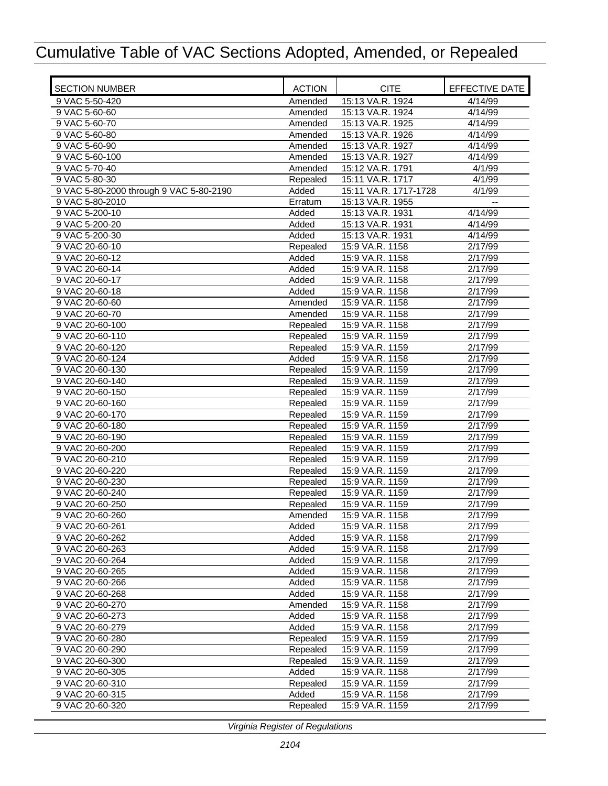| <b>SECTION NUMBER</b>                   | <b>ACTION</b>        | <b>CITE</b>                        | EFFECTIVE DATE       |
|-----------------------------------------|----------------------|------------------------------------|----------------------|
| 9 VAC 5-50-420                          | Amended              | 15:13 VA.R. 1924                   | 4/14/99              |
| 9 VAC 5-60-60                           | Amended              | 15:13 VA.R. 1924                   | 4/14/99              |
| 9 VAC 5-60-70                           | Amended              | 15:13 VA.R. 1925                   | 4/14/99              |
| 9 VAC 5-60-80                           | Amended              | 15:13 VA.R. 1926                   | 4/14/99              |
| 9 VAC 5-60-90                           | Amended              | 15:13 VA.R. 1927                   | 4/14/99              |
| 9 VAC 5-60-100                          | Amended              | 15:13 VA.R. 1927                   | 4/14/99              |
| 9 VAC 5-70-40                           | Amended              | 15:12 VA.R. 1791                   | 4/1/99               |
| 9 VAC 5-80-30                           | Repealed             | 15:11 VA.R. 1717                   | 4/1/99               |
| 9 VAC 5-80-2000 through 9 VAC 5-80-2190 | Added                | 15:11 VA.R. 1717-1728              | 4/1/99               |
| 9 VAC 5-80-2010                         | Erratum              | 15:13 VA.R. 1955                   |                      |
| 9 VAC 5-200-10                          | Added                | 15:13 VA.R. 1931                   | 4/14/99              |
| 9 VAC 5-200-20                          | Added                | 15:13 VA.R. 1931                   | 4/14/99              |
| 9 VAC 5-200-30                          | Added                | 15:13 VA.R. 1931                   | 4/14/99              |
| 9 VAC 20-60-10                          | Repealed             | 15:9 VA.R. 1158                    | 2/17/99              |
| 9 VAC 20-60-12                          | Added                | 15:9 VA.R. 1158                    | 2/17/99              |
| 9 VAC 20-60-14                          | Added                | 15:9 VA.R. 1158                    | 2/17/99              |
| 9 VAC 20-60-17                          | Added                | 15:9 VA.R. 1158                    | 2/17/99              |
| 9 VAC 20-60-18                          | Added                | 15:9 VA.R. 1158                    | 2/17/99              |
| 9 VAC 20-60-60                          | Amended              | 15:9 VA.R. 1158                    | 2/17/99              |
| 9 VAC 20-60-70                          | Amended              | 15:9 VA.R. 1158                    | 2/17/99              |
| 9 VAC 20-60-100                         | Repealed             | 15:9 VA.R. 1158                    | $\overline{2}/17/99$ |
| 9 VAC 20-60-110                         | Repealed             | 15:9 VA.R. 1159                    | 2/17/99              |
| 9 VAC 20-60-120                         | Repealed             | 15:9 VA.R. 1159                    | 2/17/99              |
| 9 VAC 20-60-124                         | Added                | 15:9 VA.R. 1158                    | 2/17/99              |
| 9 VAC 20-60-130                         | Repealed             | 15:9 VA.R. 1159                    | 2/17/99              |
| 9 VAC 20-60-140                         | Repealed             | 15:9 VA.R. 1159                    | 2/17/99              |
| 9 VAC 20-60-150                         | Repealed             | 15:9 VA.R. 1159                    | 2/17/99              |
| 9 VAC 20-60-160                         | Repealed             | 15:9 VA.R. 1159                    | 2/17/99              |
| 9 VAC 20-60-170                         | Repealed             | 15:9 VA.R. 1159                    | 2/17/99              |
| 9 VAC 20-60-180                         | Repealed             | 15:9 VA.R. 1159                    | 2/17/99              |
| 9 VAC 20-60-190                         | Repealed             | 15:9 VA.R. 1159                    | 2/17/99              |
| 9 VAC 20-60-200                         | Repealed             | 15:9 VA.R. 1159                    | 2/17/99              |
| 9 VAC 20-60-210<br>9 VAC 20-60-220      | Repealed             | 15:9 VA.R. 1159                    | 2/17/99<br>2/17/99   |
|                                         | Repealed             | 15:9 VA.R. 1159                    |                      |
| 9 VAC 20-60-230<br>9 VAC 20-60-240      | Repealed<br>Repealed | 15:9 VA.R. 1159<br>15:9 VA.R. 1159 | 2/17/99<br>2/17/99   |
| 9 VAC 20-60-250                         |                      | 15:9 VA.R. 1159                    |                      |
| 9 VAC 20-60-260                         | Repealed             | 15:9 VA.R. 1158                    | 2/17/99<br>2/17/99   |
| 9 VAC 20-60-261                         | Amended<br>Added     | 15:9 VA.R. 1158                    | 2/17/99              |
| 9 VAC 20-60-262                         | Added                | 15:9 VA.R. 1158                    | 2/17/99              |
| 9 VAC 20-60-263                         | Added                | 15:9 VA.R. 1158                    | 2/17/99              |
| 9 VAC 20-60-264                         | Added                | 15:9 VA.R. 1158                    | 2/17/99              |
| 9 VAC 20-60-265                         | Added                | 15:9 VA.R. 1158                    | 2/17/99              |
| 9 VAC 20-60-266                         | Added                | 15:9 VA.R. 1158                    | 2/17/99              |
| 9 VAC 20-60-268                         | Added                | 15:9 VA.R. 1158                    | 2/17/99              |
| 9 VAC 20-60-270                         | Amended              | 15:9 VA.R. 1158                    | 2/17/99              |
| 9 VAC 20-60-273                         | Added                | 15:9 VA.R. 1158                    | 2/17/99              |
| 9 VAC 20-60-279                         | Added                | 15:9 VA.R. 1158                    | 2/17/99              |
| 9 VAC 20-60-280                         | Repealed             | 15:9 VA.R. 1159                    | 2/17/99              |
| 9 VAC 20-60-290                         | Repealed             | 15:9 VA.R. 1159                    | 2/17/99              |
| 9 VAC 20-60-300                         | Repealed             | 15:9 VA.R. 1159                    | 2/17/99              |
| 9 VAC 20-60-305                         | Added                | 15:9 VA.R. 1158                    | $\overline{2}/17/99$ |
| 9 VAC 20-60-310                         | Repealed             | 15:9 VA.R. 1159                    | 2/17/99              |
| 9 VAC 20-60-315                         | Added                | 15:9 VA.R. 1158                    | 2/17/99              |
| 9 VAC 20-60-320                         | Repealed             | 15:9 VA.R. 1159                    | 2/17/99              |
|                                         |                      |                                    |                      |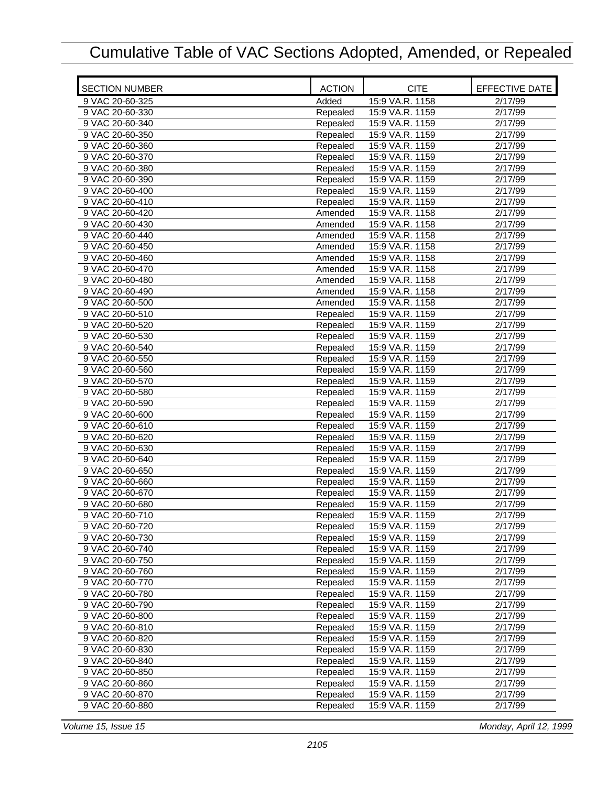| <b>SECTION NUMBER</b>              | <b>ACTION</b>        | <b>CITE</b>                        | EFFECTIVE DATE       |
|------------------------------------|----------------------|------------------------------------|----------------------|
| 9 VAC 20-60-325                    | Added                | 15:9 VA.R. 1158                    | 2/17/99              |
| 9 VAC 20-60-330                    | Repealed             | 15:9 VA.R. 1159                    | 2/17/99              |
| 9 VAC 20-60-340                    | Repealed             | 15:9 VA.R. 1159                    | 2/17/99              |
| 9 VAC 20-60-350                    | Repealed             | 15:9 VA.R. 1159                    | 2/17/99              |
| 9 VAC 20-60-360                    | Repealed             | 15:9 VA.R. 1159                    | 2/17/99              |
| 9 VAC 20-60-370                    | Repealed             | 15:9 VA.R. 1159                    | 2/17/99              |
| 9 VAC 20-60-380                    | Repealed             | 15:9 VA.R. 1159                    | 2/17/99              |
| 9 VAC 20-60-390                    | Repealed             | 15:9 VA.R. 1159                    | 2/17/99              |
| 9 VAC 20-60-400                    | Repealed             | 15:9 VA.R. 1159                    | 2/17/99              |
| 9 VAC 20-60-410                    | Repealed             | 15:9 VA.R. 1159                    | 2/17/99              |
| 9 VAC 20-60-420                    | Amended              | 15:9 VA.R. 1158                    | 2/17/99              |
| 9 VAC 20-60-430                    | Amended              | 15:9 VA.R. 1158                    | 2/17/99              |
| 9 VAC 20-60-440                    | Amended              | 15:9 VA.R. 1158                    | 2/17/99              |
| 9 VAC 20-60-450                    | Amended              | 15:9 VA.R. 1158                    | 2/17/99              |
| 9 VAC 20-60-460                    | Amended              | 15:9 VA.R. 1158                    | 2/17/99              |
| 9 VAC 20-60-470                    | Amended              | 15:9 VA.R. 1158                    | 2/17/99              |
| 9 VAC 20-60-480                    | Amended              | 15:9 VA.R. 1158                    | 2/17/99              |
| 9 VAC 20-60-490                    | Amended              | 15:9 VA.R. 1158                    | 2/17/99              |
| 9 VAC 20-60-500                    | Amended              | 15:9 VA.R. 1158                    | 2/17/99              |
| 9 VAC 20-60-510                    | Repealed             | 15:9 VA.R. 1159                    | 2/17/99              |
| 9 VAC 20-60-520                    | Repealed             | 15:9 VA.R. 1159                    | 2/17/99              |
| 9 VAC 20-60-530                    | Repealed             | 15:9 VA.R. 1159                    | 2/17/99              |
| 9 VAC 20-60-540                    | Repealed             | 15:9 VA.R. 1159                    | 2/17/99              |
| 9 VAC 20-60-550                    | Repealed             | 15:9 VA.R. 1159                    | 2/17/99              |
| 9 VAC 20-60-560                    | Repealed             | 15:9 VA.R. 1159                    | $\overline{2}/17/99$ |
| 9 VAC 20-60-570                    | Repealed             | 15:9 VA.R. 1159                    | 2/17/99              |
| 9 VAC 20-60-580                    | Repealed             | 15:9 VA.R. 1159                    | 2/17/99              |
| 9 VAC 20-60-590                    | Repealed             | 15:9 VA.R. 1159                    | 2/17/99              |
| 9 VAC 20-60-600                    | Repealed             | 15:9 VA.R. 1159                    | 2/17/99              |
| 9 VAC 20-60-610                    | Repealed             | 15:9 VA.R. 1159                    | 2/17/99              |
| 9 VAC 20-60-620                    | Repealed             | 15:9 VA.R. 1159                    | 2/17/99              |
| 9 VAC 20-60-630                    | Repealed             | 15:9 VA.R. 1159                    | 2/17/99              |
| 9 VAC 20-60-640<br>9 VAC 20-60-650 | Repealed<br>Repealed | 15:9 VA.R. 1159<br>15:9 VA.R. 1159 | 2/17/99<br>2/17/99   |
| 9 VAC 20-60-660                    | Repealed             | 15:9 VA.R. 1159                    | 2/17/99              |
| 9 VAC 20-60-670                    | Repealed             | 15:9 VA.R. 1159                    | 2/17/99              |
| 9 VAC 20-60-680                    | Repealed             | 15:9 VA.R. 1159                    | 2/17/99              |
| 9 VAC 20-60-710                    | Repealed             | 15:9 VA.R. 1159                    | 2/17/99              |
| 9 VAC 20-60-720                    | Repealed             | 15:9 VA.R. 1159                    | 2/17/99              |
| 9 VAC 20-60-730                    | Repealed             | 15:9 VA.R. 1159                    | 2/17/99              |
| 9 VAC 20-60-740                    | Repealed             | 15:9 VA.R. 1159                    | 2/17/99              |
| 9 VAC 20-60-750                    | Repealed             | 15:9 VA.R. 1159                    | 2/17/99              |
| 9 VAC 20-60-760                    | Repealed             | 15:9 VA.R. 1159                    | 2/17/99              |
| 9 VAC 20-60-770                    | Repealed             | 15:9 VA.R. 1159                    | 2/17/99              |
| 9 VAC 20-60-780                    | Repealed             | 15:9 VA.R. 1159                    | 2/17/99              |
| 9 VAC 20-60-790                    | Repealed             | 15:9 VA.R. 1159                    | 2/17/99              |
| 9 VAC 20-60-800                    | Repealed             | 15:9 VA.R. 1159                    | 2/17/99              |
| 9 VAC 20-60-810                    | Repealed             | 15:9 VA.R. 1159                    | 2/17/99              |
| 9 VAC 20-60-820                    | Repealed             | 15:9 VA.R. 1159                    | 2/17/99              |
| 9 VAC 20-60-830                    | Repealed             | 15:9 VA.R. 1159                    | 2/17/99              |
| 9 VAC 20-60-840                    | Repealed             | 15:9 VA.R. 1159                    | 2/17/99              |
| 9 VAC 20-60-850                    | Repealed             | 15:9 VA.R. 1159                    | 2/17/99              |
| 9 VAC 20-60-860                    | Repealed             | 15:9 VA.R. 1159                    | 2/17/99              |
| 9 VAC 20-60-870                    | Repealed             | 15:9 VA.R. 1159                    | 2/17/99              |
| 9 VAC 20-60-880                    | Repealed             | 15:9 VA.R. 1159                    | 2/17/99              |

*Volume 15, Issue 15 Monday, April 12, 1999*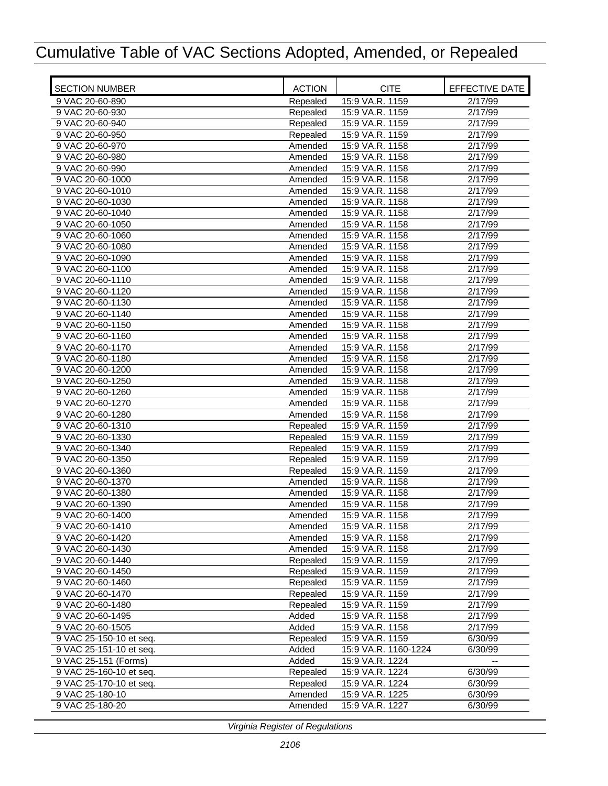| <b>SECTION NUMBER</b>   | <b>ACTION</b> | <b>CITE</b>          | EFFECTIVE DATE       |
|-------------------------|---------------|----------------------|----------------------|
| 9 VAC 20-60-890         | Repealed      | 15:9 VA.R. 1159      | 2/17/99              |
| 9 VAC 20-60-930         | Repealed      | 15:9 VA.R. 1159      | 2/17/99              |
| 9 VAC 20-60-940         | Repealed      | 15:9 VA.R. 1159      | 2/17/99              |
| 9 VAC 20-60-950         | Repealed      | 15:9 VA.R. 1159      | 2/17/99              |
| 9 VAC 20-60-970         | Amended       | 15:9 VA.R. 1158      | 2/17/99              |
| 9 VAC 20-60-980         | Amended       | 15:9 VA.R. 1158      | 2/17/99              |
| 9 VAC 20-60-990         | Amended       | 15:9 VA.R. 1158      | 2/17/99              |
| 9 VAC 20-60-1000        | Amended       | 15:9 VA.R. 1158      | 2/17/99              |
| 9 VAC 20-60-1010        | Amended       | 15:9 VA.R. 1158      | 2/17/99              |
| 9 VAC 20-60-1030        | Amended       | 15:9 VA.R. 1158      | 2/17/99              |
| 9 VAC 20-60-1040        | Amended       | 15:9 VA.R. 1158      | 2/17/99              |
| 9 VAC 20-60-1050        | Amended       | 15:9 VA.R. 1158      | 2/17/99              |
| 9 VAC 20-60-1060        | Amended       | 15:9 VA.R. 1158      | 2/17/99              |
| 9 VAC 20-60-1080        | Amended       | 15:9 VA.R. 1158      | 2/17/99              |
| 9 VAC 20-60-1090        | Amended       | 15:9 VA.R. 1158      | 2/17/99              |
| 9 VAC 20-60-1100        | Amended       | 15:9 VA.R. 1158      | 2/17/99              |
| 9 VAC 20-60-1110        | Amended       | 15:9 VA.R. 1158      | 2/17/99              |
| 9 VAC 20-60-1120        | Amended       | 15:9 VA.R. 1158      | 2/17/99              |
| 9 VAC 20-60-1130        | Amended       | 15:9 VA.R. 1158      | 2/17/99              |
| 9 VAC 20-60-1140        | Amended       | 15:9 VA.R. 1158      | 2/17/99              |
| 9 VAC 20-60-1150        | Amended       | 15:9 VA.R. 1158      | 2/17/99              |
| 9 VAC 20-60-1160        | Amended       | 15:9 VA.R. 1158      | 2/17/99              |
| 9 VAC 20-60-1170        | Amended       | 15:9 VA.R. 1158      | 2/17/99              |
| 9 VAC 20-60-1180        | Amended       | 15:9 VA.R. 1158      | 2/17/99              |
|                         |               | 15:9 VA.R. 1158      |                      |
| 9 VAC 20-60-1200        | Amended       |                      | 2/17/99              |
| 9 VAC 20-60-1250        | Amended       | 15:9 VA.R. 1158      | 2/17/99              |
| 9 VAC 20-60-1260        | Amended       | 15:9 VA.R. 1158      | 2/17/99              |
| 9 VAC 20-60-1270        | Amended       | 15:9 VA.R. 1158      | 2/17/99              |
| 9 VAC 20-60-1280        | Amended       | 15:9 VA.R. 1158      | $\overline{2}/17/99$ |
| 9 VAC 20-60-1310        | Repealed      | 15:9 VA.R. 1159      | 2/17/99              |
| 9 VAC 20-60-1330        | Repealed      | 15:9 VA.R. 1159      | 2/17/99              |
| 9 VAC 20-60-1340        | Repealed      | 15:9 VA.R. 1159      | 2/17/99              |
| 9 VAC 20-60-1350        | Repealed      | 15:9 VA.R. 1159      | 2/17/99              |
| 9 VAC 20-60-1360        | Repealed      | 15:9 VA.R. 1159      | 2/17/99              |
| 9 VAC 20-60-1370        | Amended       | 15:9 VA.R. 1158      | 2/17/99              |
| 9 VAC 20-60-1380        | Amended       | 15:9 VA.R. 1158      | 2/17/99              |
| 9 VAC 20-60-1390        | Amended       | 15:9 VA.R. 1158      | 2/17/99              |
| 9 VAC 20-60-1400        | Amended       | 15:9 VA.R. 1158      | 2/17/99              |
| 9 VAC 20-60-1410        | Amended       | 15:9 VA.R. 1158      | 2/17/99              |
| 9 VAC 20-60-1420        | Amended       | 15:9 VA.R. 1158      | 2/17/99              |
| 9 VAC 20-60-1430        | Amended       | 15:9 VA.R. 1158      | 2/17/99              |
| 9 VAC 20-60-1440        | Repealed      | 15:9 VA.R. 1159      | 2/17/99              |
| 9 VAC 20-60-1450        | Repealed      | 15:9 VA.R. 1159      | 2/17/99              |
| 9 VAC 20-60-1460        | Repealed      | 15:9 VA.R. 1159      | 2/17/99              |
| 9 VAC 20-60-1470        | Repealed      | 15:9 VA.R. 1159      | 2/17/99              |
| 9 VAC 20-60-1480        | Repealed      | 15:9 VA.R. 1159      | 2/17/99              |
| 9 VAC 20-60-1495        | Added         | 15:9 VA.R. 1158      | 2/17/99              |
| 9 VAC 20-60-1505        | Added         | 15:9 VA.R. 1158      | 2/17/99              |
| 9 VAC 25-150-10 et seq. | Repealed      | 15:9 VA.R. 1159      | 6/30/99              |
| 9 VAC 25-151-10 et seq. | Added         | 15:9 VA.R. 1160-1224 | 6/30/99              |
| 9 VAC 25-151 (Forms)    | Added         | 15:9 VA.R. 1224      |                      |
| 9 VAC 25-160-10 et seq. | Repealed      | 15:9 VA.R. 1224      | 6/30/99              |
| 9 VAC 25-170-10 et seq. | Repealed      | 15:9 VA.R. 1224      | 6/30/99              |
| 9 VAC 25-180-10         | Amended       | 15:9 VA.R. 1225      | 6/30/99              |
| 9 VAC 25-180-20         | Amended       | 15:9 VA.R. 1227      | 6/30/99              |
|                         |               |                      |                      |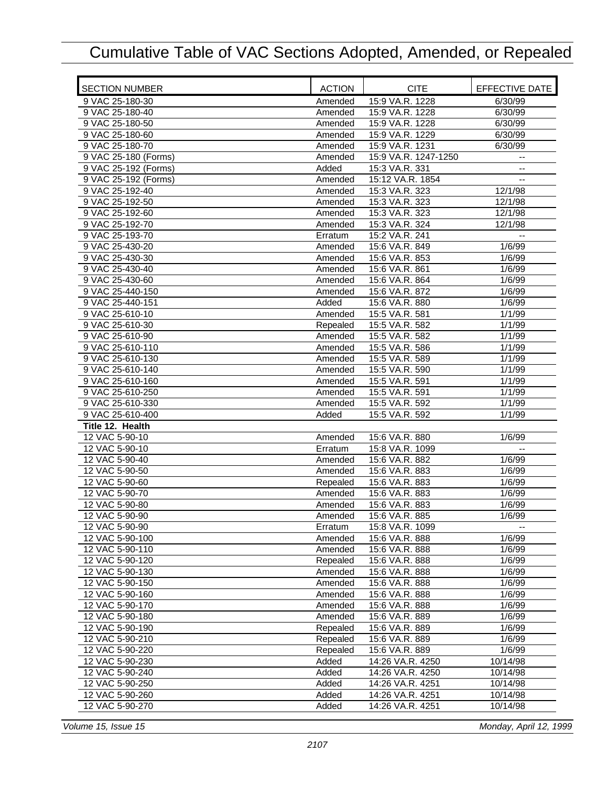| <b>SECTION NUMBER</b> | <b>ACTION</b> | <b>CITE</b>          | EFFECTIVE DATE           |
|-----------------------|---------------|----------------------|--------------------------|
| 9 VAC 25-180-30       | Amended       | 15:9 VA.R. 1228      | 6/30/99                  |
| 9 VAC 25-180-40       | Amended       | 15:9 VA.R. 1228      | 6/30/99                  |
| 9 VAC 25-180-50       | Amended       | 15:9 VA.R. 1228      | 6/30/99                  |
| 9 VAC 25-180-60       | Amended       | 15:9 VA.R. 1229      | 6/30/99                  |
| 9 VAC 25-180-70       | Amended       | 15:9 VA.R. 1231      | 6/30/99                  |
| 9 VAC 25-180 (Forms)  | Amended       | 15:9 VA.R. 1247-1250 |                          |
| 9 VAC 25-192 (Forms)  | Added         | 15:3 VA.R. 331       | Ξ.                       |
| 9 VAC 25-192 (Forms)  | Amended       | 15:12 VA.R. 1854     | $\overline{a}$           |
| 9 VAC 25-192-40       | Amended       | 15:3 VA.R. 323       | 12/1/98                  |
| 9 VAC 25-192-50       | Amended       | 15:3 VA.R. 323       | 12/1/98                  |
| 9 VAC 25-192-60       | Amended       | 15:3 VA.R. 323       | 12/1/98                  |
| 9 VAC 25-192-70       | Amended       | 15:3 VA.R. 324       | 12/1/98                  |
| 9 VAC 25-193-70       | Erratum       | 15:2 VA.R. 241       | $-$                      |
| 9 VAC 25-430-20       | Amended       | 15:6 VA.R. 849       | 1/6/99                   |
| 9 VAC 25-430-30       | Amended       | 15:6 VA.R. 853       | 1/6/99                   |
| 9 VAC 25-430-40       | Amended       | 15:6 VA.R. 861       | 1/6/99                   |
| 9 VAC 25-430-60       | Amended       | 15:6 VA.R. 864       | 1/6/99                   |
| 9 VAC 25-440-150      | Amended       | 15:6 VA.R. 872       | 1/6/99                   |
| 9 VAC 25-440-151      | Added         | 15:6 VA.R. 880       | 1/6/99                   |
| 9 VAC 25-610-10       | Amended       | 15:5 VA.R. 581       | 1/1/99                   |
| 9 VAC 25-610-30       | Repealed      | 15:5 VA.R. 582       | 1/1/99                   |
| 9 VAC 25-610-90       | Amended       | 15:5 VA.R. 582       | 1/1/99                   |
| 9 VAC 25-610-110      | Amended       | 15:5 VA.R. 586       | 1/1/99                   |
| 9 VAC 25-610-130      | Amended       | 15:5 VA.R. 589       | 1/1/99                   |
| 9 VAC 25-610-140      | Amended       | 15:5 VA.R. 590       | 1/1/99                   |
| 9 VAC 25-610-160      | Amended       | 15:5 VA.R. 591       | 1/1/99                   |
| 9 VAC 25-610-250      | Amended       | 15:5 VA.R. 591       | 1/1/99                   |
| 9 VAC 25-610-330      | Amended       | 15:5 VA.R. 592       | 1/1/99                   |
| 9 VAC 25-610-400      | Added         | 15:5 VA.R. 592       | 1/1/99                   |
| Title 12. Health      |               |                      |                          |
| 12 VAC 5-90-10        | Amended       | 15:6 VA.R. 880       | 1/6/99                   |
| 12 VAC 5-90-10        | Erratum       | 15:8 VA.R. 1099      |                          |
| 12 VAC 5-90-40        | Amended       | 15:6 VA.R. 882       | 1/6/99                   |
| 12 VAC 5-90-50        | Amended       | 15:6 VA.R. 883       | 1/6/99                   |
| 12 VAC 5-90-60        | Repealed      | 15:6 VA.R. 883       | 1/6/99                   |
| 12 VAC 5-90-70        | Amended       | 15:6 VA.R. 883       | 1/6/99                   |
| 12 VAC 5-90-80        | Amended       | 15:6 VA.R. 883       | 1/6/99                   |
| 12 VAC 5-90-90        | Amended       | 15:6 VA.R. 885       | 1/6/99                   |
| 12 VAC 5-90-90        | Erratum       | 15:8 VA.R. 1099      | $\overline{\phantom{m}}$ |
| 12 VAC 5-90-100       | Amended       | 15:6 VA.R. 888       | 1/6/99                   |
| 12 VAC 5-90-110       | Amended       | 15:6 VA.R. 888       | 1/6/99                   |
| 12 VAC 5-90-120       | Repealed      | 15:6 VA.R. 888       | 1/6/99                   |
| 12 VAC 5-90-130       | Amended       | 15:6 VA.R. 888       | 1/6/99                   |
| 12 VAC 5-90-150       | Amended       | 15:6 VA.R. 888       | 1/6/99                   |
| 12 VAC 5-90-160       | Amended       | 15:6 VA.R. 888       | 1/6/99                   |
| 12 VAC 5-90-170       | Amended       | 15:6 VA.R. 888       | 1/6/99                   |
| 12 VAC 5-90-180       | Amended       | 15:6 VA.R. 889       | 1/6/99                   |
| 12 VAC 5-90-190       | Repealed      | 15:6 VA.R. 889       | 1/6/99                   |
| 12 VAC 5-90-210       | Repealed      | 15:6 VA.R. 889       | 1/6/99                   |
| 12 VAC 5-90-220       | Repealed      | 15:6 VA.R. 889       | 1/6/99                   |
| 12 VAC 5-90-230       | Added         | 14:26 VA.R. 4250     | 10/14/98                 |
| 12 VAC 5-90-240       | Added         | 14:26 VA.R. 4250     | 10/14/98                 |
| 12 VAC 5-90-250       | Added         | 14:26 VA.R. 4251     | 10/14/98                 |
| 12 VAC 5-90-260       | Added         | 14:26 VA.R. 4251     | 10/14/98                 |
| 12 VAC 5-90-270       | Added         | 14:26 VA.R. 4251     | 10/14/98                 |

*Volume 15, Issue 15 Monday, April 12, 1999*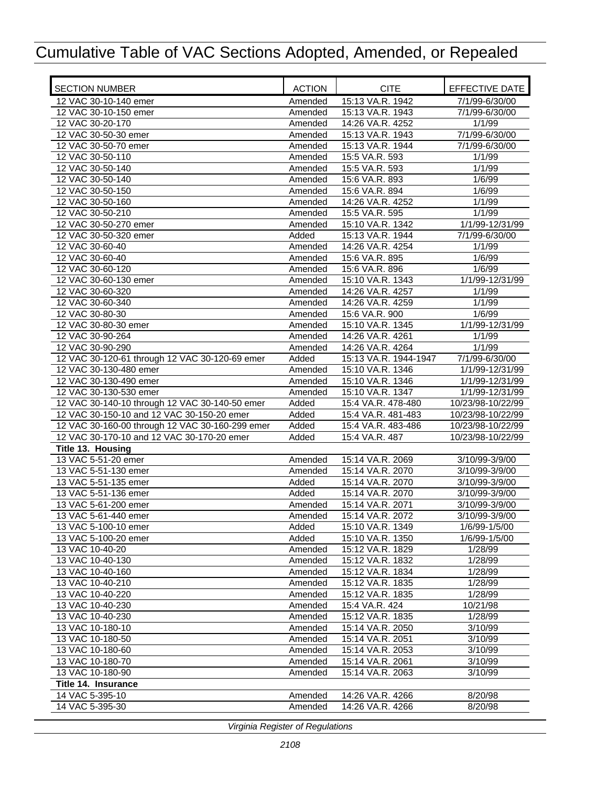| <b>SECTION NUMBER</b>                           | <b>ACTION</b>    | <b>CITE</b>                          | EFFECTIVE DATE                   |
|-------------------------------------------------|------------------|--------------------------------------|----------------------------------|
| 12 VAC 30-10-140 emer                           | Amended          | 15:13 VA.R. 1942                     | 7/1/99-6/30/00                   |
| 12 VAC 30-10-150 emer                           | Amended          | 15:13 VA.R. 1943                     | 7/1/99-6/30/00                   |
| 12 VAC 30-20-170                                | Amended          | 14:26 VA.R. 4252                     | 1/1/99                           |
| 12 VAC 30-50-30 emer                            | Amended          | 15:13 VA.R. 1943                     | 7/1/99-6/30/00                   |
| 12 VAC 30-50-70 emer                            | Amended          | 15:13 VA.R. 1944                     | 7/1/99-6/30/00                   |
| 12 VAC 30-50-110                                | Amended          | 15:5 VA.R. 593                       | 1/1/99                           |
| 12 VAC 30-50-140                                | Amended          | 15:5 VA.R. 593                       | 1/1/99                           |
| 12 VAC 30-50-140                                | Amended          | 15:6 VA.R. 893                       | 1/6/99                           |
| 12 VAC 30-50-150                                | Amended          | 15:6 VA.R. 894                       | 1/6/99                           |
| 12 VAC 30-50-160                                | Amended          | 14:26 VA.R. 4252                     | 1/1/99                           |
| 12 VAC 30-50-210                                | Amended          | 15:5 VA.R. 595                       | 1/1/99                           |
| 12 VAC 30-50-270 emer                           | Amended          | 15:10 VA.R. 1342                     | 1/1/99-12/31/99                  |
| 12 VAC 30-50-320 emer                           | Added            | 15:13 VA.R. 1944                     | 7/1/99-6/30/00                   |
| 12 VAC 30-60-40                                 | Amended          | 14:26 VA.R. 4254                     | 1/1/99                           |
| 12 VAC 30-60-40                                 | Amended          | 15:6 VA.R. 895                       | 1/6/99                           |
| 12 VAC 30-60-120                                | Amended          | 15:6 VA.R. 896                       | 1/6/99                           |
| 12 VAC 30-60-130 emer                           | Amended          | 15:10 VA.R. 1343                     | 1/1/99-12/31/99                  |
| 12 VAC 30-60-320                                | Amended          | 14:26 VA.R. 4257                     | 1/1/99                           |
| 12 VAC 30-60-340                                | Amended          | 14:26 VA.R. 4259                     | 1/1/99                           |
| 12 VAC 30-80-30                                 | Amended          | 15:6 VA.R. 900                       | 1/6/99                           |
| 12 VAC 30-80-30 emer                            | Amended          | 15:10 VA.R. 1345                     | 1/1/99-12/31/99                  |
| 12 VAC 30-90-264                                | Amended          | 14:26 VA.R. 4261                     | 1/1/99                           |
| 12 VAC 30-90-290                                | Amended          | 14:26 VA.R. 4264                     | 1/1/99                           |
| 12 VAC 30-120-61 through 12 VAC 30-120-69 emer  | Added            | 15:13 VA.R. 1944-1947                | 7/1/99-6/30/00                   |
| 12 VAC 30-130-480 emer                          | Amended          | 15:10 VA.R. 1346                     | 1/1/99-12/31/99                  |
| 12 VAC 30-130-490 emer                          | Amended          | 15:10 VA.R. 1346                     | 1/1/99-12/31/99                  |
| 12 VAC 30-130-530 emer                          | Amended          | 15:10 VA.R. 1347                     | 1/1/99-12/31/99                  |
| 12 VAC 30-140-10 through 12 VAC 30-140-50 emer  | Added            | 15:4 VA.R. 478-480                   | 10/23/98-10/22/99                |
| 12 VAC 30-150-10 and 12 VAC 30-150-20 emer      | Added            | 15:4 VA.R. 481-483                   | 10/23/98-10/22/99                |
| 12 VAC 30-160-00 through 12 VAC 30-160-299 emer | Added            | 15:4 VA.R. 483-486                   | 10/23/98-10/22/99                |
| 12 VAC 30-170-10 and 12 VAC 30-170-20 emer      | Added            | 15:4 VA.R. 487                       | 10/23/98-10/22/99                |
| Title 13. Housing<br>13 VAC 5-51-20 emer        |                  |                                      |                                  |
| 13 VAC 5-51-130 emer                            | Amended          | 15:14 VA.R. 2069<br>15:14 VA.R. 2070 | 3/10/99-3/9/00                   |
| 13 VAC 5-51-135 emer                            | Amended<br>Added | 15:14 VA.R. 2070                     | 3/10/99-3/9/00                   |
| 13 VAC 5-51-136 emer                            |                  | 15:14 VA.R. 2070                     | 3/10/99-3/9/00                   |
| 13 VAC 5-61-200 emer                            | Added            | 15:14 VA.R. 2071                     | 3/10/99-3/9/00<br>3/10/99-3/9/00 |
| 13 VAC 5-61-440 emer                            | Amended          | 15:14 VA.R. 2072                     | 3/10/99-3/9/00                   |
| 13 VAC 5-100-10 emer                            | Amended<br>Added | 15:10 VA.R. 1349                     | 1/6/99-1/5/00                    |
| 13 VAC 5-100-20 emer                            | Added            | 15:10 VA.R. 1350                     | 1/6/99-1/5/00                    |
| 13 VAC 10-40-20                                 | Amended          | 15:12 VA.R. 1829                     | 1/28/99                          |
| 13 VAC 10-40-130                                | Amended          | 15:12 VA.R. 1832                     | 1/28/99                          |
| 13 VAC 10-40-160                                | Amended          | 15:12 VA.R. 1834                     | 1/28/99                          |
| 13 VAC 10-40-210                                | Amended          | 15:12 VA.R. 1835                     | 1/28/99                          |
| 13 VAC 10-40-220                                | Amended          | 15:12 VA.R. 1835                     | 1/28/99                          |
| 13 VAC 10-40-230                                | Amended          | 15:4 VA.R. 424                       | 10/21/98                         |
| 13 VAC 10-40-230                                | Amended          | 15:12 VA.R. 1835                     | 1/28/99                          |
| 13 VAC 10-180-10                                | Amended          | 15:14 VA.R. 2050                     | 3/10/99                          |
| 13 VAC 10-180-50                                | Amended          | 15:14 VA.R. 2051                     | 3/10/99                          |
| 13 VAC 10-180-60                                | Amended          | 15:14 VA.R. 2053                     | 3/10/99                          |
| 13 VAC 10-180-70                                | Amended          | 15:14 VA.R. 2061                     | 3/10/99                          |
| 13 VAC 10-180-90                                | Amended          | 15:14 VA.R. 2063                     | 3/10/99                          |
| Title 14. Insurance                             |                  |                                      |                                  |
| 14 VAC 5-395-10                                 | Amended          | 14:26 VA.R. 4266                     | 8/20/98                          |
| 14 VAC 5-395-30                                 | Amended          | 14:26 VA.R. 4266                     | 8/20/98                          |
|                                                 |                  |                                      |                                  |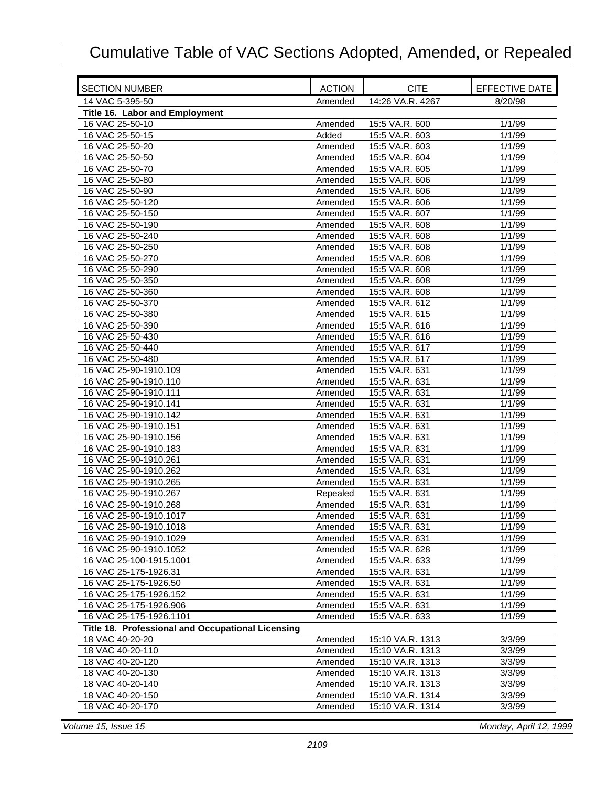| <b>SECTION NUMBER</b>                             | <b>ACTION</b> | <b>CITE</b>      | EFFECTIVE DATE |
|---------------------------------------------------|---------------|------------------|----------------|
| 14 VAC 5-395-50                                   | Amended       | 14:26 VA.R. 4267 | 8/20/98        |
| Title 16. Labor and Employment                    |               |                  |                |
| 16 VAC 25-50-10                                   | Amended       | 15:5 VA.R. 600   | 1/1/99         |
| 16 VAC 25-50-15                                   | Added         | 15:5 VA.R. 603   | 1/1/99         |
| 16 VAC 25-50-20                                   | Amended       | 15:5 VA.R. 603   | 1/1/99         |
| 16 VAC 25-50-50                                   | Amended       | 15:5 VA.R. 604   | 1/1/99         |
| 16 VAC 25-50-70                                   | Amended       | 15:5 VA.R. 605   | 1/1/99         |
| 16 VAC 25-50-80                                   | Amended       | 15:5 VA.R. 606   | 1/1/99         |
| 16 VAC 25-50-90                                   | Amended       | 15:5 VA.R. 606   | 1/1/99         |
| 16 VAC 25-50-120                                  | Amended       | 15:5 VA.R. 606   | 1/1/99         |
| 16 VAC 25-50-150                                  | Amended       | 15:5 VA.R. 607   | 1/1/99         |
| 16 VAC 25-50-190                                  | Amended       | 15:5 VA.R. 608   | 1/1/99         |
| 16 VAC 25-50-240                                  | Amended       | 15:5 VA.R. 608   | 1/1/99         |
| 16 VAC 25-50-250                                  | Amended       | 15:5 VA.R. 608   | 1/1/99         |
| 16 VAC 25-50-270                                  | Amended       | 15:5 VA.R. 608   | 1/1/99         |
| 16 VAC 25-50-290                                  | Amended       | 15:5 VA.R. 608   | 1/1/99         |
| 16 VAC 25-50-350                                  | Amended       | 15:5 VA.R. 608   | 1/1/99         |
| 16 VAC 25-50-360                                  | Amended       | 15:5 VA.R. 608   | 1/1/99         |
| 16 VAC 25-50-370                                  | Amended       | 15:5 VA.R. 612   | 1/1/99         |
| 16 VAC 25-50-380                                  | Amended       | 15:5 VA.R. 615   | 1/1/99         |
| 16 VAC 25-50-390                                  | Amended       | 15:5 VA.R. 616   | 1/1/99         |
| 16 VAC 25-50-430                                  | Amended       | 15:5 VA.R. 616   | 1/1/99         |
| 16 VAC 25-50-440                                  | Amended       | 15:5 VA.R. 617   | 1/1/99         |
| 16 VAC 25-50-480                                  | Amended       | 15:5 VA.R. 617   | 1/1/99         |
| 16 VAC 25-90-1910.109                             | Amended       | 15:5 VA.R. 631   | 1/1/99         |
| 16 VAC 25-90-1910.110                             | Amended       | 15:5 VA.R. 631   | 1/1/99         |
| 16 VAC 25-90-1910.111                             | Amended       | 15:5 VA.R. 631   | 1/1/99         |
| 16 VAC 25-90-1910.141                             | Amended       | 15:5 VA.R. 631   | 1/1/99         |
| 16 VAC 25-90-1910.142                             | Amended       | 15:5 VA.R. 631   | 1/1/99         |
| 16 VAC 25-90-1910.151                             | Amended       | 15:5 VA.R. 631   | 1/1/99         |
| 16 VAC 25-90-1910.156                             | Amended       | 15:5 VA.R. 631   | 1/1/99         |
| 16 VAC 25-90-1910.183                             | Amended       | 15:5 VA.R. 631   | 1/1/99         |
| 16 VAC 25-90-1910.261                             | Amended       | 15:5 VA.R. 631   | 1/1/99         |
| 16 VAC 25-90-1910.262                             | Amended       | 15:5 VA.R. 631   | 1/1/99         |
| 16 VAC 25-90-1910.265                             | Amended       | 15:5 VA.R. 631   | 1/1/99         |
| 16 VAC 25-90-1910.267                             | Repealed      | 15:5 VA.R. 631   | 1/1/99         |
| 16 VAC 25-90-1910.268                             | Amended       | 15:5 VA.R. 631   | 1/1/99         |
| 16 VAC 25-90-1910.1017                            | Amended       | 15:5 VA.R. 631   | 1/1/99         |
| 16 VAC 25-90-1910.1018                            | Amended       | 15:5 VA.R. 631   | 1/1/99         |
| 16 VAC 25-90-1910.1029                            | Amended       | 15:5 VA.R. 631   | 1/1/99         |
| 16 VAC 25-90-1910.1052                            | Amended       | 15:5 VA.R. 628   | 1/1/99         |
| 16 VAC 25-100-1915.1001                           | Amended       | 15:5 VA.R. 633   | 1/1/99         |
| 16 VAC 25-175-1926.31                             | Amended       | 15:5 VA.R. 631   | 1/1/99         |
| 16 VAC 25-175-1926.50                             | Amended       | 15:5 VA.R. 631   | 1/1/99         |
| 16 VAC 25-175-1926.152                            | Amended       | 15:5 VA.R. 631   | 1/1/99         |
| 16 VAC 25-175-1926.906                            | Amended       | 15:5 VA.R. 631   | 1/1/99         |
| 16 VAC 25-175-1926.1101                           | Amended       | 15:5 VA.R. 633   | 1/1/99         |
| Title 18. Professional and Occupational Licensing |               |                  |                |
| 18 VAC 40-20-20                                   | Amended       | 15:10 VA.R. 1313 | 3/3/99         |
| 18 VAC 40-20-110                                  | Amended       | 15:10 VA.R. 1313 | 3/3/99         |
| 18 VAC 40-20-120                                  | Amended       | 15:10 VA.R. 1313 | 3/3/99         |
| 18 VAC 40-20-130                                  | Amended       | 15:10 VA.R. 1313 | 3/3/99         |
| 18 VAC 40-20-140                                  | Amended       | 15:10 VA.R. 1313 | 3/3/99         |
| 18 VAC 40-20-150                                  | Amended       | 15:10 VA.R. 1314 | 3/3/99         |
| 18 VAC 40-20-170                                  | Amended       | 15:10 VA.R. 1314 | 3/3/99         |

*Volume 15, Issue 15 Monday, April 12, 1999*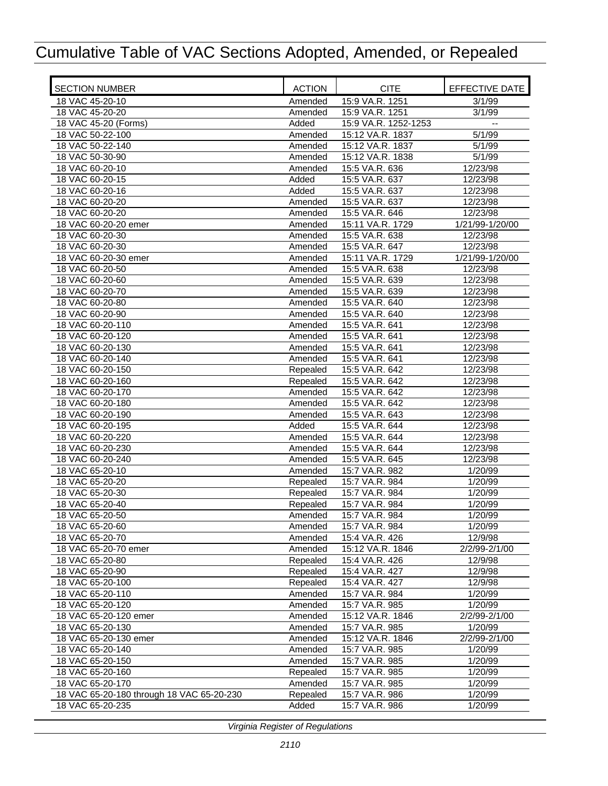| <b>SECTION NUMBER</b>                     | <b>ACTION</b>      | <b>CITE</b>                      | EFFECTIVE DATE      |
|-------------------------------------------|--------------------|----------------------------------|---------------------|
| 18 VAC 45-20-10                           | Amended            | 15:9 VA.R. 1251                  | 3/1/99              |
| 18 VAC 45-20-20                           | Amended            | 15:9 VA.R. 1251                  | 3/1/99              |
| 18 VAC 45-20 (Forms)                      | Added              | 15:9 VA.R. 1252-1253             | $-$                 |
| 18 VAC 50-22-100                          | Amended            | 15:12 VA.R. 1837                 | 5/1/99              |
| 18 VAC 50-22-140                          | Amended            | 15:12 VA.R. 1837                 | 5/1/99              |
| 18 VAC 50-30-90                           | Amended            | 15:12 VA.R. 1838                 | 5/1/99              |
| 18 VAC 60-20-10                           | Amended            | 15:5 VA.R. 636                   | 12/23/98            |
| 18 VAC 60-20-15                           | Added              | 15:5 VA.R. 637                   | 12/23/98            |
| 18 VAC 60-20-16                           | Added              | 15:5 VA.R. 637                   | 12/23/98            |
| 18 VAC 60-20-20                           | Amended            | 15:5 VA.R. 637                   | 12/23/98            |
| 18 VAC 60-20-20                           | Amended            | 15:5 VA.R. 646                   | 12/23/98            |
| 18 VAC 60-20-20 emer                      | Amended            | 15:11 VA.R. 1729                 | 1/21/99-1/20/00     |
| 18 VAC 60-20-30                           | Amended            | 15:5 VA.R. 638                   | 12/23/98            |
| 18 VAC 60-20-30                           | Amended            | 15:5 VA.R. 647                   | 12/23/98            |
| 18 VAC 60-20-30 emer                      | Amended            | 15:11 VA.R. 1729                 | 1/21/99-1/20/00     |
| 18 VAC 60-20-50                           | Amended            | 15:5 VA.R. 638                   | 12/23/98            |
| 18 VAC 60-20-60                           | Amended            | 15:5 VA.R. 639                   | 12/23/98            |
| 18 VAC 60-20-70                           | Amended            | 15:5 VA.R. 639                   | 12/23/98            |
| 18 VAC 60-20-80                           | Amended            | 15:5 VA.R. 640                   | 12/23/98            |
| 18 VAC 60-20-90                           | Amended            | 15:5 VA.R. 640                   | 12/23/98            |
| 18 VAC 60-20-110                          | Amended            | 15:5 VA.R. 641                   | 12/23/98            |
| 18 VAC 60-20-120                          | Amended            | 15:5 VA.R. 641                   | 12/23/98            |
| 18 VAC 60-20-130                          | Amended            | 15:5 VA.R. 641                   | 12/23/98            |
| 18 VAC 60-20-140                          | Amended            | 15:5 VA.R. 641                   | 12/23/98            |
| 18 VAC 60-20-150                          | Repealed           | 15:5 VA.R. 642                   | 12/23/98            |
| 18 VAC 60-20-160                          | Repealed           | 15:5 VA.R. 642                   | 12/23/98            |
| 18 VAC 60-20-170                          | Amended            | 15:5 VA.R. 642                   | 12/23/98            |
| 18 VAC 60-20-180                          | Amended            | 15:5 VA.R. 642                   | 12/23/98            |
| 18 VAC 60-20-190                          | Amended            | 15:5 VA.R. 643                   | 12/23/98            |
| 18 VAC 60-20-195                          | Added              | 15:5 VA.R. 644                   | 12/23/98            |
| 18 VAC 60-20-220                          | Amended            | 15:5 VA.R. 644<br>15:5 VA.R. 644 | 12/23/98            |
| 18 VAC 60-20-230<br>18 VAC 60-20-240      | Amended            | 15:5 VA.R. 645                   | 12/23/98            |
| 18 VAC 65-20-10                           | Amended<br>Amended | 15:7 VA.R. 982                   | 12/23/98<br>1/20/99 |
| 18 VAC 65-20-20                           | Repealed           | 15:7 VA.R. 984                   | 1/20/99             |
| 18 VAC 65-20-30                           | Repealed           | 15:7 VA.R. 984                   | 1/20/99             |
| 18 VAC 65-20-40                           | Repealed           | 15:7 VA.R. 984                   | 1/20/99             |
| 18 VAC 65-20-50                           | Amended            | 15:7 VA.R. 984                   | 1/20/99             |
| 18 VAC 65-20-60                           | Amended            | 15:7 VA.R. 984                   | 1/20/99             |
| 18 VAC 65-20-70                           | Amended            | 15:4 VA.R. 426                   | 12/9/98             |
| 18 VAC 65-20-70 emer                      | Amended            | 15:12 VA.R. 1846                 | 2/2/99-2/1/00       |
| 18 VAC 65-20-80                           | Repealed           | 15:4 VA.R. 426                   | 12/9/98             |
| 18 VAC 65-20-90                           | Repealed           | 15:4 VA.R. 427                   | 12/9/98             |
| 18 VAC 65-20-100                          | Repealed           | 15:4 VA.R. 427                   | 12/9/98             |
| 18 VAC 65-20-110                          | Amended            | 15:7 VA.R. 984                   | 1/20/99             |
| 18 VAC 65-20-120                          | Amended            | 15:7 VA.R. 985                   | 1/20/99             |
| 18 VAC 65-20-120 emer                     | Amended            | 15:12 VA.R. 1846                 | 2/2/99-2/1/00       |
| 18 VAC 65-20-130                          | Amended            | 15:7 VA.R. 985                   | 1/20/99             |
| 18 VAC 65-20-130 emer                     | Amended            | 15:12 VA.R. 1846                 | 2/2/99-2/1/00       |
| 18 VAC 65-20-140                          | Amended            | 15:7 VA.R. 985                   | 1/20/99             |
| 18 VAC 65-20-150                          | Amended            | 15:7 VA.R. 985                   | 1/20/99             |
| 18 VAC 65-20-160                          | Repealed           | 15:7 VA.R. 985                   | 1/20/99             |
| 18 VAC 65-20-170                          | Amended            | 15:7 VA.R. 985                   | 1/20/99             |
| 18 VAC 65-20-180 through 18 VAC 65-20-230 | Repealed           | 15:7 VA.R. 986                   | 1/20/99             |
| 18 VAC 65-20-235                          | Added              | 15:7 VA.R. 986                   | 1/20/99             |
|                                           |                    |                                  |                     |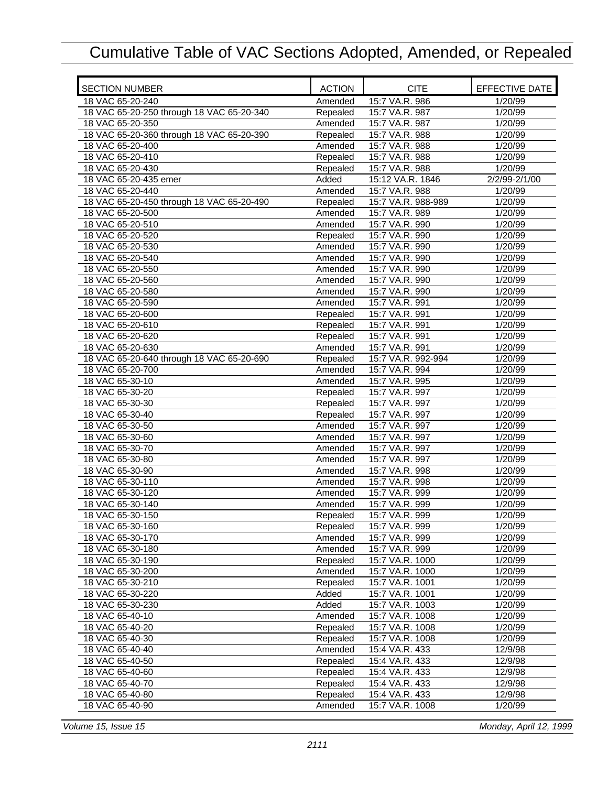| <b>SECTION NUMBER</b>                     | <b>ACTION</b> | <b>CITE</b>        | EFFECTIVE DATE |
|-------------------------------------------|---------------|--------------------|----------------|
| 18 VAC 65-20-240                          | Amended       | 15:7 VA.R. 986     | 1/20/99        |
| 18 VAC 65-20-250 through 18 VAC 65-20-340 | Repealed      | 15:7 VA.R. 987     | 1/20/99        |
| 18 VAC 65-20-350                          | Amended       | 15:7 VA.R. 987     | 1/20/99        |
| 18 VAC 65-20-360 through 18 VAC 65-20-390 | Repealed      | 15:7 VA.R. 988     | 1/20/99        |
| 18 VAC 65-20-400                          | Amended       | 15:7 VA.R. 988     | 1/20/99        |
| 18 VAC 65-20-410                          | Repealed      | 15:7 VA.R. 988     | 1/20/99        |
| 18 VAC 65-20-430                          | Repealed      | 15:7 VA.R. 988     | 1/20/99        |
| 18 VAC 65-20-435 emer                     | Added         | 15:12 VA.R. 1846   | 2/2/99-2/1/00  |
| 18 VAC 65-20-440                          | Amended       | 15:7 VA.R. 988     | 1/20/99        |
| 18 VAC 65-20-450 through 18 VAC 65-20-490 | Repealed      | 15:7 VA.R. 988-989 | 1/20/99        |
| 18 VAC 65-20-500                          | Amended       | 15:7 VA.R. 989     | 1/20/99        |
| 18 VAC 65-20-510                          | Amended       | 15:7 VA.R. 990     | 1/20/99        |
| 18 VAC 65-20-520                          | Repealed      | 15:7 VA.R. 990     | 1/20/99        |
| 18 VAC 65-20-530                          | Amended       | 15:7 VA.R. 990     | 1/20/99        |
| 18 VAC 65-20-540                          | Amended       | 15:7 VA.R. 990     | 1/20/99        |
| 18 VAC 65-20-550                          | Amended       | 15:7 VA.R. 990     | 1/20/99        |
| 18 VAC 65-20-560                          | Amended       | 15:7 VA.R. 990     | 1/20/99        |
| 18 VAC 65-20-580                          | Amended       | 15:7 VA.R. 990     | 1/20/99        |
| 18 VAC 65-20-590                          | Amended       | 15:7 VA.R. 991     | 1/20/99        |
| 18 VAC 65-20-600                          | Repealed      | 15:7 VA.R. 991     | 1/20/99        |
| 18 VAC 65-20-610                          | Repealed      | 15:7 VA.R. 991     | 1/20/99        |
| 18 VAC 65-20-620                          | Repealed      | 15:7 VA.R. 991     | 1/20/99        |
| 18 VAC 65-20-630                          | Amended       | 15:7 VA.R. 991     | 1/20/99        |
| 18 VAC 65-20-640 through 18 VAC 65-20-690 | Repealed      | 15:7 VA.R. 992-994 | 1/20/99        |
| 18 VAC 65-20-700                          | Amended       | 15:7 VA.R. 994     | 1/20/99        |
| 18 VAC 65-30-10                           | Amended       | 15:7 VA.R. 995     | 1/20/99        |
| 18 VAC 65-30-20                           | Repealed      | 15:7 VA.R. 997     | 1/20/99        |
| 18 VAC 65-30-30                           | Repealed      | 15:7 VA.R. 997     | 1/20/99        |
| 18 VAC 65-30-40                           | Repealed      | 15:7 VA.R. 997     | 1/20/99        |
| 18 VAC 65-30-50                           | Amended       | 15:7 VA.R. 997     | 1/20/99        |
| 18 VAC 65-30-60                           | Amended       | 15:7 VA.R. 997     | 1/20/99        |
| 18 VAC 65-30-70                           | Amended       | 15:7 VA.R. 997     | 1/20/99        |
| 18 VAC 65-30-80                           | Amended       | 15:7 VA.R. 997     | 1/20/99        |
| 18 VAC 65-30-90                           | Amended       | 15:7 VA.R. 998     | 1/20/99        |
| 18 VAC 65-30-110                          | Amended       | 15:7 VA.R. 998     | 1/20/99        |
| 18 VAC 65-30-120                          | Amended       | 15:7 VA.R. 999     | 1/20/99        |
| 18 VAC 65-30-140                          | Amended       | 15:7 VA.R. 999     | 1/20/99        |
| 18 VAC 65-30-150                          | Repealed      | 15:7 VA.R. 999     | 1/20/99        |
| 18 VAC 65-30-160                          | Repealed      | 15:7 VA.R. 999     | 1/20/99        |
| 18 VAC 65-30-170                          | Amended       | 15:7 VA.R. 999     | 1/20/99        |
| 18 VAC 65-30-180                          | Amended       | 15:7 VA.R. 999     | 1/20/99        |
| 18 VAC 65-30-190                          | Repealed      | 15:7 VA.R. 1000    | 1/20/99        |
| 18 VAC 65-30-200                          | Amended       | 15:7 VA.R. 1000    | 1/20/99        |
| 18 VAC 65-30-210                          | Repealed      | 15:7 VA.R. 1001    | 1/20/99        |
| 18 VAC 65-30-220                          | Added         | 15:7 VA.R. 1001    | 1/20/99        |
| 18 VAC 65-30-230                          | Added         | 15:7 VA.R. 1003    | 1/20/99        |
| 18 VAC 65-40-10                           | Amended       | 15:7 VA.R. 1008    | 1/20/99        |
| 18 VAC 65-40-20                           | Repealed      | 15:7 VA.R. 1008    | 1/20/99        |
| 18 VAC 65-40-30                           | Repealed      | 15:7 VA.R. 1008    | 1/20/99        |
| 18 VAC 65-40-40                           | Amended       | 15:4 VA.R. 433     | 12/9/98        |
| 18 VAC 65-40-50                           | Repealed      | 15:4 VA.R. 433     | 12/9/98        |
| 18 VAC 65-40-60                           | Repealed      | 15:4 VA.R. 433     | 12/9/98        |
| 18 VAC 65-40-70                           | Repealed      | 15:4 VA.R. 433     | 12/9/98        |
| 18 VAC 65-40-80                           | Repealed      | 15:4 VA.R. 433     | 12/9/98        |
| 18 VAC 65-40-90                           | Amended       | 15:7 VA.R. 1008    | 1/20/99        |

*Volume 15, Issue 15 Monday, April 12, 1999*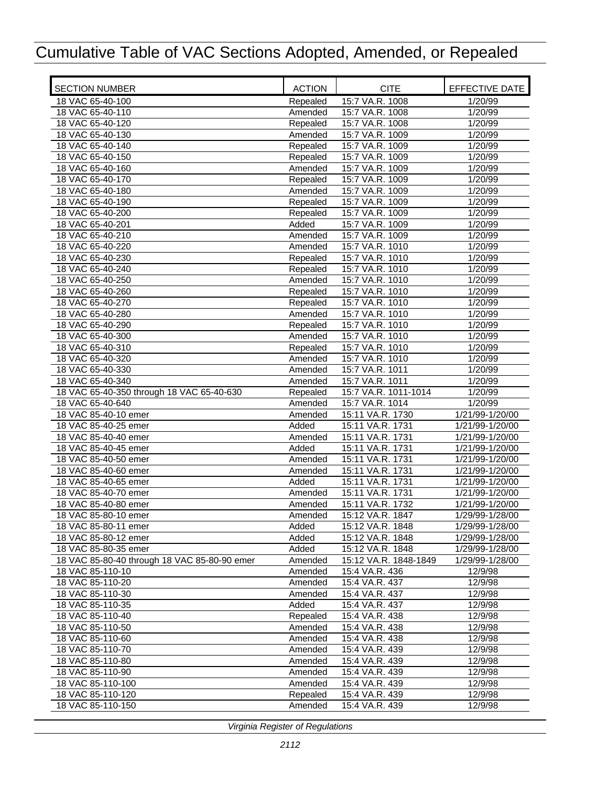| <b>SECTION NUMBER</b>                        | <b>ACTION</b> | <b>CITE</b>           | EFFECTIVE DATE     |
|----------------------------------------------|---------------|-----------------------|--------------------|
| 18 VAC 65-40-100                             | Repealed      | 15:7 VA.R. 1008       | 1/20/99            |
| 18 VAC 65-40-110                             | Amended       | 15:7 VA.R. 1008       | 1/20/99            |
| 18 VAC 65-40-120                             | Repealed      | 15:7 VA.R. 1008       | 1/20/99            |
| 18 VAC 65-40-130                             | Amended       | 15:7 VA.R. 1009       | 1/20/99            |
| 18 VAC 65-40-140                             | Repealed      | 15:7 VA.R. 1009       | 1/20/99            |
| 18 VAC 65-40-150                             | Repealed      | 15:7 VA.R. 1009       | 1/20/99            |
| 18 VAC 65-40-160                             | Amended       | 15:7 VA.R. 1009       | 1/20/99            |
| 18 VAC 65-40-170                             | Repealed      | 15:7 VA.R. 1009       | 1/20/99            |
| 18 VAC 65-40-180                             | Amended       | 15:7 VA.R. 1009       | $\frac{1}{20/99}$  |
| 18 VAC 65-40-190                             | Repealed      | 15:7 VA.R. 1009       | 1/20/99            |
| 18 VAC 65-40-200                             | Repealed      | 15:7 VA.R. 1009       | 1/20/99            |
| 18 VAC 65-40-201                             | Added         | 15:7 VA.R. 1009       | 1/20/99            |
| 18 VAC 65-40-210                             | Amended       | 15:7 VA.R. 1009       | 1/20/99            |
| 18 VAC 65-40-220                             | Amended       | 15:7 VA.R. 1010       | $\frac{1}{20/99}$  |
| 18 VAC 65-40-230                             | Repealed      | 15:7 VA.R. 1010       | 1/20/99            |
| 18 VAC 65-40-240                             | Repealed      | 15:7 VA.R. 1010       | 1/20/99            |
| 18 VAC 65-40-250                             | Amended       | 15:7 VA.R. 1010       | 1/20/99            |
| 18 VAC 65-40-260                             | Repealed      | 15:7 VA.R. 1010       | 1/20/99            |
| 18 VAC 65-40-270                             | Repealed      | 15:7 VA.R. 1010       | 1/20/99            |
| 18 VAC 65-40-280                             | Amended       | 15:7 VA.R. 1010       | 1/20/99            |
| 18 VAC 65-40-290                             | Repealed      | 15:7 VA.R. 1010       | 1/20/99            |
| 18 VAC 65-40-300                             | Amended       | 15:7 VA.R. 1010       | 1/20/99            |
| 18 VAC 65-40-310                             | Repealed      | 15:7 VA.R. 1010       | $\frac{1}{20/99}$  |
| 18 VAC 65-40-320                             | Amended       | 15:7 VA.R. 1010       | 1/20/99            |
| 18 VAC 65-40-330                             | Amended       | 15:7 VA.R. 1011       | 1/20/99            |
| 18 VAC 65-40-340                             | Amended       | 15:7 VA.R. 1011       | 1/20/99            |
| 18 VAC 65-40-350 through 18 VAC 65-40-630    | Repealed      | 15:7 VA.R. 1011-1014  | 1/20/99            |
| 18 VAC 65-40-640                             | Amended       | 15:7 VA.R. 1014       | 1/20/99            |
| 18 VAC 85-40-10 emer                         | Amended       | 15:11 VA.R. 1730      | 1/21/99-1/20/00    |
| 18 VAC 85-40-25 emer                         | Added         | 15:11 VA.R. 1731      | 1/21/99-1/20/00    |
| 18 VAC 85-40-40 emer                         | Amended       | 15:11 VA.R. 1731      | 1/21/99-1/20/00    |
| 18 VAC 85-40-45 emer                         | Added         | 15:11 VA.R. 1731      | 1/21/99-1/20/00    |
| 18 VAC 85-40-50 emer                         | Amended       | 15:11 VA.R. 1731      | 1/21/99-1/20/00    |
| 18 VAC 85-40-60 emer                         | Amended       | 15:11 VA.R. 1731      | 1/21/99-1/20/00    |
| 18 VAC 85-40-65 emer                         | Added         | 15:11 VA.R. 1731      | 1/21/99-1/20/00    |
| 18 VAC 85-40-70 emer                         | Amended       | 15:11 VA.R. 1731      | 1/21/99-1/20/00    |
| 18 VAC 85-40-80 emer                         | Amended       | 15:11 VA.R. 1732      | 1/21/99-1/20/00    |
| 18 VAC 85-80-10 emer                         | Amended       | 15:12 VA.R. 1847      | 1/29/99-1/28/00    |
| 18 VAC 85-80-11 emer                         | Added         | 15:12 VA.R. 1848      | 1/29/99-1/28/00    |
| 18 VAC 85-80-12 emer                         | Added         | 15:12 VA.R. 1848      | 1/29/99-1/28/00    |
| 18 VAC 85-80-35 emer                         | Added         | 15:12 VA.R. 1848      | 1/29/99-1/28/00    |
| 18 VAC 85-80-40 through 18 VAC 85-80-90 emer | Amended       | 15:12 VA.R. 1848-1849 | 1/29/99-1/28/00    |
| 18 VAC 85-110-10                             | Amended       | 15:4 VA.R. 436        | 12/9/98            |
| 18 VAC 85-110-20                             | Amended       | 15:4 VA.R. 437        | 12/9/98            |
| 18 VAC 85-110-30                             | Amended       | 15:4 VA.R. 437        | 12/9/98            |
| 18 VAC 85-110-35                             | Added         | 15:4 VA.R. 437        | 12/9/98            |
| 18 VAC 85-110-40                             | Repealed      | 15:4 VA.R. 438        | 12/9/98            |
| 18 VAC 85-110-50                             | Amended       | 15:4 VA.R. 438        | 12/9/98            |
| 18 VAC 85-110-60                             | Amended       | 15:4 VA.R. 438        | 12/9/98            |
| 18 VAC 85-110-70                             | Amended       | 15:4 VA.R. 439        | $\frac{1}{2}/9/98$ |
| 18 VAC 85-110-80                             | Amended       | 15:4 VA.R. 439        | 12/9/98            |
| 18 VAC 85-110-90                             | Amended       | 15:4 VA.R. 439        | 12/9/98            |
| 18 VAC 85-110-100                            | Amended       | 15:4 VA.R. 439        | 12/9/98            |
| 18 VAC 85-110-120                            | Repealed      | 15:4 VA.R. 439        | 12/9/98            |
| 18 VAC 85-110-150                            | Amended       | 15:4 VA.R. 439        | 12/9/98            |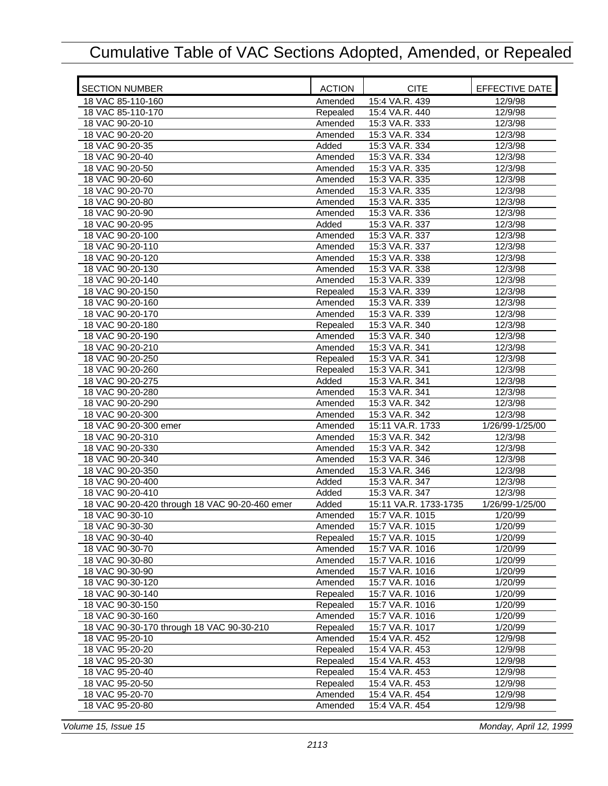| <b>SECTION NUMBER</b>                          | <b>ACTION</b> | <b>CITE</b>           | EFFECTIVE DATE  |
|------------------------------------------------|---------------|-----------------------|-----------------|
| 18 VAC 85-110-160                              | Amended       | 15:4 VA.R. 439        | 12/9/98         |
| 18 VAC 85-110-170                              | Repealed      | 15:4 VA.R. 440        | 12/9/98         |
| 18 VAC 90-20-10                                | Amended       | 15:3 VA.R. 333        | 12/3/98         |
| 18 VAC 90-20-20                                | Amended       | 15:3 VA.R. 334        | 12/3/98         |
| 18 VAC 90-20-35                                | Added         | 15:3 VA.R. 334        | 12/3/98         |
| 18 VAC 90-20-40                                | Amended       | 15:3 VA.R. 334        | 12/3/98         |
| 18 VAC 90-20-50                                | Amended       | 15:3 VA.R. 335        | 12/3/98         |
| 18 VAC 90-20-60                                | Amended       | 15:3 VA.R. 335        | 12/3/98         |
| 18 VAC 90-20-70                                | Amended       | 15:3 VA.R. 335        | 12/3/98         |
| 18 VAC 90-20-80                                | Amended       | 15:3 VA.R. 335        | 12/3/98         |
| 18 VAC 90-20-90                                | Amended       | 15:3 VA.R. 336        | 12/3/98         |
| 18 VAC 90-20-95                                | Added         | 15:3 VA.R. 337        | 12/3/98         |
| 18 VAC 90-20-100                               | Amended       | 15:3 VA.R. 337        | 12/3/98         |
| 18 VAC 90-20-110                               | Amended       | 15:3 VA.R. 337        | 12/3/98         |
| 18 VAC 90-20-120                               | Amended       | 15:3 VA.R. 338        | 12/3/98         |
| 18 VAC 90-20-130                               | Amended       | 15:3 VA.R. 338        | 12/3/98         |
| 18 VAC 90-20-140                               | Amended       | 15:3 VA.R. 339        | 12/3/98         |
| 18 VAC 90-20-150                               | Repealed      | 15:3 VA.R. 339        | 12/3/98         |
| 18 VAC 90-20-160                               | Amended       | 15:3 VA.R. 339        | 12/3/98         |
| 18 VAC 90-20-170                               | Amended       | 15:3 VA.R. 339        | 12/3/98         |
| 18 VAC 90-20-180                               | Repealed      | 15:3 VA.R. 340        | 12/3/98         |
| 18 VAC 90-20-190                               | Amended       | 15:3 VA.R. 340        | 12/3/98         |
| 18 VAC 90-20-210                               | Amended       | 15:3 VA.R. 341        | 12/3/98         |
| 18 VAC 90-20-250                               | Repealed      | 15:3 VA.R. 341        | 12/3/98         |
| 18 VAC 90-20-260                               | Repealed      | 15:3 VA.R. 341        | 12/3/98         |
| 18 VAC 90-20-275                               | Added         | 15:3 VA.R. 341        | 12/3/98         |
| 18 VAC 90-20-280                               | Amended       | 15:3 VA.R. 341        | 12/3/98         |
| 18 VAC 90-20-290                               | Amended       | 15:3 VA.R. 342        | 12/3/98         |
| 18 VAC 90-20-300                               | Amended       | 15:3 VA.R. 342        | 12/3/98         |
| 18 VAC 90-20-300 emer                          | Amended       | 15:11 VA.R. 1733      | 1/26/99-1/25/00 |
| 18 VAC 90-20-310                               | Amended       | 15:3 VA.R. 342        | 12/3/98         |
| 18 VAC 90-20-330                               | Amended       | 15:3 VA.R. 342        | 12/3/98         |
| 18 VAC 90-20-340                               | Amended       | 15:3 VA.R. 346        | 12/3/98         |
| 18 VAC 90-20-350                               | Amended       | 15:3 VA.R. 346        | 12/3/98         |
| 18 VAC 90-20-400                               | Added         | 15:3 VA.R. 347        | 12/3/98         |
| 18 VAC 90-20-410                               | Added         | 15:3 VA.R. 347        | 12/3/98         |
| 18 VAC 90-20-420 through 18 VAC 90-20-460 emer | Added         | 15:11 VA.R. 1733-1735 | 1/26/99-1/25/00 |
| 18 VAC 90-30-10                                | Amended       | 15:7 VA.R. 1015       | 1/20/99         |
| 18 VAC 90-30-30                                | Amended       | 15:7 VA.R. 1015       | 1/20/99         |
| 18 VAC 90-30-40                                | Repealed      | 15:7 VA.R. 1015       | 1/20/99         |
| 18 VAC 90-30-70                                | Amended       | 15:7 VA.R. 1016       | 1/20/99         |
| 18 VAC 90-30-80                                | Amended       | 15:7 VA.R. 1016       | 1/20/99         |
| 18 VAC 90-30-90                                | Amended       | 15:7 VA.R. 1016       | 1/20/99         |
| 18 VAC 90-30-120                               | Amended       | 15:7 VA.R. 1016       | 1/20/99         |
| 18 VAC 90-30-140                               | Repealed      | 15:7 VA.R. 1016       | 1/20/99         |
| 18 VAC 90-30-150                               | Repealed      | 15:7 VA.R. 1016       | 1/20/99         |
| 18 VAC 90-30-160                               | Amended       | 15:7 VA.R. 1016       | 1/20/99         |
| 18 VAC 90-30-170 through 18 VAC 90-30-210      | Repealed      | 15:7 VA.R. 1017       | 1/20/99         |
| 18 VAC 95-20-10                                | Amended       | 15:4 VA.R. 452        | 12/9/98         |
| 18 VAC 95-20-20                                | Repealed      | 15:4 VA.R. 453        | 12/9/98         |
| 18 VAC 95-20-30                                | Repealed      | 15:4 VA.R. 453        | 12/9/98         |
| 18 VAC 95-20-40                                | Repealed      | 15:4 VA.R. 453        | 12/9/98         |
| 18 VAC 95-20-50                                | Repealed      | 15:4 VA.R. 453        | 12/9/98         |
| 18 VAC 95-20-70                                | Amended       | 15:4 VA.R. 454        | 12/9/98         |
| 18 VAC 95-20-80                                | Amended       | 15:4 VA.R. 454        | 12/9/98         |

*Volume 15, Issue 15 Monday, April 12, 1999*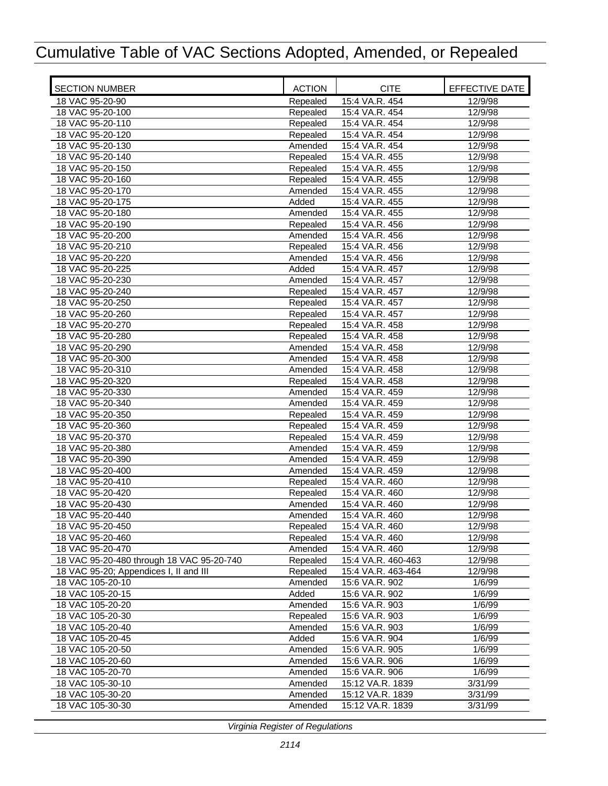| <b>SECTION NUMBER</b>                     | <b>ACTION</b> | <b>CITE</b>        | EFFECTIVE DATE |
|-------------------------------------------|---------------|--------------------|----------------|
| 18 VAC 95-20-90                           | Repealed      | 15:4 VA.R. 454     | 12/9/98        |
| 18 VAC 95-20-100                          | Repealed      | 15:4 VA.R. 454     | 12/9/98        |
| 18 VAC 95-20-110                          | Repealed      | 15:4 VA.R. 454     | 12/9/98        |
| 18 VAC 95-20-120                          | Repealed      | 15:4 VA.R. 454     | 12/9/98        |
| 18 VAC 95-20-130                          | Amended       | 15:4 VA.R. 454     | 12/9/98        |
| 18 VAC 95-20-140                          | Repealed      | 15:4 VA.R. 455     | 12/9/98        |
| 18 VAC 95-20-150                          | Repealed      | 15:4 VA.R. 455     | 12/9/98        |
| 18 VAC 95-20-160                          | Repealed      | 15:4 VA.R. 455     | 12/9/98        |
| 18 VAC 95-20-170                          | Amended       | 15:4 VA.R. 455     | 12/9/98        |
| 18 VAC 95-20-175                          | Added         | 15:4 VA.R. 455     | 12/9/98        |
| 18 VAC 95-20-180                          | Amended       | 15:4 VA.R. 455     | 12/9/98        |
| 18 VAC 95-20-190                          | Repealed      | 15:4 VA.R. 456     | 12/9/98        |
| 18 VAC 95-20-200                          | Amended       | 15:4 VA.R. 456     | 12/9/98        |
| 18 VAC 95-20-210                          | Repealed      | 15:4 VA.R. 456     | 12/9/98        |
| 18 VAC 95-20-220                          | Amended       | 15:4 VA.R. 456     | 12/9/98        |
| 18 VAC 95-20-225                          | Added         | 15:4 VA.R. 457     | 12/9/98        |
| 18 VAC 95-20-230                          | Amended       | 15:4 VA.R. 457     | 12/9/98        |
| 18 VAC 95-20-240                          | Repealed      | 15:4 VA.R. 457     | 12/9/98        |
| 18 VAC 95-20-250                          | Repealed      | 15:4 VA.R. 457     | 12/9/98        |
| 18 VAC 95-20-260                          | Repealed      | 15:4 VA.R. 457     | 12/9/98        |
| 18 VAC 95-20-270                          | Repealed      | 15:4 VA.R. 458     | 12/9/98        |
| 18 VAC 95-20-280                          | Repealed      | 15:4 VA.R. 458     | 12/9/98        |
| 18 VAC 95-20-290                          | Amended       | 15:4 VA.R. 458     | 12/9/98        |
| 18 VAC 95-20-300                          | Amended       | 15:4 VA.R. 458     | 12/9/98        |
| 18 VAC 95-20-310                          | Amended       | 15:4 VA.R. 458     | 12/9/98        |
| 18 VAC 95-20-320                          | Repealed      | 15:4 VA.R. 458     | 12/9/98        |
| 18 VAC 95-20-330                          | Amended       | 15:4 VA.R. 459     | 12/9/98        |
| 18 VAC 95-20-340                          | Amended       | 15:4 VA.R. 459     | 12/9/98        |
| 18 VAC 95-20-350                          | Repealed      | 15:4 VA.R. 459     | 12/9/98        |
| 18 VAC 95-20-360                          | Repealed      | 15:4 VA.R. 459     | 12/9/98        |
| 18 VAC 95-20-370                          | Repealed      | 15:4 VA.R. 459     | 12/9/98        |
| 18 VAC 95-20-380                          | Amended       | 15:4 VA.R. 459     | 12/9/98        |
| 18 VAC 95-20-390                          | Amended       | 15:4 VA.R. 459     | 12/9/98        |
| 18 VAC 95-20-400                          | Amended       | 15:4 VA.R. 459     | 12/9/98        |
| 18 VAC 95-20-410                          | Repealed      | 15:4 VA.R. 460     | 12/9/98        |
| 18 VAC 95-20-420                          | Repealed      | 15:4 VA.R. 460     | 12/9/98        |
| 18 VAC 95-20-430                          | Amended       | 15:4 VA.R. 460     | 12/9/98        |
| 18 VAC 95-20-440                          | Amended       | 15:4 VA.R. 460     | 12/9/98        |
| 18 VAC 95-20-450                          | Repealed      | 15:4 VA.R. 460     | 12/9/98        |
| 18 VAC 95-20-460                          | Repealed      | 15:4 VA.R. 460     | 12/9/98        |
| 18 VAC 95-20-470                          | Amended       | 15:4 VA.R. 460     | 12/9/98        |
| 18 VAC 95-20-480 through 18 VAC 95-20-740 | Repealed      | 15:4 VA.R. 460-463 | 12/9/98        |
| 18 VAC 95-20; Appendices I, II and III    | Repealed      | 15:4 VA.R. 463-464 | 12/9/98        |
| 18 VAC 105-20-10                          | Amended       | 15:6 VA.R. 902     | 1/6/99         |
| 18 VAC 105-20-15                          | Added         | 15:6 VA.R. 902     | 1/6/99         |
| 18 VAC 105-20-20                          | Amended       | 15:6 VA.R. 903     | 1/6/99         |
| 18 VAC 105-20-30                          | Repealed      | 15:6 VA.R. 903     | 1/6/99         |
| 18 VAC 105-20-40                          | Amended       | 15:6 VA.R. 903     | 1/6/99         |
| 18 VAC 105-20-45                          | Added         | 15:6 VA.R. 904     | 1/6/99         |
| 18 VAC 105-20-50                          | Amended       | 15:6 VA.R. 905     | 1/6/99         |
| 18 VAC 105-20-60                          | Amended       | 15:6 VA.R. 906     | 1/6/99         |
| 18 VAC 105-20-70                          | Amended       | 15:6 VA.R. 906     | 1/6/99         |
| 18 VAC 105-30-10                          | Amended       | 15:12 VA.R. 1839   | 3/31/99        |
| 18 VAC 105-30-20                          | Amended       | 15:12 VA.R. 1839   | 3/31/99        |
| 18 VAC 105-30-30                          | Amended       | 15:12 VA.R. 1839   | 3/31/99        |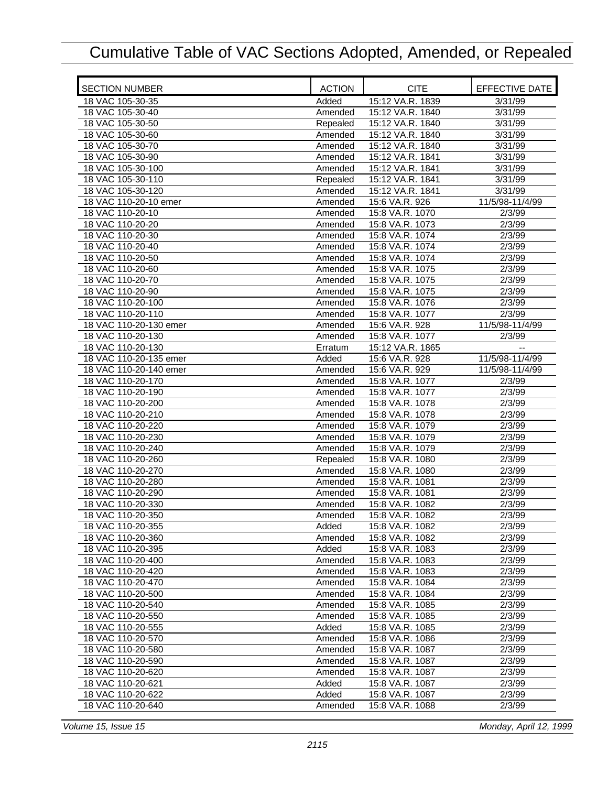| <b>SECTION NUMBER</b>                  | <b>ACTION</b>       | <b>CITE</b>                        | EFFECTIVE DATE   |
|----------------------------------------|---------------------|------------------------------------|------------------|
| 18 VAC 105-30-35                       | Added               | 15:12 VA.R. 1839                   | 3/31/99          |
| 18 VAC 105-30-40                       | Amended             | 15:12 VA.R. 1840                   | 3/31/99          |
| 18 VAC 105-30-50                       | Repealed            | 15:12 VA.R. 1840                   | 3/31/99          |
| 18 VAC 105-30-60                       | Amended             | 15:12 VA.R. 1840                   | 3/31/99          |
| 18 VAC 105-30-70                       | Amended             | 15:12 VA.R. 1840                   | 3/31/99          |
| 18 VAC 105-30-90                       | Amended             | 15:12 VA.R. 1841                   | 3/31/99          |
| 18 VAC 105-30-100                      | Amended             | 15:12 VA.R. 1841                   | 3/31/99          |
| 18 VAC 105-30-110                      | Repealed            | 15:12 VA.R. 1841                   | 3/31/99          |
| 18 VAC 105-30-120                      | Amended             | 15:12 VA.R. 1841                   | 3/31/99          |
| 18 VAC 110-20-10 emer                  | Amended             | 15:6 VA.R. 926                     | 11/5/98-11/4/99  |
| 18 VAC 110-20-10                       | Amended             | 15:8 VA.R. 1070                    | 2/3/99           |
| 18 VAC 110-20-20                       | Amended             | 15:8 VA.R. 1073                    | 2/3/99           |
| 18 VAC 110-20-30                       | Amended             | 15:8 VA.R. 1074                    | 2/3/99           |
| 18 VAC 110-20-40                       | Amended             | 15:8 VA.R. 1074                    | 2/3/99           |
| 18 VAC 110-20-50                       | Amended             | 15:8 VA.R. 1074                    | 2/3/99           |
| 18 VAC 110-20-60                       | Amended             | 15:8 VA.R. 1075                    | 2/3/99           |
| 18 VAC 110-20-70                       | Amended             | 15:8 VA.R. 1075                    | 2/3/99           |
| 18 VAC 110-20-90                       | Amended             | 15:8 VA.R. 1075                    | 2/3/99           |
| 18 VAC 110-20-100                      | Amended             | 15:8 VA.R. 1076                    | 2/3/99           |
| 18 VAC 110-20-110                      | Amended             | 15:8 VA.R. 1077                    | 2/3/99           |
| 18 VAC 110-20-130 emer                 | Amended             | 15:6 VA.R. 928                     | 11/5/98-11/4/99  |
| 18 VAC 110-20-130                      | Amended             | 15:8 VA.R. 1077                    | 2/3/99           |
| 18 VAC 110-20-130                      | Erratum             | 15:12 VA.R. 1865                   |                  |
| 18 VAC 110-20-135 emer                 | Added               | 15:6 VA.R. 928                     | 11/5/98-11/4/99  |
| 18 VAC 110-20-140 emer                 |                     | 15:6 VA.R. 929                     | 11/5/98-11/4/99  |
| 18 VAC 110-20-170                      | Amended             |                                    | 2/3/99           |
| 18 VAC 110-20-190                      | Amended             | 15:8 VA.R. 1077                    | 2/3/99           |
|                                        | Amended             | 15:8 VA.R. 1077                    |                  |
| 18 VAC 110-20-200                      | Amended             | 15:8 VA.R. 1078                    | 2/3/99           |
| 18 VAC 110-20-210                      | Amended             | 15:8 VA.R. 1078                    | 2/3/99           |
| 18 VAC 110-20-220                      | Amended             | 15:8 VA.R. 1079                    | 2/3/99           |
| 18 VAC 110-20-230<br>18 VAC 110-20-240 | Amended             | 15:8 VA.R. 1079<br>15:8 VA.R. 1079 | 2/3/99           |
| 18 VAC 110-20-260                      | Amended             | 15:8 VA.R. 1080                    | 2/3/99<br>2/3/99 |
| 18 VAC 110-20-270                      | Repealed<br>Amended | 15:8 VA.R. 1080                    | 2/3/99           |
| 18 VAC 110-20-280                      | Amended             | 15:8 VA.R. 1081                    | 2/3/99           |
| 18 VAC 110-20-290                      |                     | 15:8 VA.R. 1081                    |                  |
| 18 VAC 110-20-330                      | Amended<br>Amended  | 15:8 VA.R. 1082                    | 2/3/99<br>2/3/99 |
|                                        |                     | 15:8 VA.R. 1082                    | 2/3/99           |
| 18 VAC 110-20-350<br>18 VAC 110-20-355 | Amended             |                                    | 2/3/99           |
|                                        | Added               | 15:8 VA.R. 1082<br>15:8 VA.R. 1082 |                  |
| 18 VAC 110-20-360<br>18 VAC 110-20-395 | Amended<br>Added    |                                    | 2/3/99           |
|                                        |                     | 15:8 VA.R. 1083<br>15:8 VA.R. 1083 | 2/3/99<br>2/3/99 |
| 18 VAC 110-20-400                      | Amended             |                                    |                  |
| 18 VAC 110-20-420                      | Amended             | 15:8 VA.R. 1083                    | 2/3/99           |
| 18 VAC 110-20-470                      | Amended             | 15:8 VA.R. 1084                    | 2/3/99           |
| 18 VAC 110-20-500                      | Amended             | 15:8 VA.R. 1084                    | 2/3/99           |
| 18 VAC 110-20-540                      | Amended             | 15:8 VA.R. 1085                    | 2/3/99           |
| 18 VAC 110-20-550                      | Amended             | 15:8 VA.R. 1085                    | 2/3/99           |
| 18 VAC 110-20-555                      | Added               | 15:8 VA.R. 1085                    | 2/3/99           |
| 18 VAC 110-20-570                      | Amended             | 15:8 VA.R. 1086                    | 2/3/99           |
| 18 VAC 110-20-580                      | Amended             | 15:8 VA.R. 1087                    | 2/3/99           |
| 18 VAC 110-20-590                      | Amended             | 15:8 VA.R. 1087                    | 2/3/99           |
| 18 VAC 110-20-620                      | Amended             | 15:8 VA.R. 1087                    | 2/3/99           |
| 18 VAC 110-20-621                      | Added               | 15:8 VA.R. 1087                    | 2/3/99           |
| 18 VAC 110-20-622                      | Added               | 15:8 VA.R. 1087                    | 2/3/99           |
| 18 VAC 110-20-640                      | Amended             | 15:8 VA.R. 1088                    | 2/3/99           |

*Volume 15, Issue 15 Monday, April 12, 1999*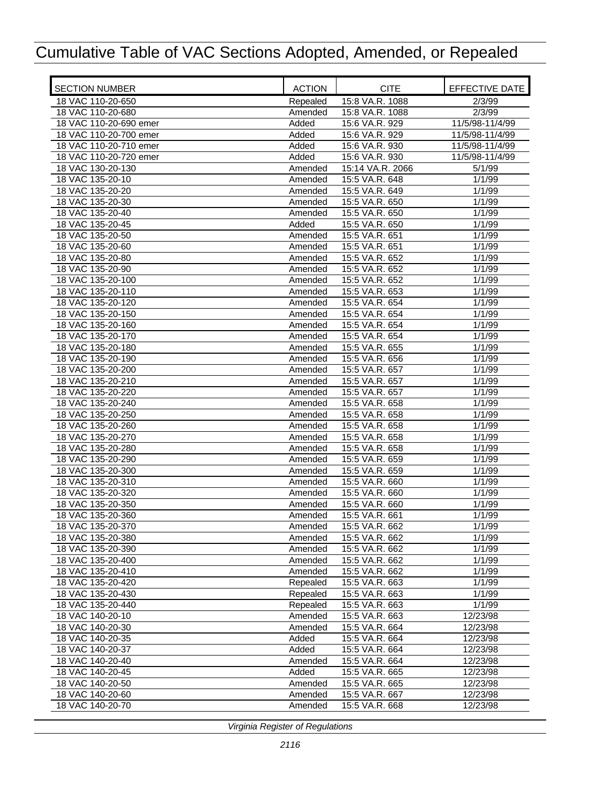| <b>SECTION NUMBER</b>                | <b>ACTION</b>    | <b>CITE</b>                      | EFFECTIVE DATE       |
|--------------------------------------|------------------|----------------------------------|----------------------|
| 18 VAC 110-20-650                    | Repealed         | 15:8 VA.R. 1088                  | 2/3/99               |
| 18 VAC 110-20-680                    | Amended          | 15:8 VA.R. 1088                  | 2/3/99               |
| 18 VAC 110-20-690 emer               | Added            | 15:6 VA.R. 929                   | 11/5/98-11/4/99      |
| 18 VAC 110-20-700 emer               | Added            | 15:6 VA.R. 929                   | 11/5/98-11/4/99      |
| 18 VAC 110-20-710 emer               | Added            | 15:6 VA.R. 930                   | 11/5/98-11/4/99      |
| 18 VAC 110-20-720 emer               | Added            | 15:6 VA.R. 930                   | 11/5/98-11/4/99      |
| 18 VAC 130-20-130                    | Amended          | 15:14 VA.R. 2066                 | 5/1/99               |
| 18 VAC 135-20-10                     | Amended          | 15:5 VA.R. 648                   | 1/1/99               |
| 18 VAC 135-20-20                     | Amended          | 15:5 VA.R. 649                   | 1/1/99               |
| 18 VAC 135-20-30                     | Amended          | 15:5 VA.R. 650                   | 1/1/99               |
| 18 VAC 135-20-40                     | Amended          | 15:5 VA.R. 650                   | 1/1/99               |
| 18 VAC 135-20-45                     | Added            | 15:5 VA.R. 650                   | 1/1/99               |
| 18 VAC 135-20-50                     | Amended          | 15:5 VA.R. 651                   | 1/1/99               |
| 18 VAC 135-20-60                     | Amended          | 15:5 VA.R. 651                   | 1/1/99               |
| 18 VAC 135-20-80                     | Amended          | 15:5 VA.R. 652                   | 1/1/99               |
| 18 VAC 135-20-90                     | Amended          | 15:5 VA.R. 652                   | 1/1/99               |
| 18 VAC 135-20-100                    | Amended          | 15:5 VA.R. 652                   | 1/1/99               |
| 18 VAC 135-20-110                    | Amended          | 15:5 VA.R. 653                   | 1/1/99               |
| 18 VAC 135-20-120                    | Amended          | 15:5 VA.R. 654                   | 1/1/99               |
| 18 VAC 135-20-150                    | Amended          | 15:5 VA.R. 654                   | 1/1/99               |
| 18 VAC 135-20-160                    | Amended          | 15:5 VA.R. 654                   | 1/1/99               |
| 18 VAC 135-20-170                    | Amended          | 15:5 VA.R. 654                   | 1/1/99               |
| 18 VAC 135-20-180                    | Amended          | 15:5 VA.R. 655                   | 1/1/99               |
| 18 VAC 135-20-190                    | Amended          | 15:5 VA.R. 656                   | 1/1/99               |
| 18 VAC 135-20-200                    | Amended          | 15:5 VA.R. 657                   | 1/1/99               |
| 18 VAC 135-20-210                    | Amended          | 15:5 VA.R. 657                   | 1/1/99               |
| 18 VAC 135-20-220                    | Amended          | 15:5 VA.R. 657                   | 1/1/99               |
| 18 VAC 135-20-240                    | Amended          | 15:5 VA.R. 658                   | 1/1/99               |
| 18 VAC 135-20-250                    | Amended          | 15:5 VA.R. 658                   | 1/1/99               |
| 18 VAC 135-20-260                    | Amended          | 15:5 VA.R. 658                   | 1/1/99               |
| 18 VAC 135-20-270                    | Amended          | 15:5 VA.R. 658                   | 1/1/99               |
| 18 VAC 135-20-280                    | Amended          | 15:5 VA.R. 658                   | 1/1/99               |
| 18 VAC 135-20-290                    | Amended          | 15:5 VA.R. 659                   | $\frac{1}{1/1}/99$   |
| 18 VAC 135-20-300                    | Amended          | 15:5 VA.R. 659                   | 1/1/99               |
| 18 VAC 135-20-310                    | Amended          | 15:5 VA.R. 660                   | 1/1/99               |
| 18 VAC 135-20-320                    | Amended          | 15:5 VA.R. 660                   | 1/1/99               |
| 18 VAC 135-20-350                    | Amended          | 15:5 VA.R. 660                   | 1/1/99               |
| 18 VAC 135-20-360                    | Amended          | 15:5 VA.R. 661                   | 1/1/99               |
| 18 VAC 135-20-370                    | Amended          | 15:5 VA.R. 662                   | 1/1/99               |
| 18 VAC 135-20-380                    | Amended          | 15:5 VA.R. 662                   | 1/1/99               |
| 18 VAC 135-20-390                    | Amended          | 15:5 VA.R. 662                   | 1/1/99               |
| 18 VAC 135-20-400                    | Amended          | 15:5 VA.R. 662                   | 1/1/99               |
| 18 VAC 135-20-410                    | Amended          | 15:5 VA.R. 662                   | 1/1/99               |
| 18 VAC 135-20-420                    | Repealed         | 15:5 VA.R. 663                   | 1/1/99               |
| 18 VAC 135-20-430                    | Repealed         | 15:5 VA.R. 663                   | 1/1/99               |
| 18 VAC 135-20-440                    | Repealed         | 15:5 VA.R. 663                   | 1/1/99               |
| 18 VAC 140-20-10                     | Amended          | 15:5 VA.R. 663                   | 12/23/98             |
| 18 VAC 140-20-30<br>18 VAC 140-20-35 | Amended          | 15:5 VA.R. 664                   | 12/23/98             |
|                                      | Added            | 15:5 VA.R. 664<br>15:5 VA.R. 664 | 12/23/98             |
| 18 VAC 140-20-37<br>18 VAC 140-20-40 | Added            | 15:5 VA.R. 664                   | 12/23/98<br>12/23/98 |
| 18 VAC 140-20-45                     | Amended<br>Added | 15:5 VA.R. 665                   | 12/23/98             |
| 18 VAC 140-20-50                     | Amended          | 15:5 VA.R. 665                   | 12/23/98             |
| 18 VAC 140-20-60                     | Amended          | 15:5 VA.R. 667                   | 12/23/98             |
| 18 VAC 140-20-70                     | Amended          | 15:5 VA.R. 668                   | 12/23/98             |
|                                      |                  |                                  |                      |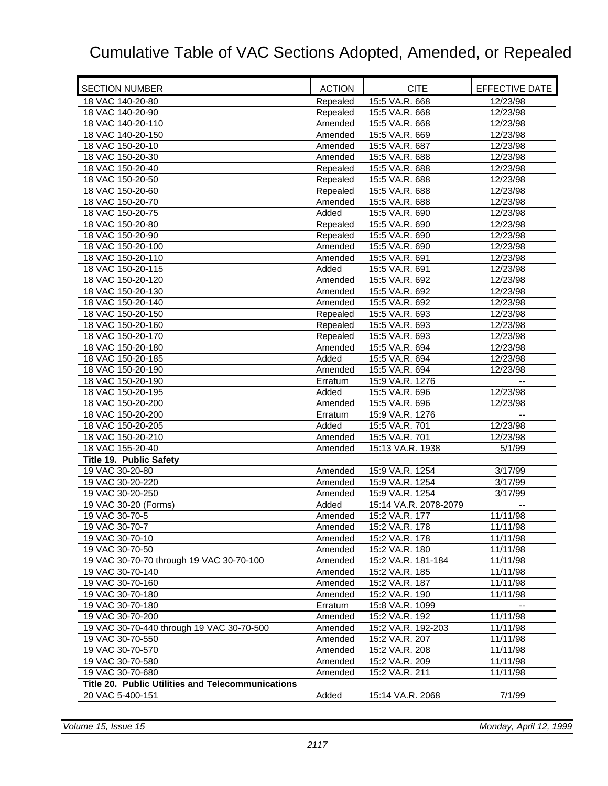| <b>SECTION NUMBER</b>                             | <b>ACTION</b> | <b>CITE</b>           | EFFECTIVE DATE           |
|---------------------------------------------------|---------------|-----------------------|--------------------------|
| 18 VAC 140-20-80                                  | Repealed      | 15:5 VA.R. 668        | 12/23/98                 |
| 18 VAC 140-20-90                                  | Repealed      | 15:5 VA.R. 668        | 12/23/98                 |
| 18 VAC 140-20-110                                 | Amended       | 15:5 VA.R. 668        | 12/23/98                 |
| 18 VAC 140-20-150                                 | Amended       | 15:5 VA.R. 669        | 12/23/98                 |
| 18 VAC 150-20-10                                  | Amended       | 15:5 VA.R. 687        | 12/23/98                 |
| 18 VAC 150-20-30                                  | Amended       | 15:5 VA.R. 688        | 12/23/98                 |
| 18 VAC 150-20-40                                  | Repealed      | 15:5 VA.R. 688        | 12/23/98                 |
| 18 VAC 150-20-50                                  | Repealed      | 15:5 VA.R. 688        | 12/23/98                 |
| 18 VAC 150-20-60                                  | Repealed      | 15:5 VA.R. 688        | 12/23/98                 |
| 18 VAC 150-20-70                                  | Amended       | 15:5 VA.R. 688        | 12/23/98                 |
| 18 VAC 150-20-75                                  | Added         | 15:5 VA.R. 690        | 12/23/98                 |
| 18 VAC 150-20-80                                  | Repealed      | 15:5 VA.R. 690        | 12/23/98                 |
| 18 VAC 150-20-90                                  | Repealed      | 15:5 VA.R. 690        | 12/23/98                 |
| 18 VAC 150-20-100                                 | Amended       | 15:5 VA.R. 690        | 12/23/98                 |
| 18 VAC 150-20-110                                 | Amended       | 15:5 VA.R. 691        | 12/23/98                 |
| 18 VAC 150-20-115                                 | Added         | 15:5 VA.R. 691        | 12/23/98                 |
| 18 VAC 150-20-120                                 | Amended       | 15:5 VA.R. 692        | 12/23/98                 |
| 18 VAC 150-20-130                                 | Amended       | 15:5 VA.R. 692        | 12/23/98                 |
| 18 VAC 150-20-140                                 | Amended       | 15:5 VA.R. 692        | 12/23/98                 |
| 18 VAC 150-20-150                                 | Repealed      | 15:5 VA.R. 693        | 12/23/98                 |
| 18 VAC 150-20-160                                 | Repealed      | 15:5 VA.R. 693        | 12/23/98                 |
| 18 VAC 150-20-170                                 | Repealed      | 15:5 VA.R. 693        | 12/23/98                 |
| 18 VAC 150-20-180                                 | Amended       | 15:5 VA.R. 694        | 12/23/98                 |
| 18 VAC 150-20-185                                 | Added         | 15:5 VA.R. 694        | 12/23/98                 |
| 18 VAC 150-20-190                                 | Amended       | 15:5 VA.R. 694        | 12/23/98                 |
| 18 VAC 150-20-190                                 | Erratum       | 15:9 VA.R. 1276       |                          |
| 18 VAC 150-20-195                                 | Added         | 15:5 VA.R. 696        | 12/23/98                 |
| 18 VAC 150-20-200                                 | Amended       | 15:5 VA.R. 696        | 12/23/98                 |
| 18 VAC 150-20-200                                 | Erratum       | 15:9 VA.R. 1276       | $\overline{\phantom{a}}$ |
| 18 VAC 150-20-205                                 | Added         | 15:5 VA.R. 701        | 12/23/98                 |
| 18 VAC 150-20-210                                 | Amended       | 15:5 VA.R. 701        | 12/23/98                 |
| 18 VAC 155-20-40                                  | Amended       | 15:13 VA.R. 1938      | 5/1/99                   |
| Title 19. Public Safety                           |               |                       |                          |
| 19 VAC 30-20-80                                   |               | 15:9 VA.R. 1254       | 3/17/99                  |
| 19 VAC 30-20-220                                  | Amended       |                       |                          |
| 19 VAC 30-20-250                                  | Amended       | 15:9 VA.R. 1254       | 3/17/99                  |
|                                                   | Amended       | 15:9 VA.R. 1254       | 3/17/99                  |
| 19 VAC 30-20 (Forms)                              | Added         | 15:14 VA.R. 2078-2079 | $\overline{a}$           |
| 19 VAC 30-70-5                                    | Amended       | 15:2 VA.R. 177        | 11/11/98                 |
| 19 VAC 30-70-7                                    | Amended       | 15:2 VA.R. 178        | 11/11/98                 |
| 19 VAC 30-70-10                                   | Amended       | 15:2 VA.R. 178        | 11/11/98                 |
| 19 VAC 30-70-50                                   | Amended       | 15:2 VA.R. 180        | 11/11/98                 |
| 19 VAC 30-70-70 through 19 VAC 30-70-100          | Amended       | 15:2 VA.R. 181-184    | 11/11/98                 |
| 19 VAC 30-70-140                                  | Amended       | 15:2 VA.R. 185        | 11/11/98                 |
| 19 VAC 30-70-160                                  | Amended       | 15:2 VA.R. 187        | 11/11/98                 |
| 19 VAC 30-70-180                                  | Amended       | 15:2 VA.R. 190        | 11/11/98                 |
| 19 VAC 30-70-180                                  | Erratum       | 15:8 VA.R. 1099       |                          |
| 19 VAC 30-70-200                                  | Amended       | 15:2 VA.R. 192        | 11/11/98                 |
| 19 VAC 30-70-440 through 19 VAC 30-70-500         | Amended       | 15:2 VA.R. 192-203    | 11/11/98                 |
| 19 VAC 30-70-550                                  | Amended       | 15:2 VA.R. 207        | 11/11/98                 |
| 19 VAC 30-70-570                                  | Amended       | 15:2 VA.R. 208        | 11/11/98                 |
| 19 VAC 30-70-580                                  | Amended       | 15:2 VA.R. 209        | 11/11/98                 |
| 19 VAC 30-70-680                                  | Amended       | 15:2 VA.R. 211        | 11/11/98                 |
| Title 20. Public Utilities and Telecommunications |               |                       |                          |
| 20 VAC 5-400-151                                  | Added         | 15:14 VA.R. 2068      | 7/1/99                   |

*Volume 15, Issue 15 Monday, April 12, 1999*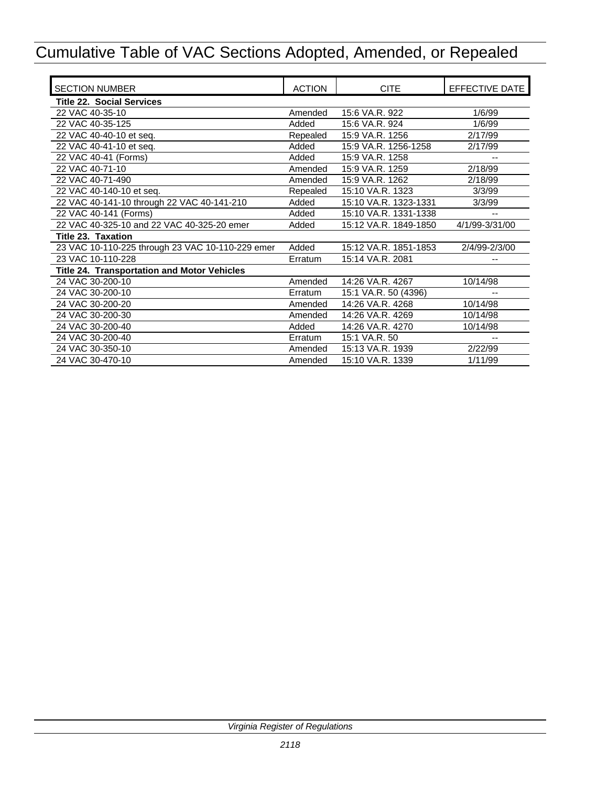| <b>SECTION NUMBER</b>                            | <b>ACTION</b> | <b>CITE</b>           | EFFECTIVE DATE |
|--------------------------------------------------|---------------|-----------------------|----------------|
| <b>Title 22. Social Services</b>                 |               |                       |                |
| 22 VAC 40-35-10                                  | Amended       | 15:6 VA.R. 922        | 1/6/99         |
| 22 VAC 40-35-125                                 | Added         | 15:6 VA.R. 924        | 1/6/99         |
| 22 VAC 40-40-10 et seq.                          | Repealed      | 15:9 VA.R. 1256       | 2/17/99        |
| 22 VAC 40-41-10 et seq.                          | Added         | 15:9 VA.R. 1256-1258  | 2/17/99        |
| 22 VAC 40-41 (Forms)                             | Added         | 15:9 VA.R. 1258       |                |
| 22 VAC 40-71-10                                  | Amended       | 15:9 VA.R. 1259       | 2/18/99        |
| 22 VAC 40-71-490                                 | Amended       | 15:9 VA.R. 1262       | 2/18/99        |
| 22 VAC 40-140-10 et seq.                         | Repealed      | 15:10 VA.R. 1323      | 3/3/99         |
| 22 VAC 40-141-10 through 22 VAC 40-141-210       | Added         | 15:10 VA.R. 1323-1331 | 3/3/99         |
| 22 VAC 40-141 (Forms)                            | Added         | 15:10 VA.R. 1331-1338 |                |
| 22 VAC 40-325-10 and 22 VAC 40-325-20 emer       | Added         | 15:12 VA.R. 1849-1850 | 4/1/99-3/31/00 |
| Title 23. Taxation                               |               |                       |                |
| 23 VAC 10-110-225 through 23 VAC 10-110-229 emer | Added         | 15:12 VA.R. 1851-1853 | 2/4/99-2/3/00  |
| 23 VAC 10-110-228                                | Erratum       | 15:14 VA.R. 2081      |                |
| Title 24. Transportation and Motor Vehicles      |               |                       |                |
| 24 VAC 30-200-10                                 | Amended       | 14:26 VA.R. 4267      | 10/14/98       |
| 24 VAC 30-200-10                                 | Erratum       | 15:1 VA.R. 50 (4396)  |                |
| 24 VAC 30-200-20                                 | Amended       | 14:26 VA.R. 4268      | 10/14/98       |
| 24 VAC 30-200-30                                 | Amended       | 14:26 VA.R. 4269      | 10/14/98       |
| 24 VAC 30-200-40                                 | Added         | 14:26 VA.R. 4270      | 10/14/98       |
| 24 VAC 30-200-40                                 | Erratum       | 15:1 VA.R. 50         |                |
| 24 VAC 30-350-10                                 | Amended       | 15:13 VA.R. 1939      | 2/22/99        |
| 24 VAC 30-470-10                                 | Amended       | 15:10 VA.R. 1339      | 1/11/99        |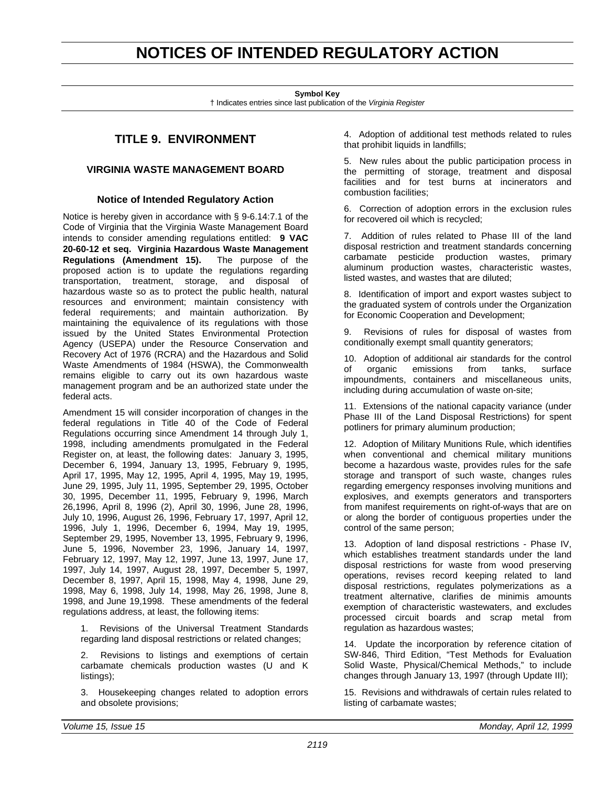## <span id="page-22-0"></span>**NOTICES OF INTENDED REGULATORY ACTION**

**Symbol Key**

† Indicates entries since last publication of the *Virginia Register*

## **TITLE 9. ENVIRONMENT**

## **VIRGINIA WASTE MANAGEMENT BOARD**

## **Notice of Intended Regulatory Action**

Notice is hereby given in accordance with § 9-6.14:7.1 of the Code of Virginia that the Virginia Waste Management Board intends to consider amending regulations entitled: **9 VAC 20-60-12 et seq. Virginia Hazardous Waste Management Regulations (Amendment 15).** The purpose of the proposed action is to update the regulations regarding transportation, treatment, storage, and disposal of hazardous waste so as to protect the public health, natural resources and environment; maintain consistency with federal requirements; and maintain authorization. By maintaining the equivalence of its regulations with those issued by the United States Environmental Protection Agency (USEPA) under the Resource Conservation and Recovery Act of 1976 (RCRA) and the Hazardous and Solid Waste Amendments of 1984 (HSWA), the Commonwealth remains eligible to carry out its own hazardous waste management program and be an authorized state under the federal acts.

Amendment 15 will consider incorporation of changes in the federal regulations in Title 40 of the Code of Federal Regulations occurring since Amendment 14 through July 1, 1998, including amendments promulgated in the Federal Register on, at least, the following dates: January 3, 1995, December 6, 1994, January 13, 1995, February 9, 1995, April 17, 1995, May 12, 1995, April 4, 1995, May 19, 1995, June 29, 1995, July 11, 1995, September 29, 1995, October 30, 1995, December 11, 1995, February 9, 1996, March 26,1996, April 8, 1996 (2), April 30, 1996, June 28, 1996, July 10, 1996, August 26, 1996, February 17, 1997, April 12, 1996, July 1, 1996, December 6, 1994, May 19, 1995, September 29, 1995, November 13, 1995, February 9, 1996, June 5, 1996, November 23, 1996, January 14, 1997, February 12, 1997, May 12, 1997, June 13, 1997, June 17, 1997, July 14, 1997, August 28, 1997, December 5, 1997, December 8, 1997, April 15, 1998, May 4, 1998, June 29, 1998, May 6, 1998, July 14, 1998, May 26, 1998, June 8, 1998, and June 19,1998. These amendments of the federal regulations address, at least, the following items:

1. Revisions of the Universal Treatment Standards regarding land disposal restrictions or related changes;

2. Revisions to listings and exemptions of certain carbamate chemicals production wastes (U and K listings);

3. Housekeeping changes related to adoption errors and obsolete provisions;

4. Adoption of additional test methods related to rules that prohibit liquids in landfills;

5. New rules about the public participation process in the permitting of storage, treatment and disposal facilities and for test burns at incinerators and combustion facilities;

6. Correction of adoption errors in the exclusion rules for recovered oil which is recycled;

7. Addition of rules related to Phase III of the land disposal restriction and treatment standards concerning carbamate pesticide production wastes, primary aluminum production wastes, characteristic wastes, listed wastes, and wastes that are diluted;

8. Identification of import and export wastes subject to the graduated system of controls under the Organization for Economic Cooperation and Development;

9. Revisions of rules for disposal of wastes from conditionally exempt small quantity generators;

10. Adoption of additional air standards for the control of organic emissions from tanks, surface impoundments, containers and miscellaneous units, including during accumulation of waste on-site;

11. Extensions of the national capacity variance (under Phase III of the Land Disposal Restrictions) for spent potliners for primary aluminum production;

12. Adoption of Military Munitions Rule, which identifies when conventional and chemical military munitions become a hazardous waste, provides rules for the safe storage and transport of such waste, changes rules regarding emergency responses involving munitions and explosives, and exempts generators and transporters from manifest requirements on right-of-ways that are on or along the border of contiguous properties under the control of the same person;

13. Adoption of land disposal restrictions - Phase IV, which establishes treatment standards under the land disposal restrictions for waste from wood preserving operations, revises record keeping related to land disposal restrictions, regulates polymerizations as a treatment alternative, clarifies de minimis amounts exemption of characteristic wastewaters, and excludes processed circuit boards and scrap metal from regulation as hazardous wastes;

14. Update the incorporation by reference citation of SW-846, Third Edition, "Test Methods for Evaluation Solid Waste, Physical/Chemical Methods," to include changes through January 13, 1997 (through Update III);

15. Revisions and withdrawals of certain rules related to listing of carbamate wastes;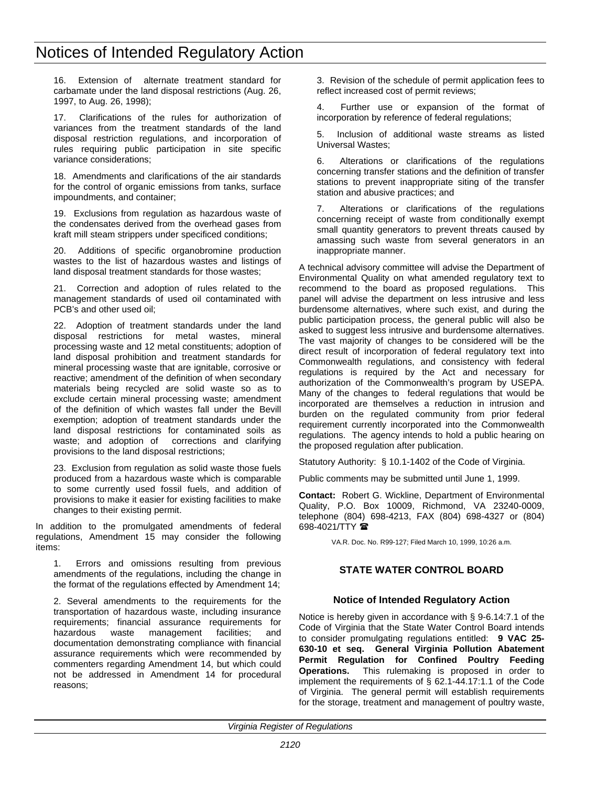<span id="page-23-0"></span>16. Extension of alternate treatment standard for carbamate under the land disposal restrictions (Aug. 26, 1997, to Aug. 26, 1998);

17. Clarifications of the rules for authorization of variances from the treatment standards of the land disposal restriction regulations, and incorporation of rules requiring public participation in site specific variance considerations;

18. Amendments and clarifications of the air standards for the control of organic emissions from tanks, surface impoundments, and container;

19. Exclusions from regulation as hazardous waste of the condensates derived from the overhead gases from kraft mill steam strippers under specificed conditions;

20. Additions of specific organobromine production wastes to the list of hazardous wastes and listings of land disposal treatment standards for those wastes;

21. Correction and adoption of rules related to the management standards of used oil contaminated with PCB's and other used oil;

22. Adoption of treatment standards under the land disposal restrictions for metal wastes, mineral processing waste and 12 metal constituents; adoption of land disposal prohibition and treatment standards for mineral processing waste that are ignitable, corrosive or reactive; amendment of the definition of when secondary materials being recycled are solid waste so as to exclude certain mineral processing waste; amendment of the definition of which wastes fall under the Bevill exemption; adoption of treatment standards under the land disposal restrictions for contaminated soils as waste; and adoption of corrections and clarifying provisions to the land disposal restrictions;

23. Exclusion from regulation as solid waste those fuels produced from a hazardous waste which is comparable to some currently used fossil fuels, and addition of provisions to make it easier for existing facilities to make changes to their existing permit.

In addition to the promulgated amendments of federal regulations, Amendment 15 may consider the following items:

1. Errors and omissions resulting from previous amendments of the regulations, including the change in the format of the regulations effected by Amendment 14;

2. Several amendments to the requirements for the transportation of hazardous waste, including insurance requirements; financial assurance requirements for waste management facilities; and documentation demonstrating compliance with financial assurance requirements which were recommended by commenters regarding Amendment 14, but which could not be addressed in Amendment 14 for procedural reasons;

3. Revision of the schedule of permit application fees to reflect increased cost of permit reviews;

4. Further use or expansion of the format of incorporation by reference of federal regulations;

5. Inclusion of additional waste streams as listed Universal Wastes;

6. Alterations or clarifications of the regulations concerning transfer stations and the definition of transfer stations to prevent inappropriate siting of the transfer station and abusive practices; and

7. Alterations or clarifications of the regulations concerning receipt of waste from conditionally exempt small quantity generators to prevent threats caused by amassing such waste from several generators in an inappropriate manner.

A technical advisory committee will advise the Department of Environmental Quality on what amended regulatory text to recommend to the board as proposed regulations. This panel will advise the department on less intrusive and less burdensome alternatives, where such exist, and during the public participation process, the general public will also be asked to suggest less intrusive and burdensome alternatives. The vast majority of changes to be considered will be the direct result of incorporation of federal regulatory text into Commonwealth regulations, and consistency with federal regulations is required by the Act and necessary for authorization of the Commonwealth's program by USEPA. Many of the changes to federal regulations that would be incorporated are themselves a reduction in intrusion and burden on the regulated community from prior federal requirement currently incorporated into the Commonwealth regulations. The agency intends to hold a public hearing on the proposed regulation after publication.

Statutory Authority: § 10.1-1402 of the Code of Virginia.

Public comments may be submitted until June 1, 1999.

**Contact:** Robert G. Wickline, Department of Environmental Quality, P.O. Box 10009, Richmond, VA 23240-0009, telephone (804) 698-4213, FAX (804) 698-4327 or (804) 698-4021/TTY <sup>1</sup>

VA.R. Doc. No. R99-127; Filed March 10, 1999, 10:26 a.m.

## **STATE WATER CONTROL BOARD**

## **Notice of Intended Regulatory Action**

Notice is hereby given in accordance with § 9-6.14:7.1 of the Code of Virginia that the State Water Control Board intends to consider promulgating regulations entitled: **9 VAC 25- 630-10 et seq. General Virginia Pollution Abatement Permit Regulation for Confined Poultry Feeding Operations.** This rulemaking is proposed in order to implement the requirements of § 62.1-44.17:1.1 of the Code of Virginia. The general permit will establish requirements for the storage, treatment and management of poultry waste,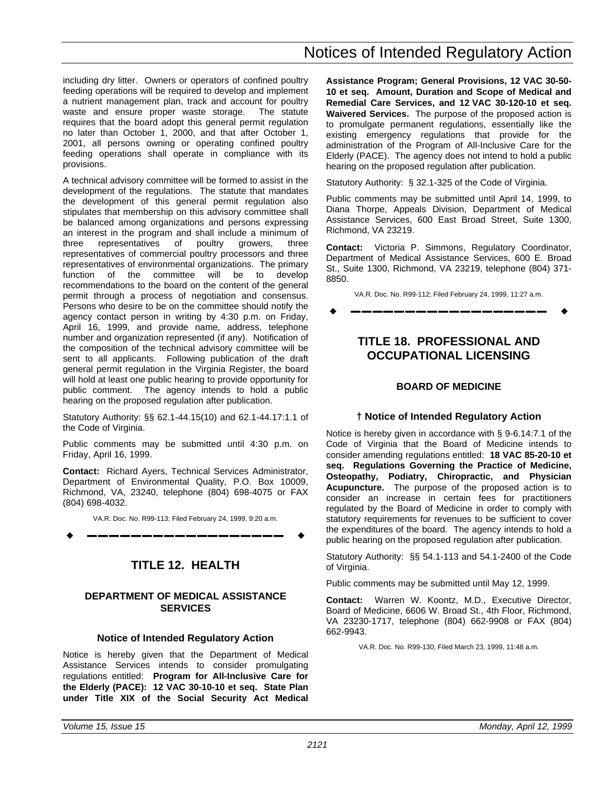<span id="page-24-0"></span>including dry litter. Owners or operators of confined poultry feeding operations will be required to develop and implement a nutrient management plan, track and account for poultry waste and ensure proper waste storage. The statute requires that the board adopt this general permit regulation no later than October 1, 2000, and that after October 1, 2001, all persons owning or operating confined poultry feeding operations shall operate in compliance with its provisions.

A technical advisory committee will be formed to assist in the development of the regulations. The statute that mandates the development of this general permit regulation also stipulates that membership on this advisory committee shall be balanced among organizations and persons expressing an interest in the program and shall include a minimum of three representatives of poultry growers, three representatives of commercial poultry processors and three representatives of environmental organizations. The primary function of the committee will be to develop recommendations to the board on the content of the general permit through a process of negotiation and consensus. Persons who desire to be on the committee should notify the agency contact person in writing by 4:30 p.m. on Friday, April 16, 1999, and provide name, address, telephone number and organization represented (if any). Notification of the composition of the technical advisory committee will be sent to all applicants. Following publication of the draft general permit regulation in the Virginia Register, the board will hold at least one public hearing to provide opportunity for public comment. The agency intends to hold a public hearing on the proposed regulation after publication.

Statutory Authority: §§ 62.1-44.15(10) and 62.1-44.17:1.1 of the Code of Virginia.

Public comments may be submitted until 4:30 p.m. on Friday, April 16, 1999.

**Contact:** Richard Ayers, Technical Services Administrator, Department of Environmental Quality, P.O. Box 10009, Richmond, VA, 23240, telephone (804) 698-4075 or FAX (804) 698-4032.

VA.R. Doc. No. R99-113; Filed February 24, 1999, 9:20 a.m.

w **––––––––––––––––––** w

## **TITLE 12. HEALTH**

## **DEPARTMENT OF MEDICAL ASSISTANCE SERVICES**

## **Notice of Intended Regulatory Action**

Notice is hereby given that the Department of Medical Assistance Services intends to consider promulgating regulations entitled: **Program for All-Inclusive Care for the Elderly (PACE): 12 VAC 30-10-10 et seq. State Plan under Title XIX of the Social Security Act Medical** **Assistance Program; General Provisions, 12 VAC 30-50- 10 et seq. Amount, Duration and Scope of Medical and Remedial Care Services, and 12 VAC 30-120-10 et seq. Waivered Services.** The purpose of the proposed action is to promulgate permanent regulations, essentially like the existing emergency regulations that provide for the administration of the Program of All-Inclusive Care for the Elderly (PACE). The agency does not intend to hold a public hearing on the proposed regulation after publication.

Statutory Authority: § 32.1-325 of the Code of Virginia.

Public comments may be submitted until April 14, 1999, to Diana Thorpe, Appeals Division, Department of Medical Assistance Services, 600 East Broad Street, Suite 1300, Richmond, VA 23219.

**Contact:** Victoria P. Simmons, Regulatory Coordinator, Department of Medical Assistance Services, 600 E. Broad St., Suite 1300, Richmond, VA 23219, telephone (804) 371- 8850.

VA.R. Doc. No. R99-112; Filed February 24, 1999, 11:27 a.m. w **––––––––––––––––––** w

## **TITLE 18. PROFESSIONAL AND OCCUPATIONAL LICENSING**

## **BOARD OF MEDICINE**

## **† Notice of Intended Regulatory Action**

Notice is hereby given in accordance with § 9-6.14:7.1 of the Code of Virginia that the Board of Medicine intends to consider amending regulations entitled: **18 VAC 85-20-10 et seq. Regulations Governing the Practice of Medicine, Osteopathy, Podiatry, Chiropractic, and Physician Acupuncture.** The purpose of the proposed action is to consider an increase in certain fees for practitioners regulated by the Board of Medicine in order to comply with statutory requirements for revenues to be sufficient to cover the expenditures of the board. The agency intends to hold a public hearing on the proposed regulation after publication.

Statutory Authority: §§ 54.1-113 and 54.1-2400 of the Code of Virginia.

Public comments may be submitted until May 12, 1999.

**Contact:** Warren W. Koontz, M.D., Executive Director, Board of Medicine, 6606 W. Broad St., 4th Floor, Richmond, VA 23230-1717, telephone (804) 662-9908 or FAX (804) 662-9943.

VA.R. Doc. No. R99-130; Filed March 23, 1999, 11:48 a.m.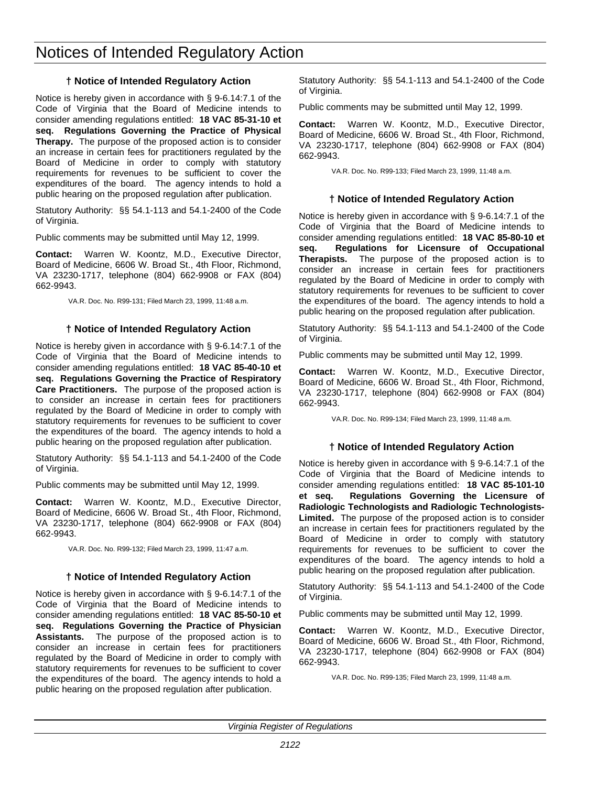## Notices of Intended Regulatory Action

## **† Notice of Intended Regulatory Action**

Notice is hereby given in accordance with § 9-6.14:7.1 of the Code of Virginia that the Board of Medicine intends to consider amending regulations entitled: **18 VAC 85-31-10 et seq. Regulations Governing the Practice of Physical Therapy.** The purpose of the proposed action is to consider an increase in certain fees for practitioners regulated by the Board of Medicine in order to comply with statutory requirements for revenues to be sufficient to cover the expenditures of the board. The agency intends to hold a public hearing on the proposed regulation after publication.

Statutory Authority: §§ 54.1-113 and 54.1-2400 of the Code of Virginia.

Public comments may be submitted until May 12, 1999.

**Contact:** Warren W. Koontz, M.D., Executive Director, Board of Medicine, 6606 W. Broad St., 4th Floor, Richmond, VA 23230-1717, telephone (804) 662-9908 or FAX (804) 662-9943.

VA.R. Doc. No. R99-131; Filed March 23, 1999, 11:48 a.m.

## **† Notice of Intended Regulatory Action**

Notice is hereby given in accordance with § 9-6.14:7.1 of the Code of Virginia that the Board of Medicine intends to consider amending regulations entitled: **18 VAC 85-40-10 et seq. Regulations Governing the Practice of Respiratory Care Practitioners.** The purpose of the proposed action is to consider an increase in certain fees for practitioners regulated by the Board of Medicine in order to comply with statutory requirements for revenues to be sufficient to cover the expenditures of the board. The agency intends to hold a public hearing on the proposed regulation after publication.

Statutory Authority: §§ 54.1-113 and 54.1-2400 of the Code of Virginia.

Public comments may be submitted until May 12, 1999.

**Contact:** Warren W. Koontz, M.D., Executive Director, Board of Medicine, 6606 W. Broad St., 4th Floor, Richmond, VA 23230-1717, telephone (804) 662-9908 or FAX (804) 662-9943.

VA.R. Doc. No. R99-132; Filed March 23, 1999, 11:47 a.m.

## **† Notice of Intended Regulatory Action**

Notice is hereby given in accordance with § 9-6.14:7.1 of the Code of Virginia that the Board of Medicine intends to consider amending regulations entitled: **18 VAC 85-50-10 et seq. Regulations Governing the Practice of Physician Assistants.** The purpose of the proposed action is to consider an increase in certain fees for practitioners regulated by the Board of Medicine in order to comply with statutory requirements for revenues to be sufficient to cover the expenditures of the board. The agency intends to hold a public hearing on the proposed regulation after publication.

Statutory Authority: §§ 54.1-113 and 54.1-2400 of the Code of Virginia.

Public comments may be submitted until May 12, 1999.

**Contact:** Warren W. Koontz, M.D., Executive Director, Board of Medicine, 6606 W. Broad St., 4th Floor, Richmond, VA 23230-1717, telephone (804) 662-9908 or FAX (804) 662-9943.

VA.R. Doc. No. R99-133; Filed March 23, 1999, 11:48 a.m.

## **† Notice of Intended Regulatory Action**

Notice is hereby given in accordance with § 9-6.14:7.1 of the Code of Virginia that the Board of Medicine intends to consider amending regulations entitled: **18 VAC 85-80-10 et seq. Regulations for Licensure of Occupational Therapists.** The purpose of the proposed action is to consider an increase in certain fees for practitioners regulated by the Board of Medicine in order to comply with statutory requirements for revenues to be sufficient to cover the expenditures of the board. The agency intends to hold a public hearing on the proposed regulation after publication.

Statutory Authority: §§ 54.1-113 and 54.1-2400 of the Code of Virginia.

Public comments may be submitted until May 12, 1999.

**Contact:** Warren W. Koontz, M.D., Executive Director, Board of Medicine, 6606 W. Broad St., 4th Floor, Richmond, VA 23230-1717, telephone (804) 662-9908 or FAX (804) 662-9943.

VA.R. Doc. No. R99-134; Filed March 23, 1999, 11:48 a.m.

## **† Notice of Intended Regulatory Action**

Notice is hereby given in accordance with § 9-6.14:7.1 of the Code of Virginia that the Board of Medicine intends to consider amending regulations entitled: **18 VAC 85-101-10 et seq. Regulations Governing the Licensure of Radiologic Technologists and Radiologic Technologists-Limited.** The purpose of the proposed action is to consider an increase in certain fees for practitioners regulated by the Board of Medicine in order to comply with statutory requirements for revenues to be sufficient to cover the expenditures of the board. The agency intends to hold a public hearing on the proposed regulation after publication.

Statutory Authority: §§ 54.1-113 and 54.1-2400 of the Code of Virginia.

Public comments may be submitted until May 12, 1999.

**Contact:** Warren W. Koontz, M.D., Executive Director, Board of Medicine, 6606 W. Broad St., 4th Floor, Richmond, VA 23230-1717, telephone (804) 662-9908 or FAX (804) 662-9943.

VA.R. Doc. No. R99-135; Filed March 23, 1999, 11:48 a.m.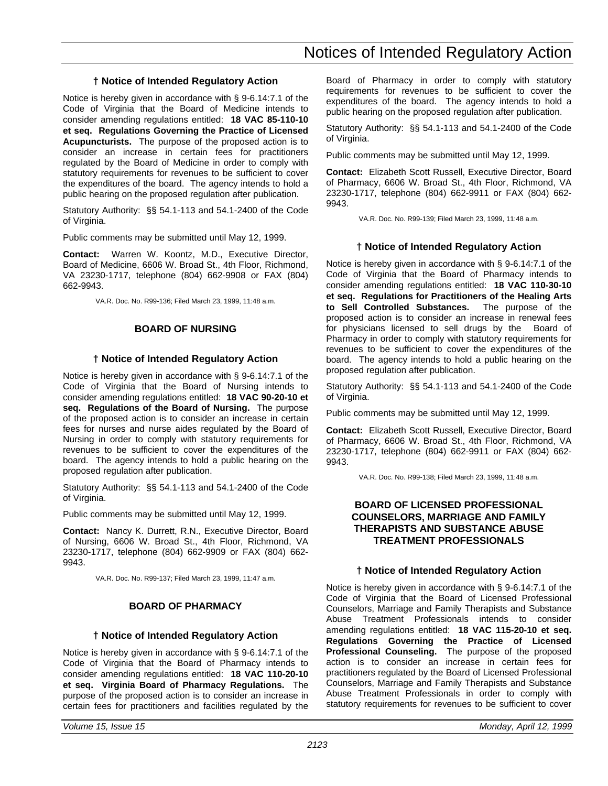## **† Notice of Intended Regulatory Action**

<span id="page-26-0"></span>Notice is hereby given in accordance with § 9-6.14:7.1 of the Code of Virginia that the Board of Medicine intends to consider amending regulations entitled: **18 VAC 85-110-10 et seq. Regulations Governing the Practice of Licensed Acupuncturists.** The purpose of the proposed action is to consider an increase in certain fees for practitioners regulated by the Board of Medicine in order to comply with statutory requirements for revenues to be sufficient to cover the expenditures of the board. The agency intends to hold a public hearing on the proposed regulation after publication.

Statutory Authority: §§ 54.1-113 and 54.1-2400 of the Code of Virginia.

Public comments may be submitted until May 12, 1999.

**Contact:** Warren W. Koontz, M.D., Executive Director, Board of Medicine, 6606 W. Broad St., 4th Floor, Richmond, VA 23230-1717, telephone (804) 662-9908 or FAX (804) 662-9943.

VA.R. Doc. No. R99-136; Filed March 23, 1999, 11:48 a.m.

#### **BOARD OF NURSING**

#### **† Notice of Intended Regulatory Action**

Notice is hereby given in accordance with § 9-6.14:7.1 of the Code of Virginia that the Board of Nursing intends to consider amending regulations entitled: **18 VAC 90-20-10 et seq. Regulations of the Board of Nursing.** The purpose of the proposed action is to consider an increase in certain fees for nurses and nurse aides regulated by the Board of Nursing in order to comply with statutory requirements for revenues to be sufficient to cover the expenditures of the board. The agency intends to hold a public hearing on the proposed regulation after publication.

Statutory Authority: §§ 54.1-113 and 54.1-2400 of the Code of Virginia.

Public comments may be submitted until May 12, 1999.

**Contact:** Nancy K. Durrett, R.N., Executive Director, Board of Nursing, 6606 W. Broad St., 4th Floor, Richmond, VA 23230-1717, telephone (804) 662-9909 or FAX (804) 662- 9943.

VA.R. Doc. No. R99-137; Filed March 23, 1999, 11:47 a.m.

## **BOARD OF PHARMACY**

#### **† Notice of Intended Regulatory Action**

Notice is hereby given in accordance with § 9-6.14:7.1 of the Code of Virginia that the Board of Pharmacy intends to consider amending regulations entitled: **18 VAC 110-20-10 et seq. Virginia Board of Pharmacy Regulations.** The purpose of the proposed action is to consider an increase in certain fees for practitioners and facilities regulated by the

Board of Pharmacy in order to comply with statutory requirements for revenues to be sufficient to cover the expenditures of the board. The agency intends to hold a public hearing on the proposed regulation after publication.

Statutory Authority: §§ 54.1-113 and 54.1-2400 of the Code of Virginia.

Public comments may be submitted until May 12, 1999.

**Contact:** Elizabeth Scott Russell, Executive Director, Board of Pharmacy, 6606 W. Broad St., 4th Floor, Richmond, VA 23230-1717, telephone (804) 662-9911 or FAX (804) 662- 9943.

VA.R. Doc. No. R99-139; Filed March 23, 1999, 11:48 a.m.

#### **† Notice of Intended Regulatory Action**

Notice is hereby given in accordance with § 9-6.14:7.1 of the Code of Virginia that the Board of Pharmacy intends to consider amending regulations entitled: **18 VAC 110-30-10 et seq. Regulations for Practitioners of the Healing Arts to Sell Controlled Substances.** The purpose of the proposed action is to consider an increase in renewal fees for physicians licensed to sell drugs by the Board of Pharmacy in order to comply with statutory requirements for revenues to be sufficient to cover the expenditures of the board. The agency intends to hold a public hearing on the proposed regulation after publication.

Statutory Authority: §§ 54.1-113 and 54.1-2400 of the Code of Virginia.

Public comments may be submitted until May 12, 1999.

**Contact:** Elizabeth Scott Russell, Executive Director, Board of Pharmacy, 6606 W. Broad St., 4th Floor, Richmond, VA 23230-1717, telephone (804) 662-9911 or FAX (804) 662- 9943.

VA.R. Doc. No. R99-138; Filed March 23, 1999, 11:48 a.m.

## **BOARD OF LICENSED PROFESSIONAL COUNSELORS, MARRIAGE AND FAMILY THERAPISTS AND SUBSTANCE ABUSE TREATMENT PROFESSIONALS**

#### **† Notice of Intended Regulatory Action**

Notice is hereby given in accordance with § 9-6.14:7.1 of the Code of Virginia that the Board of Licensed Professional Counselors, Marriage and Family Therapists and Substance Abuse Treatment Professionals intends to consider amending regulations entitled: **18 VAC 115-20-10 et seq. Regulations Governing the Practice of Licensed Professional Counseling.** The purpose of the proposed action is to consider an increase in certain fees for practitioners regulated by the Board of Licensed Professional Counselors, Marriage and Family Therapists and Substance Abuse Treatment Professionals in order to comply with statutory requirements for revenues to be sufficient to cover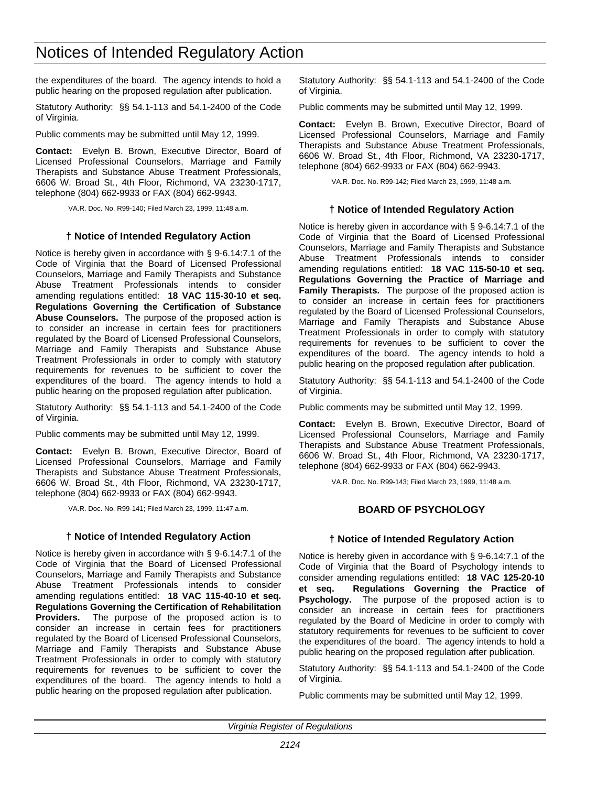## <span id="page-27-0"></span>Notices of Intended Regulatory Action

the expenditures of the board. The agency intends to hold a public hearing on the proposed regulation after publication.

Statutory Authority: §§ 54.1-113 and 54.1-2400 of the Code of Virginia.

Public comments may be submitted until May 12, 1999.

**Contact:** Evelyn B. Brown, Executive Director, Board of Licensed Professional Counselors, Marriage and Family Therapists and Substance Abuse Treatment Professionals, 6606 W. Broad St., 4th Floor, Richmond, VA 23230-1717, telephone (804) 662-9933 or FAX (804) 662-9943.

VA.R. Doc. No. R99-140; Filed March 23, 1999, 11:48 a.m.

#### **† Notice of Intended Regulatory Action**

Notice is hereby given in accordance with § 9-6.14:7.1 of the Code of Virginia that the Board of Licensed Professional Counselors, Marriage and Family Therapists and Substance Abuse Treatment Professionals intends to consider amending regulations entitled: **18 VAC 115-30-10 et seq. Regulations Governing the Certification of Substance Abuse Counselors.** The purpose of the proposed action is to consider an increase in certain fees for practitioners regulated by the Board of Licensed Professional Counselors, Marriage and Family Therapists and Substance Abuse Treatment Professionals in order to comply with statutory requirements for revenues to be sufficient to cover the expenditures of the board. The agency intends to hold a public hearing on the proposed regulation after publication.

Statutory Authority: §§ 54.1-113 and 54.1-2400 of the Code of Virginia.

Public comments may be submitted until May 12, 1999.

**Contact:** Evelyn B. Brown, Executive Director, Board of Licensed Professional Counselors, Marriage and Family Therapists and Substance Abuse Treatment Professionals, 6606 W. Broad St., 4th Floor, Richmond, VA 23230-1717, telephone (804) 662-9933 or FAX (804) 662-9943.

VA.R. Doc. No. R99-141; Filed March 23, 1999, 11:47 a.m.

#### **† Notice of Intended Regulatory Action**

Notice is hereby given in accordance with § 9-6.14:7.1 of the Code of Virginia that the Board of Licensed Professional Counselors, Marriage and Family Therapists and Substance Abuse Treatment Professionals intends to consider amending regulations entitled: **18 VAC 115-40-10 et seq. Regulations Governing the Certification of Rehabilitation Providers.** The purpose of the proposed action is to consider an increase in certain fees for practitioners regulated by the Board of Licensed Professional Counselors, Marriage and Family Therapists and Substance Abuse Treatment Professionals in order to comply with statutory requirements for revenues to be sufficient to cover the expenditures of the board. The agency intends to hold a public hearing on the proposed regulation after publication.

Statutory Authority: §§ 54.1-113 and 54.1-2400 of the Code of Virginia.

Public comments may be submitted until May 12, 1999.

**Contact:** Evelyn B. Brown, Executive Director, Board of Licensed Professional Counselors, Marriage and Family Therapists and Substance Abuse Treatment Professionals, 6606 W. Broad St., 4th Floor, Richmond, VA 23230-1717, telephone (804) 662-9933 or FAX (804) 662-9943.

VA.R. Doc. No. R99-142; Filed March 23, 1999, 11:48 a.m.

#### **† Notice of Intended Regulatory Action**

Notice is hereby given in accordance with § 9-6.14:7.1 of the Code of Virginia that the Board of Licensed Professional Counselors, Marriage and Family Therapists and Substance Abuse Treatment Professionals intends to consider amending regulations entitled: **18 VAC 115-50-10 et seq. Regulations Governing the Practice of Marriage and Family Therapists.** The purpose of the proposed action is to consider an increase in certain fees for practitioners regulated by the Board of Licensed Professional Counselors, Marriage and Family Therapists and Substance Abuse Treatment Professionals in order to comply with statutory requirements for revenues to be sufficient to cover the expenditures of the board. The agency intends to hold a public hearing on the proposed regulation after publication.

Statutory Authority: §§ 54.1-113 and 54.1-2400 of the Code of Virginia.

Public comments may be submitted until May 12, 1999.

**Contact:** Evelyn B. Brown, Executive Director, Board of Licensed Professional Counselors, Marriage and Family Therapists and Substance Abuse Treatment Professionals, 6606 W. Broad St., 4th Floor, Richmond, VA 23230-1717, telephone (804) 662-9933 or FAX (804) 662-9943.

VA.R. Doc. No. R99-143; Filed March 23, 1999, 11:48 a.m.

#### **BOARD OF PSYCHOLOGY**

#### **† Notice of Intended Regulatory Action**

Notice is hereby given in accordance with § 9-6.14:7.1 of the Code of Virginia that the Board of Psychology intends to consider amending regulations entitled: **18 VAC 125-20-10 et seq. Regulations Governing the Practice of Psychology.** The purpose of the proposed action is to consider an increase in certain fees for practitioners regulated by the Board of Medicine in order to comply with statutory requirements for revenues to be sufficient to cover the expenditures of the board. The agency intends to hold a public hearing on the proposed regulation after publication.

Statutory Authority: §§ 54.1-113 and 54.1-2400 of the Code of Virginia.

Public comments may be submitted until May 12, 1999.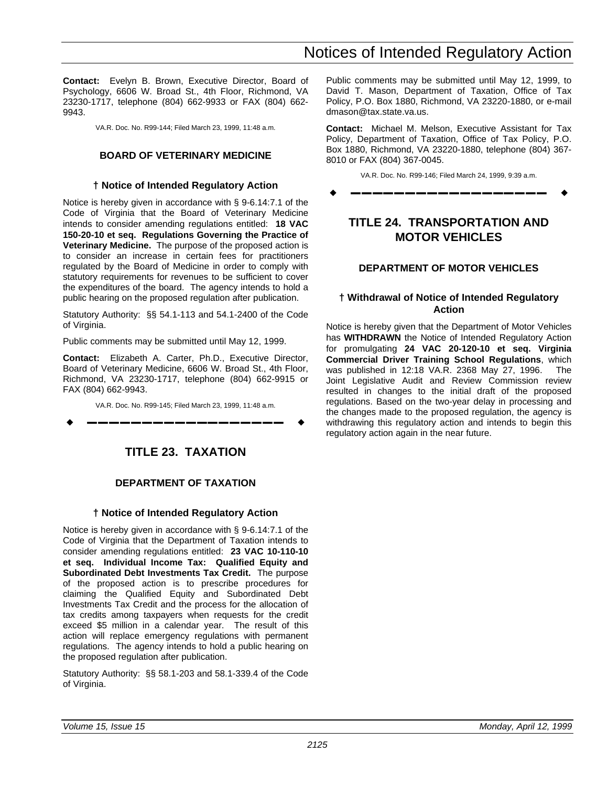<span id="page-28-0"></span>**Contact:** Evelyn B. Brown, Executive Director, Board of Psychology, 6606 W. Broad St., 4th Floor, Richmond, VA 23230-1717, telephone (804) 662-9933 or FAX (804) 662- 9943.

VA.R. Doc. No. R99-144; Filed March 23, 1999, 11:48 a.m.

## **BOARD OF VETERINARY MEDICINE**

### **† Notice of Intended Regulatory Action**

Notice is hereby given in accordance with § 9-6.14:7.1 of the Code of Virginia that the Board of Veterinary Medicine intends to consider amending regulations entitled: **18 VAC 150-20-10 et seq. Regulations Governing the Practice of Veterinary Medicine.** The purpose of the proposed action is to consider an increase in certain fees for practitioners regulated by the Board of Medicine in order to comply with statutory requirements for revenues to be sufficient to cover the expenditures of the board. The agency intends to hold a public hearing on the proposed regulation after publication.

Statutory Authority: §§ 54.1-113 and 54.1-2400 of the Code of Virginia.

Public comments may be submitted until May 12, 1999.

**Contact:** Elizabeth A. Carter, Ph.D., Executive Director, Board of Veterinary Medicine, 6606 W. Broad St., 4th Floor, Richmond, VA 23230-1717, telephone (804) 662-9915 or FAX (804) 662-9943.

VA.R. Doc. No. R99-145; Filed March 23, 1999, 11:48 a.m.

w **––––––––––––––––––** w

## **TITLE 23. TAXATION**

## **DEPARTMENT OF TAXATION**

## **† Notice of Intended Regulatory Action**

Notice is hereby given in accordance with § 9-6.14:7.1 of the Code of Virginia that the Department of Taxation intends to consider amending regulations entitled: **23 VAC 10-110-10 et seq. Individual Income Tax: Qualified Equity and Subordinated Debt Investments Tax Credit.** The purpose of the proposed action is to prescribe procedures for claiming the Qualified Equity and Subordinated Debt Investments Tax Credit and the process for the allocation of tax credits among taxpayers when requests for the credit exceed \$5 million in a calendar year. The result of this action will replace emergency regulations with permanent regulations. The agency intends to hold a public hearing on the proposed regulation after publication.

Statutory Authority: §§ 58.1-203 and 58.1-339.4 of the Code of Virginia.

Public comments may be submitted until May 12, 1999, to David T. Mason, Department of Taxation, Office of Tax Policy, P.O. Box 1880, Richmond, VA 23220-1880, or e-mail dmason@tax.state.va.us.

**Contact:** Michael M. Melson, Executive Assistant for Tax Policy, Department of Taxation, Office of Tax Policy, P.O. Box 1880, Richmond, VA 23220-1880, telephone (804) 367- 8010 or FAX (804) 367-0045.

VA.R. Doc. No. R99-146; Filed March 24, 1999, 9:39 a.m.

w **––––––––––––––––––** w

## **TITLE 24. TRANSPORTATION AND MOTOR VEHICLES**

## **DEPARTMENT OF MOTOR VEHICLES**

## **† Withdrawal of Notice of Intended Regulatory Action**

Notice is hereby given that the Department of Motor Vehicles has **WITHDRAWN** the Notice of Intended Regulatory Action for promulgating **24 VAC 20-120-10 et seq. Virginia Commercial Driver Training School Regulations**, which was published in 12:18 VA.R. 2368 May 27, 1996. The Joint Legislative Audit and Review Commission review resulted in changes to the initial draft of the proposed regulations. Based on the two-year delay in processing and the changes made to the proposed regulation, the agency is withdrawing this regulatory action and intends to begin this regulatory action again in the near future.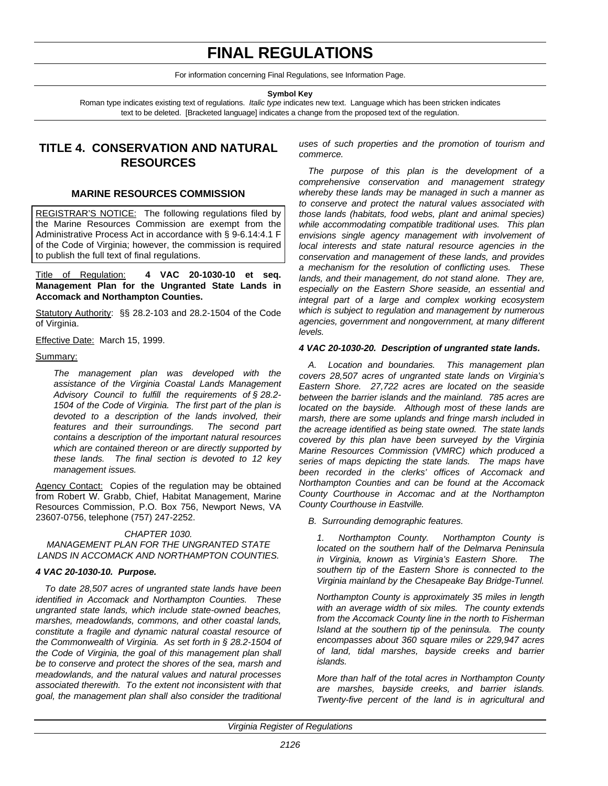## **FINAL REGULATIONS**

For information concerning Final Regulations, see Information Page.

**Symbol Key**

<span id="page-29-0"></span>Roman type indicates existing text of regulations. *Italic type* indicates new text. Language which has been stricken indicates text to be deleted. [Bracketed language] indicates a change from the proposed text of the regulation.

## **TITLE 4. CONSERVATION AND NATURAL RESOURCES**

#### **MARINE RESOURCES COMMISSION**

REGISTRAR'S NOTICE: The following regulations filed by the Marine Resources Commission are exempt from the Administrative Process Act in accordance with § 9-6.14:4.1 F of the Code of Virginia; however, the commission is required to publish the full text of final regulations.

Title of Regulation: **4 VAC 20-1030-10 et seq. Management Plan for the Ungranted State Lands in Accomack and Northampton Counties.**

Statutory Authority: §§ 28.2-103 and 28.2-1504 of the Code of Virginia.

Effective Date: March 15, 1999.

#### Summary:

*The management plan was developed with the assistance of the Virginia Coastal Lands Management Advisory Council to fulfill the requirements of § 28.2- 1504 of the Code of Virginia. The first part of the plan is devoted to a description of the lands involved, their features and their surroundings. The second part contains a description of the important natural resources which are contained thereon or are directly supported by these lands. The final section is devoted to 12 key management issues.*

Agency Contact: Copies of the regulation may be obtained from Robert W. Grabb, Chief, Habitat Management, Marine Resources Commission, P.O. Box 756, Newport News, VA 23607-0756, telephone (757) 247-2252.

#### *CHAPTER 1030.*

#### *MANAGEMENT PLAN FOR THE UNGRANTED STATE LANDS IN ACCOMACK AND NORTHAMPTON COUNTIES.*

#### *4 VAC 20-1030-10. Purpose.*

*To date 28,507 acres of ungranted state lands have been identified in Accomack and Northampton Counties. These ungranted state lands, which include state-owned beaches, marshes, meadowlands, commons, and other coastal lands, constitute a fragile and dynamic natural coastal resource of the Commonwealth of Virginia. As set forth in § 28.2-1504 of the Code of Virginia, the goal of this management plan shall be to conserve and protect the shores of the sea, marsh and meadowlands, and the natural values and natural processes associated therewith. To the extent not inconsistent with that goal, the management plan shall also consider the traditional* *uses of such properties and the promotion of tourism and commerce.*

*The purpose of this plan is the development of a comprehensive conservation and management strategy whereby these lands may be managed in such a manner as to conserve and protect the natural values associated with those lands (habitats, food webs, plant and animal species) while accommodating compatible traditional uses. This plan envisions single agency management with involvement of local interests and state natural resource agencies in the conservation and management of these lands, and provides a mechanism for the resolution of conflicting uses. These lands, and their management, do not stand alone. They are, especially on the Eastern Shore seaside, an essential and integral part of a large and complex working ecosystem which is subject to regulation and management by numerous agencies, government and nongovernment, at many different levels.*

#### *4 VAC 20-1030-20. Description of ungranted state lands.*

*A. Location and boundaries. This management plan covers 28,507 acres of ungranted state lands on Virginia's Eastern Shore. 27,722 acres are located on the seaside between the barrier islands and the mainland. 785 acres are located on the bayside. Although most of these lands are marsh, there are some uplands and fringe marsh included in the acreage identified as being state owned. The state lands covered by this plan have been surveyed by the Virginia Marine Resources Commission (VMRC) which produced a series of maps depicting the state lands. The maps have been recorded in the clerks' offices of Accomack and Northampton Counties and can be found at the Accomack County Courthouse in Accomac and at the Northampton County Courthouse in Eastville.*

#### *B. Surrounding demographic features.*

*1. Northampton County. Northampton County is located on the southern half of the Delmarva Peninsula in Virginia, known as Virginia's Eastern Shore. The southern tip of the Eastern Shore is connected to the Virginia mainland by the Chesapeake Bay Bridge-Tunnel.*

*Northampton County is approximately 35 miles in length with an average width of six miles. The county extends from the Accomack County line in the north to Fisherman Island at the southern tip of the peninsula. The county encompasses about 360 square miles or 229,947 acres of land, tidal marshes, bayside creeks and barrier islands.*

*More than half of the total acres in Northampton County are marshes, bayside creeks, and barrier islands. Twenty-five percent of the land is in agricultural and*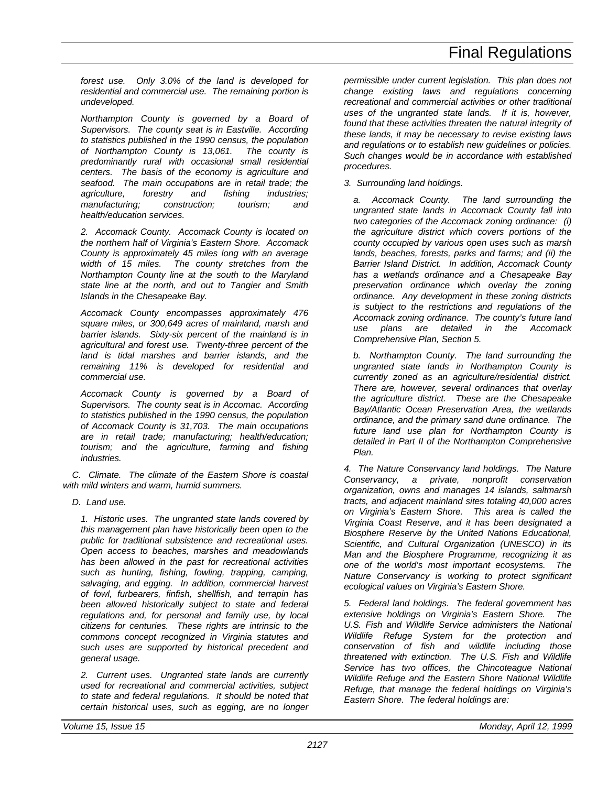*forest use. Only 3.0% of the land is developed for residential and commercial use. The remaining portion is undeveloped.*

*Northampton County is governed by a Board of Supervisors. The county seat is in Eastville. According to statistics published in the 1990 census, the population of Northampton County is 13,061. The county is predominantly rural with occasional small residential centers. The basis of the economy is agriculture and seafood. The main occupations are in retail trade; the agriculture, forestry and fishing industries; manufacturing; construction; tourism; and health/education services.*

*2. Accomack County. Accomack County is located on the northern half of Virginia's Eastern Shore. Accomack County is approximately 45 miles long with an average width of 15 miles. The county stretches from the Northampton County line at the south to the Maryland state line at the north, and out to Tangier and Smith Islands in the Chesapeake Bay.*

*Accomack County encompasses approximately 476 square miles, or 300,649 acres of mainland, marsh and barrier islands. Sixty-six percent of the mainland is in agricultural and forest use. Twenty-three percent of the land is tidal marshes and barrier islands, and the remaining 11% is developed for residential and commercial use.*

*Accomack County is governed by a Board of Supervisors. The county seat is in Accomac. According to statistics published in the 1990 census, the population of Accomack County is 31,703. The main occupations are in retail trade; manufacturing; health/education; tourism; and the agriculture, farming and fishing industries.*

*C. Climate. The climate of the Eastern Shore is coastal with mild winters and warm, humid summers.*

*D. Land use.*

*1. Historic uses. The ungranted state lands covered by this management plan have historically been open to the public for traditional subsistence and recreational uses. Open access to beaches, marshes and meadowlands has been allowed in the past for recreational activities such as hunting, fishing, fowling, trapping, camping, salvaging, and egging. In addition, commercial harvest of fowl, furbearers, finfish, shellfish, and terrapin has been allowed historically subject to state and federal regulations and, for personal and family use, by local citizens for centuries. These rights are intrinsic to the commons concept recognized in Virginia statutes and such uses are supported by historical precedent and general usage.*

*2. Current uses. Ungranted state lands are currently used for recreational and commercial activities, subject to state and federal regulations. It should be noted that certain historical uses, such as egging, are no longer*

*permissible under current legislation. This plan does not change existing laws and regulations concerning recreational and commercial activities or other traditional uses of the ungranted state lands. If it is, however, found that these activities threaten the natural integrity of these lands, it may be necessary to revise existing laws and regulations or to establish new guidelines or policies. Such changes would be in accordance with established procedures.*

*3. Surrounding land holdings.*

*a. Accomack County. The land surrounding the ungranted state lands in Accomack County fall into two categories of the Accomack zoning ordinance: (i) the agriculture district which covers portions of the county occupied by various open uses such as marsh lands, beaches, forests, parks and farms; and (ii) the Barrier Island District. In addition, Accomack County has a wetlands ordinance and a Chesapeake Bay preservation ordinance which overlay the zoning ordinance. Any development in these zoning districts is subject to the restrictions and regulations of the Accomack zoning ordinance. The county's future land use plans are detailed in the Accomack Comprehensive Plan, Section 5.*

*b. Northampton County. The land surrounding the ungranted state lands in Northampton County is currently zoned as an agriculture/residential district. There are, however, several ordinances that overlay the agriculture district. These are the Chesapeake Bay/Atlantic Ocean Preservation Area, the wetlands ordinance, and the primary sand dune ordinance. The future land use plan for Northampton County is detailed in Part II of the Northampton Comprehensive Plan.*

*4. The Nature Conservancy land holdings. The Nature Conservancy, a private, nonprofit conservation organization, owns and manages 14 islands, saltmarsh tracts, and adjacent mainland sites totaling 40,000 acres on Virginia's Eastern Shore. This area is called the Virginia Coast Reserve, and it has been designated a Biosphere Reserve by the United Nations Educational, Scientific, and Cultural Organization (UNESCO) in its Man and the Biosphere Programme, recognizing it as one of the world's most important ecosystems. The Nature Conservancy is working to protect significant ecological values on Virginia's Eastern Shore.*

*5. Federal land holdings. The federal government has extensive holdings on Virginia's Eastern Shore. The U.S. Fish and Wildlife Service administers the National Wildlife Refuge System for the protection and conservation of fish and wildlife including those threatened with extinction. The U.S. Fish and Wildlife Service has two offices, the Chincoteague National Wildlife Refuge and the Eastern Shore National Wildlife Refuge, that manage the federal holdings on Virginia's Eastern Shore. The federal holdings are:*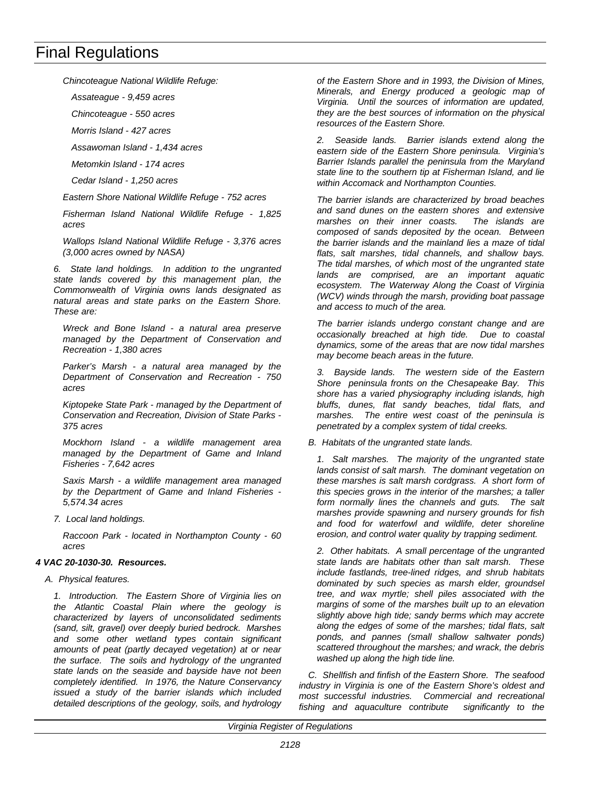*Chincoteague National Wildlife Refuge:*

*Assateague - 9,459 acres*

*Chincoteague - 550 acres*

*Morris Island - 427 acres*

*Assawoman Island - 1,434 acres*

*Metomkin Island - 174 acres*

*Cedar Island - 1,250 acres*

*Eastern Shore National Wildlife Refuge - 752 acres*

*Fisherman Island National Wildlife Refuge - 1,825 acres*

*Wallops Island National Wildlife Refuge - 3,376 acres (3,000 acres owned by NASA)*

*6. State land holdings. In addition to the ungranted state lands covered by this management plan, the Commonwealth of Virginia owns lands designated as natural areas and state parks on the Eastern Shore. These are:*

*Wreck and Bone Island - a natural area preserve managed by the Department of Conservation and Recreation - 1,380 acres*

*Parker's Marsh - a natural area managed by the Department of Conservation and Recreation - 750 acres*

*Kiptopeke State Park - managed by the Department of Conservation and Recreation, Division of State Parks - 375 acres*

*Mockhorn Island - a wildlife management area managed by the Department of Game and Inland Fisheries - 7,642 acres*

*Saxis Marsh - a wildlife management area managed by the Department of Game and Inland Fisheries - 5,574.34 acres*

*7. Local land holdings.*

*Raccoon Park - located in Northampton County - 60 acres*

#### *4 VAC 20-1030-30. Resources.*

*A. Physical features.*

*1. Introduction. The Eastern Shore of Virginia lies on the Atlantic Coastal Plain where the geology is characterized by layers of unconsolidated sediments (sand, silt, gravel) over deeply buried bedrock. Marshes and some other wetland types contain significant amounts of peat (partly decayed vegetation) at or near the surface. The soils and hydrology of the ungranted state lands on the seaside and bayside have not been completely identified. In 1976, the Nature Conservancy issued a study of the barrier islands which included detailed descriptions of the geology, soils, and hydrology* *of the Eastern Shore and in 1993, the Division of Mines, Minerals, and Energy produced a geologic map of Virginia. Until the sources of information are updated, they are the best sources of information on the physical resources of the Eastern Shore.*

*2. Seaside lands. Barrier islands extend along the eastern side of the Eastern Shore peninsula. Virginia's Barrier Islands parallel the peninsula from the Maryland state line to the southern tip at Fisherman Island, and lie within Accomack and Northampton Counties.*

*The barrier islands are characterized by broad beaches and sand dunes on the eastern shores and extensive marshes on their inner coasts. The islands are composed of sands deposited by the ocean. Between the barrier islands and the mainland lies a maze of tidal flats, salt marshes, tidal channels, and shallow bays. The tidal marshes, of which most of the ungranted state lands are comprised, are an important aquatic ecosystem. The Waterway Along the Coast of Virginia (WCV) winds through the marsh, providing boat passage and access to much of the area.*

*The barrier islands undergo constant change and are occasionally breached at high tide. Due to coastal dynamics, some of the areas that are now tidal marshes may become beach areas in the future.*

*3. Bayside lands. The western side of the Eastern Shore peninsula fronts on the Chesapeake Bay. This shore has a varied physiography including islands, high bluffs, dunes, flat sandy beaches, tidal flats, and marshes. The entire west coast of the peninsula is penetrated by a complex system of tidal creeks.*

*B. Habitats of the ungranted state lands.*

*1. Salt marshes. The majority of the ungranted state lands consist of salt marsh. The dominant vegetation on these marshes is salt marsh cordgrass. A short form of this species grows in the interior of the marshes; a taller form normally lines the channels and guts. The salt marshes provide spawning and nursery grounds for fish and food for waterfowl and wildlife, deter shoreline erosion, and control water quality by trapping sediment.*

*2. Other habitats. A small percentage of the ungranted state lands are habitats other than salt marsh. These include fastlands, tree-lined ridges, and shrub habitats dominated by such species as marsh elder, groundsel tree, and wax myrtle; shell piles associated with the margins of some of the marshes built up to an elevation slightly above high tide; sandy berms which may accrete along the edges of some of the marshes; tidal flats, salt ponds, and pannes (small shallow saltwater ponds) scattered throughout the marshes; and wrack, the debris washed up along the high tide line.*

*C. Shellfish and finfish of the Eastern Shore. The seafood industry in Virginia is one of the Eastern Shore's oldest and most successful industries. Commercial and recreational fishing and aquaculture contribute significantly to the*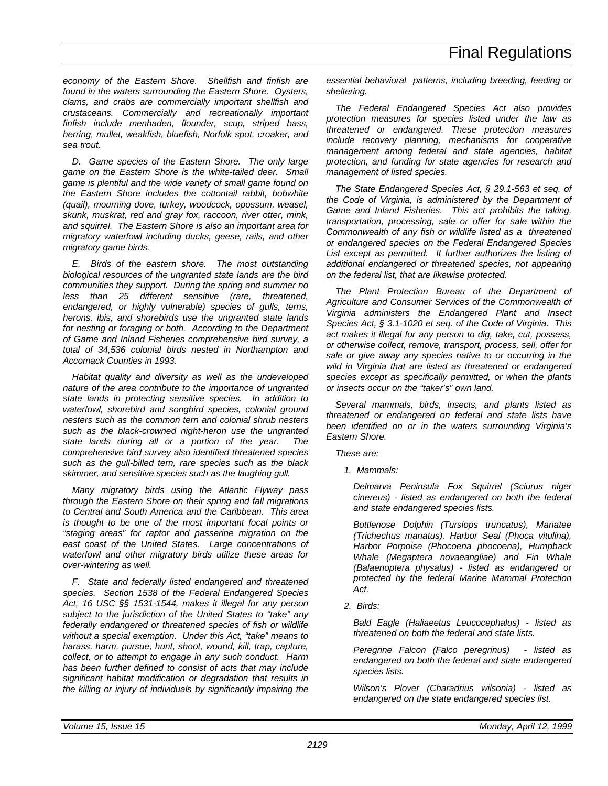*economy of the Eastern Shore. Shellfish and finfish are found in the waters surrounding the Eastern Shore. Oysters, clams, and crabs are commercially important shellfish and crustaceans. Commercially and recreationally important finfish include menhaden, flounder, scup, striped bass, herring, mullet, weakfish, bluefish, Norfolk spot, croaker, and sea trout.*

*D. Game species of the Eastern Shore. The only large game on the Eastern Shore is the white-tailed deer. Small game is plentiful and the wide variety of small game found on the Eastern Shore includes the cottontail rabbit, bobwhite (quail), mourning dove, turkey, woodcock, opossum, weasel, skunk, muskrat, red and gray fox, raccoon, river otter, mink, and squirrel. The Eastern Shore is also an important area for migratory waterfowl including ducks, geese, rails, and other migratory game birds.*

*E. Birds of the eastern shore. The most outstanding biological resources of the ungranted state lands are the bird communities they support. During the spring and summer no less than 25 different sensitive (rare, threatened, endangered, or highly vulnerable) species of gulls, terns, herons, ibis, and shorebirds use the ungranted state lands for nesting or foraging or both. According to the Department of Game and Inland Fisheries comprehensive bird survey, a total of 34,536 colonial birds nested in Northampton and Accomack Counties in 1993.*

*Habitat quality and diversity as well as the undeveloped nature of the area contribute to the importance of ungranted state lands in protecting sensitive species. In addition to waterfowl, shorebird and songbird species, colonial ground nesters such as the common tern and colonial shrub nesters such as the black-crowned night-heron use the ungranted state lands during all or a portion of the year. The comprehensive bird survey also identified threatened species such as the gull-billed tern, rare species such as the black skimmer, and sensitive species such as the laughing gull.*

*Many migratory birds using the Atlantic Flyway pass through the Eastern Shore on their spring and fall migrations to Central and South America and the Caribbean. This area is thought to be one of the most important focal points or "staging areas" for raptor and passerine migration on the east coast of the United States. Large concentrations of waterfowl and other migratory birds utilize these areas for over-wintering as well.*

*F. State and federally listed endangered and threatened species. Section 1538 of the Federal Endangered Species Act, 16 USC §§ 1531-1544, makes it illegal for any person subject to the jurisdiction of the United States to "take" any federally endangered or threatened species of fish or wildlife without a special exemption. Under this Act, "take" means to harass, harm, pursue, hunt, shoot, wound, kill, trap, capture, collect, or to attempt to engage in any such conduct. Harm has been further defined to consist of acts that may include significant habitat modification or degradation that results in the killing or injury of individuals by significantly impairing the*

*essential behavioral patterns, including breeding, feeding or sheltering.*

*The Federal Endangered Species Act also provides protection measures for species listed under the law as threatened or endangered. These protection measures include recovery planning, mechanisms for cooperative management among federal and state agencies, habitat protection, and funding for state agencies for research and management of listed species.*

*The State Endangered Species Act, § 29.1-563 et seq. of the Code of Virginia, is administered by the Department of Game and Inland Fisheries. This act prohibits the taking, transportation, processing, sale or offer for sale within the Commonwealth of any fish or wildlife listed as a threatened or endangered species on the Federal Endangered Species List except as permitted. It further authorizes the listing of additional endangered or threatened species, not appearing on the federal list, that are likewise protected.*

*The Plant Protection Bureau of the Department of Agriculture and Consumer Services of the Commonwealth of Virginia administers the Endangered Plant and Insect Species Act, § 3.1-1020 et seq. of the Code of Virginia. This act makes it illegal for any person to dig, take, cut, possess, or otherwise collect, remove, transport, process, sell, offer for sale or give away any species native to or occurring in the wild in Virginia that are listed as threatened or endangered species except as specifically permitted, or when the plants or insects occur on the "taker's" own land.*

*Several mammals, birds, insects, and plants listed as threatened or endangered on federal and state lists have been identified on or in the waters surrounding Virginia's Eastern Shore.*

*These are:*

*1. Mammals:*

*Delmarva Peninsula Fox Squirrel (Sciurus niger cinereus) - listed as endangered on both the federal and state endangered species lists.*

*Bottlenose Dolphin (Tursiops truncatus), Manatee (Trichechus manatus), Harbor Seal (Phoca vitulina), Harbor Porpoise (Phocoena phocoena), Humpback Whale (Megaptera novaeangliae) and Fin Whale (Balaenoptera physalus) - listed as endangered or protected by the federal Marine Mammal Protection Act.*

*2. Birds:*

*Bald Eagle (Haliaeetus Leucocephalus) - listed as threatened on both the federal and state lists.*

*Peregrine Falcon (Falco peregrinus) - listed as endangered on both the federal and state endangered species lists.*

*Wilson's Plover (Charadrius wilsonia) - listed as endangered on the state endangered species list.*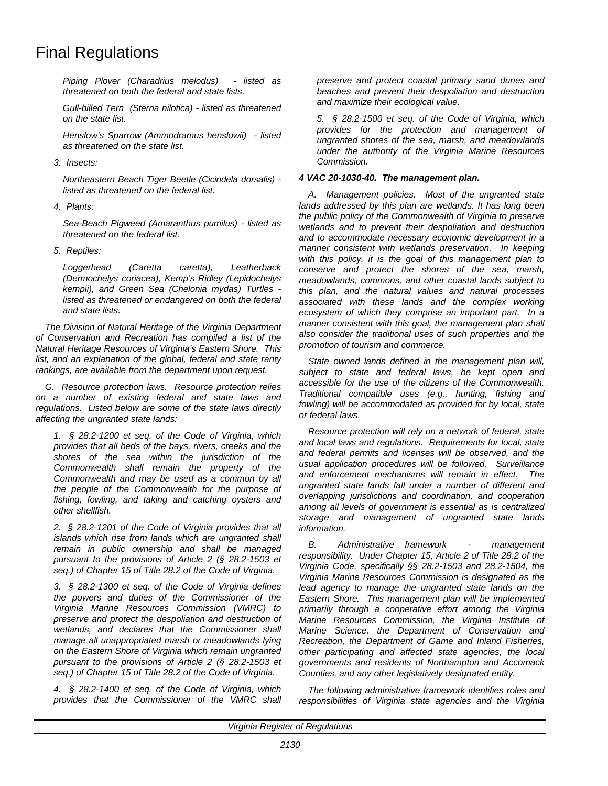*Piping Plover (Charadrius melodus) - listed as threatened on both the federal and state lists.*

*Gull-billed Tern (Sterna nilotica) - listed as threatened on the state list.*

*Henslow's Sparrow (Ammodramus henslowii) - listed as threatened on the state list.*

*3. Insects:*

*Northeastern Beach Tiger Beetle (Cicindela dorsalis) listed as threatened on the federal list.*

*4. Plants:*

*Sea-Beach Pigweed (Amaranthus pumilus) - listed as threatened on the federal list.*

*5. Reptiles:*

*Loggerhead (Caretta caretta), Leatherback (Dermochelys coriacea), Kemp's Ridley (Lepidochelys kempii), and Green Sea (Chelonia mydas) Turtles listed as threatened or endangered on both the federal and state lists.*

*The Division of Natural Heritage of the Virginia Department of Conservation and Recreation has compiled a list of the Natural Heritage Resources of Virginia's Eastern Shore. This list, and an explanation of the global, federal and state rarity rankings, are available from the department upon request.*

*G. Resource protection laws. Resource protection relies on a number of existing federal and state laws and regulations. Listed below are some of the state laws directly affecting the ungranted state lands:*

*1. § 28.2-1200 et seq. of the Code of Virginia, which provides that all beds of the bays, rivers, creeks and the shores of the sea within the jurisdiction of the Commonwealth shall remain the property of the Commonwealth and may be used as a common by all the people of the Commonwealth for the purpose of fishing, fowling, and taking and catching oysters and other shellfish.*

*2. § 28.2-1201 of the Code of Virginia provides that all islands which rise from lands which are ungranted shall remain in public ownership and shall be managed pursuant to the provisions of Article 2 (§ 28.2-1503 et seq.) of Chapter 15 of Title 28.2 of the Code of Virginia.*

*3. § 28.2-1300 et seq. of the Code of Virginia defines the powers and duties of the Commissioner of the Virginia Marine Resources Commission (VMRC) to preserve and protect the despoliation and destruction of wetlands, and declares that the Commissioner shall manage all unappropriated marsh or meadowlands lying on the Eastern Shore of Virginia which remain ungranted pursuant to the provisions of Article 2 (§ 28.2-1503 et seq.) of Chapter 15 of Title 28.2 of the Code of Virginia.*

*4. § 28.2-1400 et seq. of the Code of Virginia, which provides that the Commissioner of the VMRC shall* *preserve and protect coastal primary sand dunes and beaches and prevent their despoliation and destruction and maximize their ecological value.*

*5. § 28.2-1500 et seq. of the Code of Virginia, which provides for the protection and management of ungranted shores of the sea, marsh, and meadowlands under the authority of the Virginia Marine Resources Commission.*

### *4 VAC 20-1030-40. The management plan.*

*A. Management policies. Most of the ungranted state lands addressed by this plan are wetlands. It has long been the public policy of the Commonwealth of Virginia to preserve wetlands and to prevent their despoliation and destruction and to accommodate necessary economic development in a manner consistent with wetlands preservation. In keeping with this policy, it is the goal of this management plan to conserve and protect the shores of the sea, marsh, meadowlands, commons, and other coastal lands subject to this plan, and the natural values and natural processes associated with these lands and the complex working ecosystem of which they comprise an important part. In a manner consistent with this goal, the management plan shall also consider the traditional uses of such properties and the promotion of tourism and commerce.*

*State owned lands defined in the management plan will, subject to state and federal laws, be kept open and accessible for the use of the citizens of the Commonwealth. Traditional compatible uses (e.g., hunting, fishing and fowling) will be accommodated as provided for by local, state or federal laws.*

*Resource protection will rely on a network of federal, state and local laws and regulations. Requirements for local, state and federal permits and licenses will be observed, and the usual application procedures will be followed. Surveillance and enforcement mechanisms will remain in effect. The ungranted state lands fall under a number of different and overlapping jurisdictions and coordination, and cooperation among all levels of government is essential as is centralized storage and management of ungranted state lands information.*

*B. Administrative framework - management responsibility. Under Chapter 15, Article 2 of Title 28.2 of the Virginia Code, specifically §§ 28.2-1503 and 28.2-1504, the Virginia Marine Resources Commission is designated as the lead agency to manage the ungranted state lands on the Eastern Shore. This management plan will be implemented primarily through a cooperative effort among the Virginia Marine Resources Commission, the Virginia Institute of Marine Science, the Department of Conservation and Recreation, the Department of Game and Inland Fisheries, other participating and affected state agencies, the local governments and residents of Northampton and Accomack Counties, and any other legislatively designated entity.*

*The following administrative framework identifies roles and responsibilities of Virginia state agencies and the Virginia*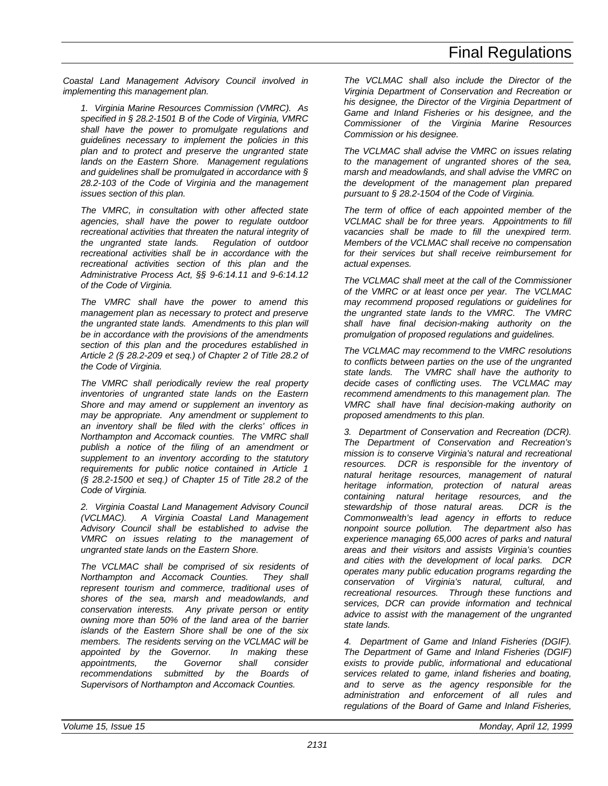*Coastal Land Management Advisory Council involved in implementing this management plan.*

*1. Virginia Marine Resources Commission (VMRC). As specified in § 28.2-1501 B of the Code of Virginia, VMRC shall have the power to promulgate regulations and guidelines necessary to implement the policies in this plan and to protect and preserve the ungranted state lands on the Eastern Shore. Management regulations and guidelines shall be promulgated in accordance with § 28.2-103 of the Code of Virginia and the management issues section of this plan.*

*The VMRC, in consultation with other affected state agencies, shall have the power to regulate outdoor recreational activities that threaten the natural integrity of the ungranted state lands. Regulation of outdoor recreational activities shall be in accordance with the recreational activities section of this plan and the Administrative Process Act, §§ 9-6:14.11 and 9-6:14.12 of the Code of Virginia.*

*The VMRC shall have the power to amend this management plan as necessary to protect and preserve the ungranted state lands. Amendments to this plan will be in accordance with the provisions of the amendments section of this plan and the procedures established in Article 2 (§ 28.2-209 et seq.) of Chapter 2 of Title 28.2 of the Code of Virginia.*

*The VMRC shall periodically review the real property inventories of ungranted state lands on the Eastern Shore and may amend or supplement an inventory as may be appropriate. Any amendment or supplement to an inventory shall be filed with the clerks' offices in Northampton and Accomack counties. The VMRC shall publish a notice of the filing of an amendment or supplement to an inventory according to the statutory requirements for public notice contained in Article 1 (§ 28.2-1500 et seq.) of Chapter 15 of Title 28.2 of the Code of Virginia.*

*2. Virginia Coastal Land Management Advisory Council (VCLMAC). A Virginia Coastal Land Management Advisory Council shall be established to advise the VMRC on issues relating to the management of ungranted state lands on the Eastern Shore.*

*The VCLMAC shall be comprised of six residents of Northampton and Accomack Counties. They shall represent tourism and commerce, traditional uses of shores of the sea, marsh and meadowlands, and conservation interests. Any private person or entity owning more than 50% of the land area of the barrier islands of the Eastern Shore shall be one of the six members. The residents serving on the VCLMAC will be appointed by the Governor. In making these appointments, the Governor shall consider recommendations submitted by the Boards of Supervisors of Northampton and Accomack Counties.*

*The VCLMAC shall also include the Director of the Virginia Department of Conservation and Recreation or his designee, the Director of the Virginia Department of Game and Inland Fisheries or his designee, and the Commissioner of the Virginia Marine Resources Commission or his designee.*

*The VCLMAC shall advise the VMRC on issues relating to the management of ungranted shores of the sea, marsh and meadowlands, and shall advise the VMRC on the development of the management plan prepared pursuant to § 28.2-1504 of the Code of Virginia.*

*The term of office of each appointed member of the VCLMAC shall be for three years. Appointments to fill vacancies shall be made to fill the unexpired term. Members of the VCLMAC shall receive no compensation for their services but shall receive reimbursement for actual expenses.*

*The VCLMAC shall meet at the call of the Commissioner of the VMRC or at least once per year. The VCLMAC may recommend proposed regulations or guidelines for the ungranted state lands to the VMRC. The VMRC shall have final decision-making authority on the promulgation of proposed regulations and guidelines.*

*The VCLMAC may recommend to the VMRC resolutions to conflicts between parties on the use of the ungranted state lands. The VMRC shall have the authority to decide cases of conflicting uses. The VCLMAC may recommend amendments to this management plan. The VMRC shall have final decision-making authority on proposed amendments to this plan.*

*3. Department of Conservation and Recreation (DCR). The Department of Conservation and Recreation's mission is to conserve Virginia's natural and recreational resources. DCR is responsible for the inventory of natural heritage resources, management of natural heritage information, protection of natural areas containing natural heritage resources, and the* stewardship of those natural areas. *Commonwealth's lead agency in efforts to reduce nonpoint source pollution. The department also has experience managing 65,000 acres of parks and natural areas and their visitors and assists Virginia's counties and cities with the development of local parks. DCR operates many public education programs regarding the conservation of Virginia's natural, cultural, and recreational resources. Through these functions and services, DCR can provide information and technical advice to assist with the management of the ungranted state lands.*

*4. Department of Game and Inland Fisheries (DGIF). The Department of Game and Inland Fisheries (DGIF) exists to provide public, informational and educational services related to game, inland fisheries and boating, and to serve as the agency responsible for the administration and enforcement of all rules and regulations of the Board of Game and Inland Fisheries,*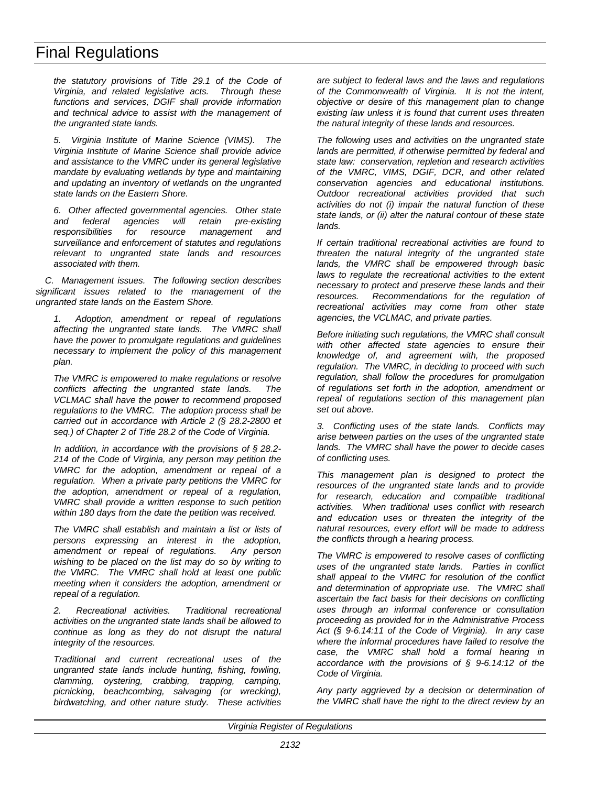*the statutory provisions of Title 29.1 of the Code of Virginia, and related legislative acts. Through these functions and services, DGIF shall provide information and technical advice to assist with the management of the ungranted state lands.*

*5. Virginia Institute of Marine Science (VIMS). The Virginia Institute of Marine Science shall provide advice and assistance to the VMRC under its general legislative mandate by evaluating wetlands by type and maintaining and updating an inventory of wetlands on the ungranted state lands on the Eastern Shore.*

*6. Other affected governmental agencies. Other state* and federal agencies will retain *responsibilities for resource management and surveillance and enforcement of statutes and regulations relevant to ungranted state lands and resources associated with them.*

*C. Management issues. The following section describes significant issues related to the management of the ungranted state lands on the Eastern Shore.*

*1. Adoption, amendment or repeal of regulations affecting the ungranted state lands. The VMRC shall have the power to promulgate regulations and guidelines necessary to implement the policy of this management plan.*

*The VMRC is empowered to make regulations or resolve conflicts affecting the ungranted state lands. The VCLMAC shall have the power to recommend proposed regulations to the VMRC. The adoption process shall be carried out in accordance with Article 2 (§ 28.2-2800 et seq.) of Chapter 2 of Title 28.2 of the Code of Virginia.*

*In addition, in accordance with the provisions of § 28.2- 214 of the Code of Virginia, any person may petition the VMRC for the adoption, amendment or repeal of a regulation. When a private party petitions the VMRC for the adoption, amendment or repeal of a regulation, VMRC shall provide a written response to such petition within 180 days from the date the petition was received.*

*The VMRC shall establish and maintain a list or lists of persons expressing an interest in the adoption, amendment or repeal of regulations. Any person wishing to be placed on the list may do so by writing to the VMRC. The VMRC shall hold at least one public meeting when it considers the adoption, amendment or repeal of a regulation.*

*2. Recreational activities. Traditional recreational activities on the ungranted state lands shall be allowed to continue as long as they do not disrupt the natural integrity of the resources.*

*Traditional and current recreational uses of the ungranted state lands include hunting, fishing, fowling, clamming, oystering, crabbing, trapping, camping, picnicking, beachcombing, salvaging (or wrecking), birdwatching, and other nature study. These activities* *are subject to federal laws and the laws and regulations of the Commonwealth of Virginia. It is not the intent, objective or desire of this management plan to change existing law unless it is found that current uses threaten the natural integrity of these lands and resources.*

*The following uses and activities on the ungranted state lands are permitted, if otherwise permitted by federal and state law: conservation, repletion and research activities of the VMRC, VIMS, DGIF, DCR, and other related conservation agencies and educational institutions. Outdoor recreational activities provided that such activities do not (i) impair the natural function of these state lands, or (ii) alter the natural contour of these state lands.*

*If certain traditional recreational activities are found to threaten the natural integrity of the ungranted state lands, the VMRC shall be empowered through basic laws to regulate the recreational activities to the extent necessary to protect and preserve these lands and their resources. Recommendations for the regulation of recreational activities may come from other state agencies, the VCLMAC, and private parties.*

*Before initiating such regulations, the VMRC shall consult with other affected state agencies to ensure their knowledge of, and agreement with, the proposed regulation. The VMRC, in deciding to proceed with such regulation, shall follow the procedures for promulgation of regulations set forth in the adoption, amendment or repeal of regulations section of this management plan set out above.*

*3. Conflicting uses of the state lands. Conflicts may arise between parties on the uses of the ungranted state lands. The VMRC shall have the power to decide cases of conflicting uses.*

*This management plan is designed to protect the resources of the ungranted state lands and to provide for research, education and compatible traditional activities. When traditional uses conflict with research and education uses or threaten the integrity of the natural resources, every effort will be made to address the conflicts through a hearing process.*

*The VMRC is empowered to resolve cases of conflicting uses of the ungranted state lands. Parties in conflict shall appeal to the VMRC for resolution of the conflict and determination of appropriate use. The VMRC shall ascertain the fact basis for their decisions on conflicting uses through an informal conference or consultation proceeding as provided for in the Administrative Process Act (§ 9-6.14:11 of the Code of Virginia). In any case where the informal procedures have failed to resolve the case, the VMRC shall hold a formal hearing in accordance with the provisions of § 9-6.14:12 of the Code of Virginia.*

*Any party aggrieved by a decision or determination of the VMRC shall have the right to the direct review by an*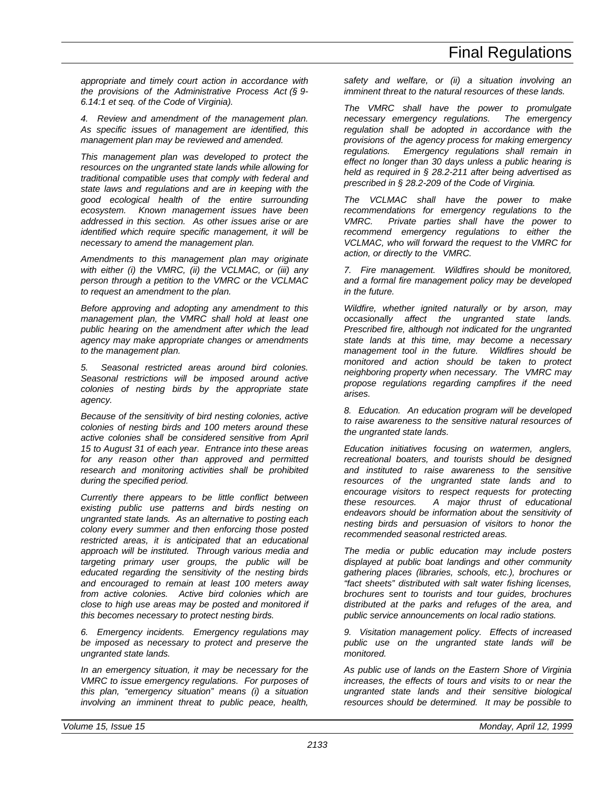*appropriate and timely court action in accordance with the provisions of the Administrative Process Act (§ 9- 6.14:1 et seq. of the Code of Virginia).*

*4. Review and amendment of the management plan. As specific issues of management are identified, this management plan may be reviewed and amended.*

*This management plan was developed to protect the resources on the ungranted state lands while allowing for traditional compatible uses that comply with federal and state laws and regulations and are in keeping with the good ecological health of the entire surrounding ecosystem. Known management issues have been addressed in this section. As other issues arise or are identified which require specific management, it will be necessary to amend the management plan.*

*Amendments to this management plan may originate with either (i) the VMRC, (ii) the VCLMAC, or (iii) any person through a petition to the VMRC or the VCLMAC to request an amendment to the plan.*

*Before approving and adopting any amendment to this management plan, the VMRC shall hold at least one public hearing on the amendment after which the lead agency may make appropriate changes or amendments to the management plan.*

*5. Seasonal restricted areas around bird colonies. Seasonal restrictions will be imposed around active colonies of nesting birds by the appropriate state agency.*

*Because of the sensitivity of bird nesting colonies, active colonies of nesting birds and 100 meters around these active colonies shall be considered sensitive from April 15 to August 31 of each year. Entrance into these areas for any reason other than approved and permitted research and monitoring activities shall be prohibited during the specified period.*

*Currently there appears to be little conflict between existing public use patterns and birds nesting on ungranted state lands. As an alternative to posting each colony every summer and then enforcing those posted restricted areas, it is anticipated that an educational approach will be instituted. Through various media and targeting primary user groups, the public will be educated regarding the sensitivity of the nesting birds and encouraged to remain at least 100 meters away from active colonies. Active bird colonies which are close to high use areas may be posted and monitored if this becomes necessary to protect nesting birds.*

*6. Emergency incidents. Emergency regulations may be imposed as necessary to protect and preserve the ungranted state lands.*

*In an emergency situation, it may be necessary for the VMRC to issue emergency regulations. For purposes of this plan, "emergency situation" means (i) a situation involving an imminent threat to public peace, health,*

*safety and welfare, or (ii) a situation involving an imminent threat to the natural resources of these lands.*

*The VMRC shall have the power to promulgate necessary emergency regulations. The emergency regulation shall be adopted in accordance with the provisions of the agency process for making emergency regulations. Emergency regulations shall remain in effect no longer than 30 days unless a public hearing is held as required in § 28.2-211 after being advertised as prescribed in § 28.2-209 of the Code of Virginia.*

*The VCLMAC shall have the power to make recommendations for emergency regulations to the VMRC. Private parties shall have the power to recommend emergency regulations to either the VCLMAC, who will forward the request to the VMRC for action, or directly to the VMRC.*

*7. Fire management. Wildfires should be monitored, and a formal fire management policy may be developed in the future.*

*Wildfire, whether ignited naturally or by arson, may occasionally affect the ungranted state lands. Prescribed fire, although not indicated for the ungranted state lands at this time, may become a necessary management tool in the future. Wildfires should be monitored and action should be taken to protect neighboring property when necessary. The VMRC may propose regulations regarding campfires if the need arises.*

*8. Education. An education program will be developed to raise awareness to the sensitive natural resources of the ungranted state lands.*

*Education initiatives focusing on watermen, anglers, recreational boaters, and tourists should be designed and instituted to raise awareness to the sensitive resources of the ungranted state lands and to encourage visitors to respect requests for protecting these resources. A major thrust of educational endeavors should be information about the sensitivity of nesting birds and persuasion of visitors to honor the recommended seasonal restricted areas.*

*The media or public education may include posters displayed at public boat landings and other community gathering places (libraries, schools, etc.), brochures or "fact sheets" distributed with salt water fishing licenses, brochures sent to tourists and tour guides, brochures distributed at the parks and refuges of the area, and public service announcements on local radio stations.*

*9. Visitation management policy. Effects of increased public use on the ungranted state lands will be monitored.*

*As public use of lands on the Eastern Shore of Virginia increases, the effects of tours and visits to or near the ungranted state lands and their sensitive biological resources should be determined. It may be possible to*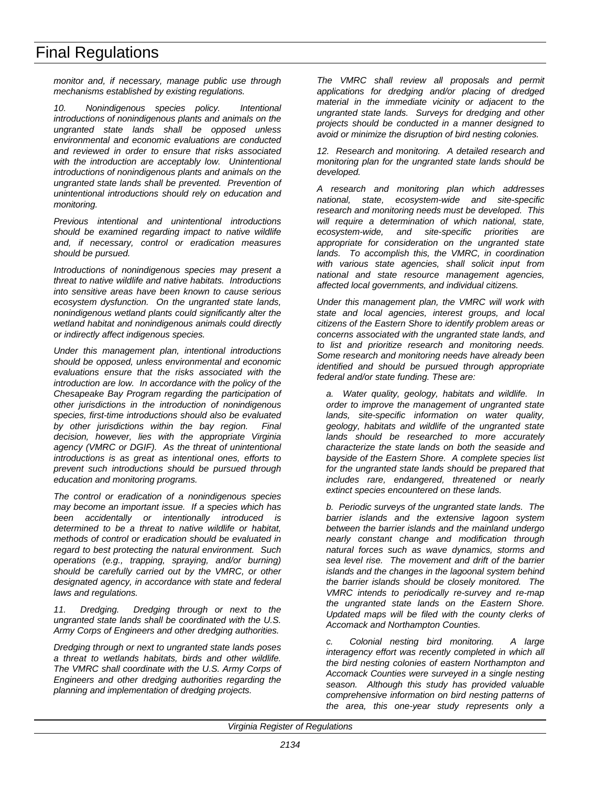*monitor and, if necessary, manage public use through mechanisms established by existing regulations.*

*10. Nonindigenous species policy. Intentional introductions of nonindigenous plants and animals on the ungranted state lands shall be opposed unless environmental and economic evaluations are conducted and reviewed in order to ensure that risks associated with the introduction are acceptably low. Unintentional introductions of nonindigenous plants and animals on the ungranted state lands shall be prevented. Prevention of unintentional introductions should rely on education and monitoring.*

*Previous intentional and unintentional introductions should be examined regarding impact to native wildlife and, if necessary, control or eradication measures should be pursued.*

*Introductions of nonindigenous species may present a threat to native wildlife and native habitats. Introductions into sensitive areas have been known to cause serious ecosystem dysfunction. On the ungranted state lands, nonindigenous wetland plants could significantly alter the wetland habitat and nonindigenous animals could directly or indirectly affect indigenous species.*

*Under this management plan, intentional introductions should be opposed, unless environmental and economic evaluations ensure that the risks associated with the introduction are low. In accordance with the policy of the Chesapeake Bay Program regarding the participation of other jurisdictions in the introduction of nonindigenous species, first-time introductions should also be evaluated by other jurisdictions within the bay region. Final decision, however, lies with the appropriate Virginia agency (VMRC or DGIF). As the threat of unintentional introductions is as great as intentional ones, efforts to prevent such introductions should be pursued through education and monitoring programs.*

*The control or eradication of a nonindigenous species may become an important issue. If a species which has been accidentally or intentionally introduced is determined to be a threat to native wildlife or habitat, methods of control or eradication should be evaluated in regard to best protecting the natural environment. Such operations (e.g., trapping, spraying, and/or burning) should be carefully carried out by the VMRC, or other designated agency, in accordance with state and federal laws and regulations.*

*11. Dredging. Dredging through or next to the ungranted state lands shall be coordinated with the U.S. Army Corps of Engineers and other dredging authorities.*

*Dredging through or next to ungranted state lands poses a threat to wetlands habitats, birds and other wildlife. The VMRC shall coordinate with the U.S. Army Corps of Engineers and other dredging authorities regarding the planning and implementation of dredging projects.*

*The VMRC shall review all proposals and permit applications for dredging and/or placing of dredged material in the immediate vicinity or adjacent to the ungranted state lands. Surveys for dredging and other projects should be conducted in a manner designed to avoid or minimize the disruption of bird nesting colonies.*

*12. Research and monitoring. A detailed research and monitoring plan for the ungranted state lands should be developed.*

*A research and monitoring plan which addresses national, state, ecosystem-wide and site-specific research and monitoring needs must be developed. This will require a determination of which national, state, ecosystem-wide, and site-specific priorities are appropriate for consideration on the ungranted state lands. To accomplish this, the VMRC, in coordination with various state agencies, shall solicit input from national and state resource management agencies, affected local governments, and individual citizens.*

*Under this management plan, the VMRC will work with state and local agencies, interest groups, and local citizens of the Eastern Shore to identify problem areas or concerns associated with the ungranted state lands, and to list and prioritize research and monitoring needs. Some research and monitoring needs have already been identified and should be pursued through appropriate federal and/or state funding. These are:*

*a. Water quality, geology, habitats and wildlife. In order to improve the management of ungranted state lands, site-specific information on water quality, geology, habitats and wildlife of the ungranted state lands should be researched to more accurately characterize the state lands on both the seaside and bayside of the Eastern Shore. A complete species list for the ungranted state lands should be prepared that includes rare, endangered, threatened or nearly extinct species encountered on these lands.*

*b. Periodic surveys of the ungranted state lands. The barrier islands and the extensive lagoon system between the barrier islands and the mainland undergo nearly constant change and modification through natural forces such as wave dynamics, storms and sea level rise. The movement and drift of the barrier islands and the changes in the lagoonal system behind the barrier islands should be closely monitored. The VMRC intends to periodically re-survey and re-map the ungranted state lands on the Eastern Shore. Updated maps will be filed with the county clerks of Accomack and Northampton Counties.*

*c. Colonial nesting bird monitoring. A large interagency effort was recently completed in which all the bird nesting colonies of eastern Northampton and Accomack Counties were surveyed in a single nesting season. Although this study has provided valuable comprehensive information on bird nesting patterns of the area, this one-year study represents only a*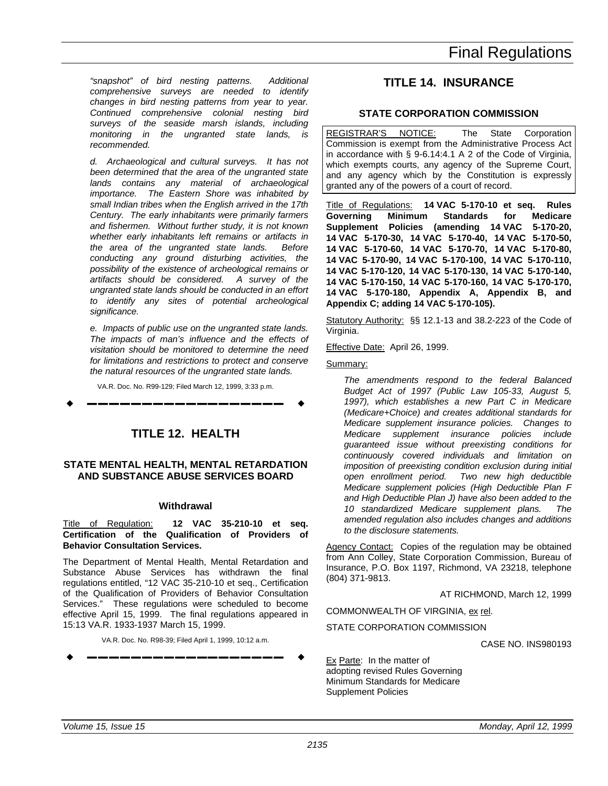<span id="page-38-0"></span>*"snapshot" of bird nesting patterns. Additional comprehensive surveys are needed to identify changes in bird nesting patterns from year to year. Continued comprehensive colonial nesting bird surveys of the seaside marsh islands, including monitoring in the ungranted state lands, is recommended.*

*d. Archaeological and cultural surveys. It has not been determined that the area of the ungranted state lands contains any material of archaeological importance. The Eastern Shore was inhabited by small Indian tribes when the English arrived in the 17th Century. The early inhabitants were primarily farmers and fishermen. Without further study, it is not known whether early inhabitants left remains or artifacts in the area of the ungranted state lands. Before conducting any ground disturbing activities, the possibility of the existence of archeological remains or artifacts should be considered. A survey of the ungranted state lands should be conducted in an effort to identify any sites of potential archeological significance.*

*e. Impacts of public use on the ungranted state lands. The impacts of man's influence and the effects of visitation should be monitored to determine the need for limitations and restrictions to protect and conserve the natural resources of the ungranted state lands.*

VA.R. Doc. No. R99-129; Filed March 12, 1999, 3:33 p.m.

w **––––––––––––––––––** w

## **TITLE 12. HEALTH**

## **STATE MENTAL HEALTH, MENTAL RETARDATION AND SUBSTANCE ABUSE SERVICES BOARD**

## **Withdrawal**

Title of Regulation: **12 VAC 35-210-10 et seq. Certification of the Qualification of Providers of Behavior Consultation Services.**

The Department of Mental Health, Mental Retardation and Substance Abuse Services has withdrawn the final regulations entitled, "12 VAC 35-210-10 et seq., Certification of the Qualification of Providers of Behavior Consultation Services." These regulations were scheduled to become effective April 15, 1999. The final regulations appeared in 15:13 VA.R. 1933-1937 March 15, 1999.

VA.R. Doc. No. R98-39; Filed April 1, 1999, 10:12 a.m.

$$
\bullet \hspace{2em} \longrightarrow \hspace{2em}
$$

## **TITLE 14. INSURANCE**

## **STATE CORPORATION COMMISSION**

REGISTRAR'S NOTICE: The State Corporation Commission is exempt from the Administrative Process Act in accordance with § 9-6.14:4.1 A 2 of the Code of Virginia, which exempts courts, any agency of the Supreme Court, and any agency which by the Constitution is expressly granted any of the powers of a court of record.

Title of Regulations: **14 VAC 5-170-10 et seq. Rules Governing Minimum Standards for Medicare Supplement Policies (amending 14 VAC 5-170-20, 14 VAC 5-170-30, 14 VAC 5-170-40, 14 VAC 5-170-50, 14 VAC 5-170-60, 14 VAC 5-170-70, 14 VAC 5-170-80, 14 VAC 5-170-90, 14 VAC 5-170-100, 14 VAC 5-170-110, 14 VAC 5-170-120, 14 VAC 5-170-130, 14 VAC 5-170-140, 14 VAC 5-170-150, 14 VAC 5-170-160, 14 VAC 5-170-170, 14 VAC 5-170-180, Appendix A, Appendix B, and Appendix C; adding 14 VAC 5-170-105).**

Statutory Authority: §§ 12.1-13 and 38.2-223 of the Code of Virginia.

Effective Date: April 26, 1999.

Summary:

*The amendments respond to the federal Balanced Budget Act of 1997 (Public Law 105-33, August 5, 1997), which establishes a new Part C in Medicare (Medicare+Choice) and creates additional standards for Medicare supplement insurance policies. Changes to Medicare supplement insurance policies include guaranteed issue without preexisting conditions for continuously covered individuals and limitation on imposition of preexisting condition exclusion during initial open enrollment period. Two new high deductible Medicare supplement policies (High Deductible Plan F and High Deductible Plan J) have also been added to the 10 standardized Medicare supplement plans. The amended regulation also includes changes and additions to the disclosure statements.*

Agency Contact: Copies of the regulation may be obtained from Ann Colley, State Corporation Commission, Bureau of Insurance, P.O. Box 1197, Richmond, VA 23218, telephone (804) 371-9813.

AT RICHMOND, March 12, 1999

COMMONWEALTH OF VIRGINIA, ex rel.

STATE CORPORATION COMMISSION

CASE NO. INS980193

Ex Parte: In the matter of adopting revised Rules Governing Minimum Standards for Medicare Supplement Policies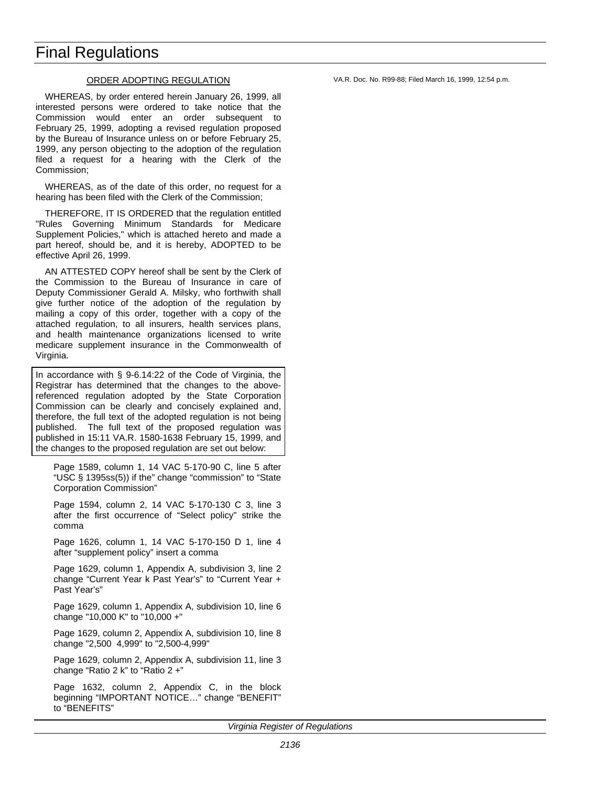#### ORDER ADOPTING REGULATION

WHEREAS, by order entered herein January 26, 1999, all interested persons were ordered to take notice that the Commission would enter an order subsequent to February 25, 1999, adopting a revised regulation proposed by the Bureau of Insurance unless on or before February 25, 1999, any person objecting to the adoption of the regulation filed a request for a hearing with the Clerk of the Commission;

WHEREAS, as of the date of this order, no request for a hearing has been filed with the Clerk of the Commission;

THEREFORE, IT IS ORDERED that the regulation entitled "Rules Governing Minimum Standards for Medicare Supplement Policies," which is attached hereto and made a part hereof, should be, and it is hereby, ADOPTED to be effective April 26, 1999.

AN ATTESTED COPY hereof shall be sent by the Clerk of the Commission to the Bureau of Insurance in care of Deputy Commissioner Gerald A. Milsky, who forthwith shall give further notice of the adoption of the regulation by mailing a copy of this order, together with a copy of the attached regulation, to all insurers, health services plans, and health maintenance organizations licensed to write medicare supplement insurance in the Commonwealth of Virginia.

In accordance with § 9-6.14:22 of the Code of Virginia, the Registrar has determined that the changes to the abovereferenced regulation adopted by the State Corporation Commission can be clearly and concisely explained and, therefore, the full text of the adopted regulation is not being published. The full text of the proposed regulation was published in 15:11 VA.R. 1580-1638 February 15, 1999, and the changes to the proposed regulation are set out below:

Page 1589, column 1, 14 VAC 5-170-90 C, line 5 after "USC § 1395ss(5)) if the" change "commission" to "State Corporation Commission"

Page 1594, column 2, 14 VAC 5-170-130 C 3, line 3 after the first occurrence of "Select policy" strike the comma

Page 1626, column 1, 14 VAC 5-170-150 D 1, line 4 after "supplement policy" insert a comma

Page 1629, column 1, Appendix A, subdivision 3, line 2 change "Current Year k Past Year's" to "Current Year + Past Year's"

Page 1629, column 1, Appendix A, subdivision 10, line 6 change "10,000 K" to "10,000 +"

Page 1629, column 2, Appendix A, subdivision 10, line 8 change "2,500 4,999" to "2,500-4,999"

Page 1629, column 2, Appendix A, subdivision 11, line 3 change "Ratio 2 k" to "Ratio 2 +"

Page 1632, column 2, Appendix C, in the block beginning "IMPORTANT NOTICE…" change "BENEFIT" to "BENEFITS"

*Virginia Register of Regulations*

VA.R. Doc. No. R99-88; Filed March 16, 1999, 12:54 p.m.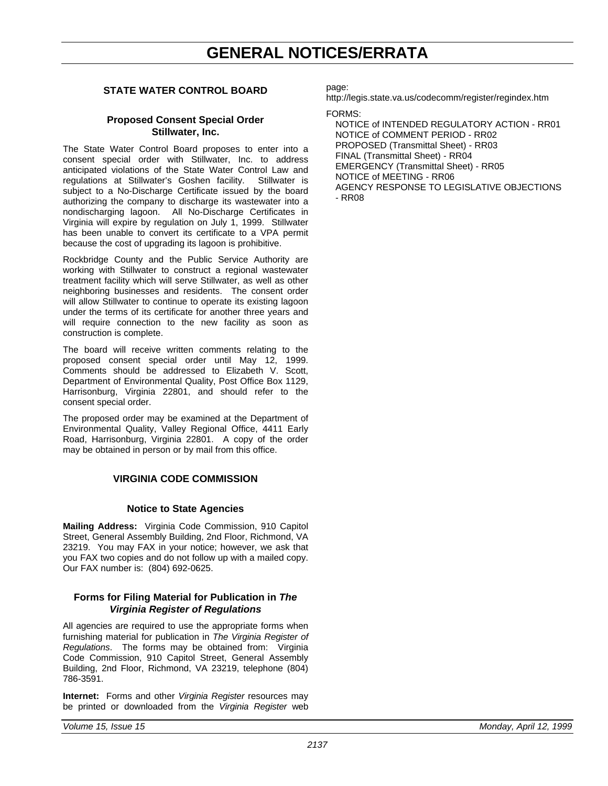## **GENERAL NOTICES/ERRATA**

## <span id="page-40-0"></span>**STATE WATER CONTROL BOARD**

## **Proposed Consent Special Order Stillwater, Inc.**

The State Water Control Board proposes to enter into a consent special order with Stillwater, Inc. to address anticipated violations of the State Water Control Law and regulations at Stillwater's Goshen facility. Stillwater is subject to a No-Discharge Certificate issued by the board authorizing the company to discharge its wastewater into a nondischarging lagoon. All No-Discharge Certificates in Virginia will expire by regulation on July 1, 1999. Stillwater has been unable to convert its certificate to a VPA permit because the cost of upgrading its lagoon is prohibitive.

Rockbridge County and the Public Service Authority are working with Stillwater to construct a regional wastewater treatment facility which will serve Stillwater, as well as other neighboring businesses and residents. The consent order will allow Stillwater to continue to operate its existing lagoon under the terms of its certificate for another three years and will require connection to the new facility as soon as construction is complete.

The board will receive written comments relating to the proposed consent special order until May 12, 1999. Comments should be addressed to Elizabeth V. Scott, Department of Environmental Quality, Post Office Box 1129, Harrisonburg, Virginia 22801, and should refer to the consent special order.

The proposed order may be examined at the Department of Environmental Quality, Valley Regional Office, 4411 Early Road, Harrisonburg, Virginia 22801. A copy of the order may be obtained in person or by mail from this office.

## **VIRGINIA CODE COMMISSION**

## **Notice to State Agencies**

**Mailing Address:** Virginia Code Commission, 910 Capitol Street, General Assembly Building, 2nd Floor, Richmond, VA 23219. You may FAX in your notice; however, we ask that you FAX two copies and do not follow up with a mailed copy. Our FAX number is: (804) 692-0625.

## **Forms for Filing Material for Publication in** *The Virginia Register of Regulations*

All agencies are required to use the appropriate forms when furnishing material for publication in *The Virginia Register of Regulations*. The forms may be obtained from: Virginia Code Commission, 910 Capitol Street, General Assembly Building, 2nd Floor, Richmond, VA 23219, telephone (804) 786-3591.

**Internet:** Forms and other *Virginia Register* resources may be printed or downloaded from the *Virginia Register* web page:

http://legis.state.va.us/codecomm/register/regindex.htm

## FORMS:

NOTICE of INTENDED REGULATORY ACTION - RR01 NOTICE of COMMENT PERIOD - RR02 PROPOSED (Transmittal Sheet) - RR03 FINAL (Transmittal Sheet) - RR04 EMERGENCY (Transmittal Sheet) - RR05 NOTICE of MEETING - RR06 AGENCY RESPONSE TO LEGISLATIVE OBJECTIONS - RR08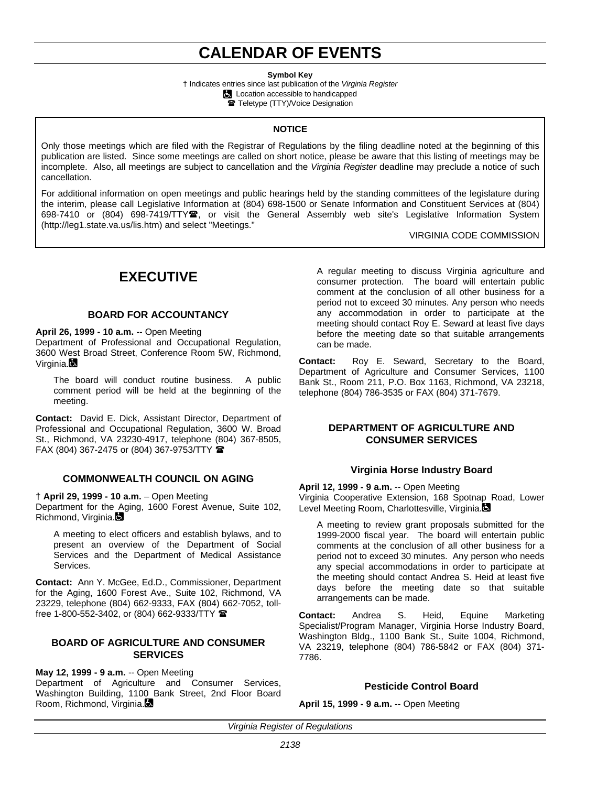## **CALENDAR OF EVENTS**

**Symbol Key**

† Indicates entries since last publication of the *Virginia Register* **Location accessible to handicapped** Teletype (TTY)/Voice Designation

#### **NOTICE**

<span id="page-41-0"></span>Only those meetings which are filed with the Registrar of Regulations by the filing deadline noted at the beginning of this publication are listed. Since some meetings are called on short notice, please be aware that this listing of meetings may be incomplete. Also, all meetings are subject to cancellation and the *Virginia Register* deadline may preclude a notice of such cancellation.

For additional information on open meetings and public hearings held by the standing committees of the legislature during the interim, please call Legislative Information at (804) 698-1500 or Senate Information and Constituent Services at (804) 698-7410 or (804) 698-7419/TTY $\mathbf{\mathfrak{B}}$ , or visit the General Assembly web site's Legislative Information System (http://leg1.state.va.us/lis.htm) and select "Meetings."

VIRGINIA CODE COMMISSION

## **EXECUTIVE**

## **BOARD FOR ACCOUNTANCY**

#### **April 26, 1999 - 10 a.m.** -- Open Meeting

Department of Professional and Occupational Regulation, 3600 West Broad Street, Conference Room 5W, Richmond, Virginia.

The board will conduct routine business. A public comment period will be held at the beginning of the meeting.

**Contact:** David E. Dick, Assistant Director, Department of Professional and Occupational Regulation, 3600 W. Broad St., Richmond, VA 23230-4917, telephone (804) 367-8505, FAX (804) 367-2475 or (804) 367-9753/TTY  $\blacksquare$ 

#### **COMMONWEALTH COUNCIL ON AGING**

**† April 29, 1999 - 10 a.m.** – Open Meeting

Department for the Aging, 1600 Forest Avenue, Suite 102, Richmond, Virginia.

A meeting to elect officers and establish bylaws, and to present an overview of the Department of Social Services and the Department of Medical Assistance Services.

**Contact:** Ann Y. McGee, Ed.D., Commissioner, Department for the Aging, 1600 Forest Ave., Suite 102, Richmond, VA 23229, telephone (804) 662-9333, FAX (804) 662-7052, tollfree 1-800-552-3402, or (804) 662-9333/TTY  $^{\circ}$ 

### **BOARD OF AGRICULTURE AND CONSUMER SERVICES**

**May 12, 1999 - 9 a.m.** -- Open Meeting Department of Agriculture and Consumer Services, Washington Building, 1100 Bank Street, 2nd Floor Board Room, Richmond, Virginia.

A regular meeting to discuss Virginia agriculture and consumer protection. The board will entertain public comment at the conclusion of all other business for a period not to exceed 30 minutes. Any person who needs any accommodation in order to participate at the meeting should contact Roy E. Seward at least five days before the meeting date so that suitable arrangements can be made.

**Contact:** Roy E. Seward, Secretary to the Board, Department of Agriculture and Consumer Services, 1100 Bank St., Room 211, P.O. Box 1163, Richmond, VA 23218, telephone (804) 786-3535 or FAX (804) 371-7679.

## **DEPARTMENT OF AGRICULTURE AND CONSUMER SERVICES**

## **Virginia Horse Industry Board**

**April 12, 1999 - 9 a.m.** -- Open Meeting Virginia Cooperative Extension, 168 Spotnap Road, Lower Level Meeting Room, Charlottesville, Virginia.

A meeting to review grant proposals submitted for the 1999-2000 fiscal year. The board will entertain public comments at the conclusion of all other business for a period not to exceed 30 minutes. Any person who needs any special accommodations in order to participate at the meeting should contact Andrea S. Heid at least five days before the meeting date so that suitable arrangements can be made.

**Contact:** Andrea S. Heid, Equine Marketing Specialist/Program Manager, Virginia Horse Industry Board, Washington Bldg., 1100 Bank St., Suite 1004, Richmond, VA 23219, telephone (804) 786-5842 or FAX (804) 371- 7786.

## **Pesticide Control Board**

**April 15, 1999 - 9 a.m.** -- Open Meeting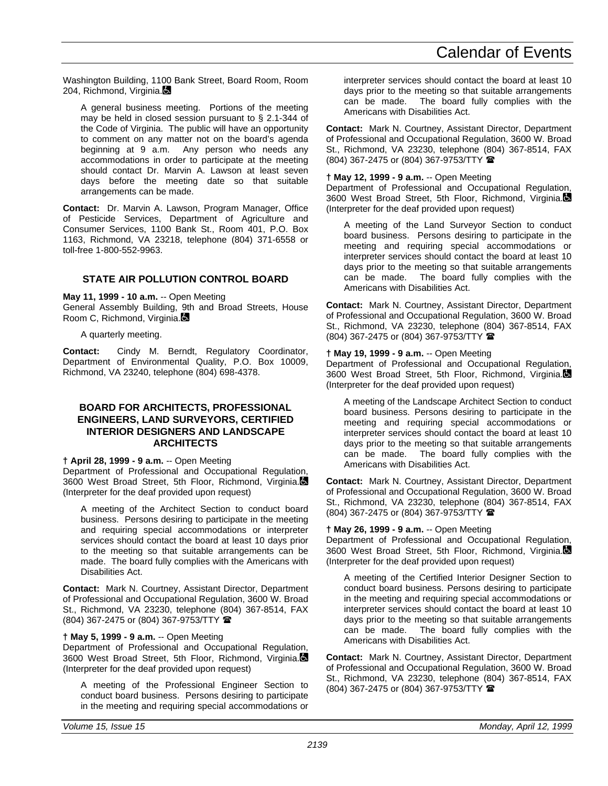Washington Building, 1100 Bank Street, Board Room, Room 204, Richmond, Virginia.

A general business meeting. Portions of the meeting may be held in closed session pursuant to § 2.1-344 of the Code of Virginia. The public will have an opportunity to comment on any matter not on the board's agenda beginning at 9 a.m. Any person who needs any accommodations in order to participate at the meeting should contact Dr. Marvin A. Lawson at least seven days before the meeting date so that suitable arrangements can be made.

**Contact:** Dr. Marvin A. Lawson, Program Manager, Office of Pesticide Services, Department of Agriculture and Consumer Services, 1100 Bank St., Room 401, P.O. Box 1163, Richmond, VA 23218, telephone (804) 371-6558 or toll-free 1-800-552-9963.

## **STATE AIR POLLUTION CONTROL BOARD**

**May 11, 1999 - 10 a.m.** -- Open Meeting

General Assembly Building, 9th and Broad Streets, House Room C, Richmond, Virginia.

A quarterly meeting.

**Contact:** Cindy M. Berndt, Regulatory Coordinator, Department of Environmental Quality, P.O. Box 10009, Richmond, VA 23240, telephone (804) 698-4378.

## **BOARD FOR ARCHITECTS, PROFESSIONAL ENGINEERS, LAND SURVEYORS, CERTIFIED INTERIOR DESIGNERS AND LANDSCAPE ARCHITECTS**

## **† April 28, 1999 - 9 a.m.** -- Open Meeting

Department of Professional and Occupational Regulation, 3600 West Broad Street, 5th Floor, Richmond, Virginia. (Interpreter for the deaf provided upon request)

A meeting of the Architect Section to conduct board business. Persons desiring to participate in the meeting and requiring special accommodations or interpreter services should contact the board at least 10 days prior to the meeting so that suitable arrangements can be made. The board fully complies with the Americans with Disabilities Act.

**Contact:** Mark N. Courtney, Assistant Director, Department of Professional and Occupational Regulation, 3600 W. Broad St., Richmond, VA 23230, telephone (804) 367-8514, FAX (804) 367-2475 or (804) 367-9753/TTY (

## **† May 5, 1999 - 9 a.m.** -- Open Meeting

Department of Professional and Occupational Regulation, 3600 West Broad Street, 5th Floor, Richmond, Virginia. (Interpreter for the deaf provided upon request)

A meeting of the Professional Engineer Section to conduct board business. Persons desiring to participate in the meeting and requiring special accommodations or interpreter services should contact the board at least 10 days prior to the meeting so that suitable arrangements can be made. The board fully complies with the Americans with Disabilities Act.

**Contact:** Mark N. Courtney, Assistant Director, Department of Professional and Occupational Regulation, 3600 W. Broad St., Richmond, VA 23230, telephone (804) 367-8514, FAX (804) 367-2475 or (804) 367-9753/TTY (

#### **† May 12, 1999 - 9 a.m.** -- Open Meeting

Department of Professional and Occupational Regulation, 3600 West Broad Street, 5th Floor, Richmond, Virginia. (Interpreter for the deaf provided upon request)

A meeting of the Land Surveyor Section to conduct board business. Persons desiring to participate in the meeting and requiring special accommodations or interpreter services should contact the board at least 10 days prior to the meeting so that suitable arrangements can be made. The board fully complies with the Americans with Disabilities Act.

**Contact:** Mark N. Courtney, Assistant Director, Department of Professional and Occupational Regulation, 3600 W. Broad St., Richmond, VA 23230, telephone (804) 367-8514, FAX (804) 367-2475 or (804) 367-9753/TTY (

## **† May 19, 1999 - 9 a.m.** -- Open Meeting

Department of Professional and Occupational Regulation, 3600 West Broad Street, 5th Floor, Richmond, Virginia. (Interpreter for the deaf provided upon request)

A meeting of the Landscape Architect Section to conduct board business. Persons desiring to participate in the meeting and requiring special accommodations or interpreter services should contact the board at least 10 days prior to the meeting so that suitable arrangements can be made. The board fully complies with the Americans with Disabilities Act.

**Contact:** Mark N. Courtney, Assistant Director, Department of Professional and Occupational Regulation, 3600 W. Broad St., Richmond, VA 23230, telephone (804) 367-8514, FAX (804) 367-2475 or (804) 367-9753/TTY (

## **† May 26, 1999 - 9 a.m.** -- Open Meeting

Department of Professional and Occupational Regulation, 3600 West Broad Street, 5th Floor, Richmond, Virginia. (Interpreter for the deaf provided upon request)

A meeting of the Certified Interior Designer Section to conduct board business. Persons desiring to participate in the meeting and requiring special accommodations or interpreter services should contact the board at least 10 days prior to the meeting so that suitable arrangements can be made. The board fully complies with the Americans with Disabilities Act.

**Contact:** Mark N. Courtney, Assistant Director, Department of Professional and Occupational Regulation, 3600 W. Broad St., Richmond, VA 23230, telephone (804) 367-8514, FAX (804) 367-2475 or (804) 367-9753/TTY (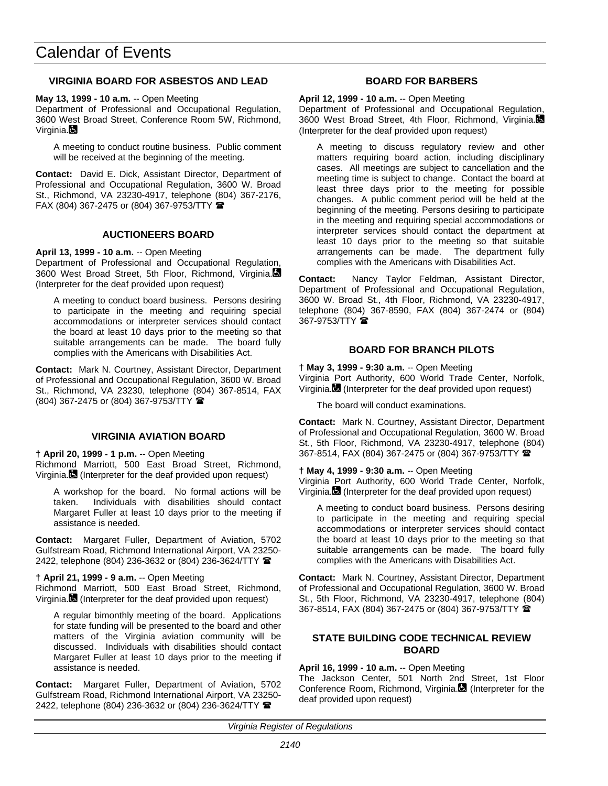## **VIRGINIA BOARD FOR ASBESTOS AND LEAD**

**May 13, 1999 - 10 a.m.** -- Open Meeting

Department of Professional and Occupational Regulation, 3600 West Broad Street, Conference Room 5W, Richmond, Virginia.

A meeting to conduct routine business. Public comment will be received at the beginning of the meeting.

**Contact:** David E. Dick, Assistant Director, Department of Professional and Occupational Regulation, 3600 W. Broad St., Richmond, VA 23230-4917, telephone (804) 367-2176, FAX (804) 367-2475 or (804) 367-9753/TTY  $\blacksquare$ 

## **AUCTIONEERS BOARD**

#### **April 13, 1999 - 10 a.m.** -- Open Meeting

Department of Professional and Occupational Regulation, 3600 West Broad Street, 5th Floor, Richmond, Virginia. (Interpreter for the deaf provided upon request)

A meeting to conduct board business. Persons desiring to participate in the meeting and requiring special accommodations or interpreter services should contact the board at least 10 days prior to the meeting so that suitable arrangements can be made. The board fully complies with the Americans with Disabilities Act.

**Contact:** Mark N. Courtney, Assistant Director, Department of Professional and Occupational Regulation, 3600 W. Broad St., Richmond, VA 23230, telephone (804) 367-8514, FAX (804) 367-2475 or (804) 367-9753/TTY (

## **VIRGINIA AVIATION BOARD**

**† April 20, 1999 - 1 p.m.** -- Open Meeting Richmond Marriott, 500 East Broad Street, Richmond, Virginia. (Interpreter for the deaf provided upon request)

A workshop for the board. No formal actions will be taken. Individuals with disabilities should contact Margaret Fuller at least 10 days prior to the meeting if assistance is needed.

**Contact:** Margaret Fuller, Department of Aviation, 5702 Gulfstream Road, Richmond International Airport, VA 23250- 2422, telephone (804) 236-3632 or (804) 236-3624/TTY <sup>2</sup>

#### **† April 21, 1999 - 9 a.m.** -- Open Meeting

Richmond Marriott, 500 East Broad Street, Richmond, Virginia. (Interpreter for the deaf provided upon request)

A regular bimonthly meeting of the board. Applications for state funding will be presented to the board and other matters of the Virginia aviation community will be discussed. Individuals with disabilities should contact Margaret Fuller at least 10 days prior to the meeting if assistance is needed.

**Contact:** Margaret Fuller, Department of Aviation, 5702 Gulfstream Road, Richmond International Airport, VA 23250- 2422, telephone (804) 236-3632 or (804) 236-3624/TTY <sup>金</sup>

## **BOARD FOR BARBERS**

**April 12, 1999 - 10 a.m.** -- Open Meeting Department of Professional and Occupational Regulation, 3600 West Broad Street, 4th Floor, Richmond, Virginia. (Interpreter for the deaf provided upon request)

A meeting to discuss regulatory review and other matters requiring board action, including disciplinary cases. All meetings are subject to cancellation and the meeting time is subject to change. Contact the board at least three days prior to the meeting for possible changes. A public comment period will be held at the beginning of the meeting. Persons desiring to participate in the meeting and requiring special accommodations or interpreter services should contact the department at least 10 days prior to the meeting so that suitable arrangements can be made. The department fully complies with the Americans with Disabilities Act.

**Contact:** Nancy Taylor Feldman, Assistant Director, Department of Professional and Occupational Regulation, 3600 W. Broad St., 4th Floor, Richmond, VA 23230-4917, telephone (804) 367-8590, FAX (804) 367-2474 or (804) 367-9753/TTY <sup>1</sup>

## **BOARD FOR BRANCH PILOTS**

**† May 3, 1999 - 9:30 a.m.** -- Open Meeting Virginia Port Authority, 600 World Trade Center, Norfolk, Virginia. (Interpreter for the deaf provided upon request)

The board will conduct examinations.

**Contact:** Mark N. Courtney, Assistant Director, Department of Professional and Occupational Regulation, 3600 W. Broad St., 5th Floor, Richmond, VA 23230-4917, telephone (804) 367-8514, FAX (804) 367-2475 or (804) 367-9753/TTY (

#### **† May 4, 1999 - 9:30 a.m.** -- Open Meeting

Virginia Port Authority, 600 World Trade Center, Norfolk, Virginia. (Interpreter for the deaf provided upon request)

A meeting to conduct board business. Persons desiring to participate in the meeting and requiring special accommodations or interpreter services should contact the board at least 10 days prior to the meeting so that suitable arrangements can be made. The board fully complies with the Americans with Disabilities Act.

**Contact:** Mark N. Courtney, Assistant Director, Department of Professional and Occupational Regulation, 3600 W. Broad St., 5th Floor, Richmond, VA 23230-4917, telephone (804) 367-8514, FAX (804) 367-2475 or (804) 367-9753/TTY (

## **STATE BUILDING CODE TECHNICAL REVIEW BOARD**

## **April 16, 1999 - 10 a.m.** -- Open Meeting

The Jackson Center, 501 North 2nd Street, 1st Floor Conference Room, Richmond, Virginia. (Interpreter for the deaf provided upon request)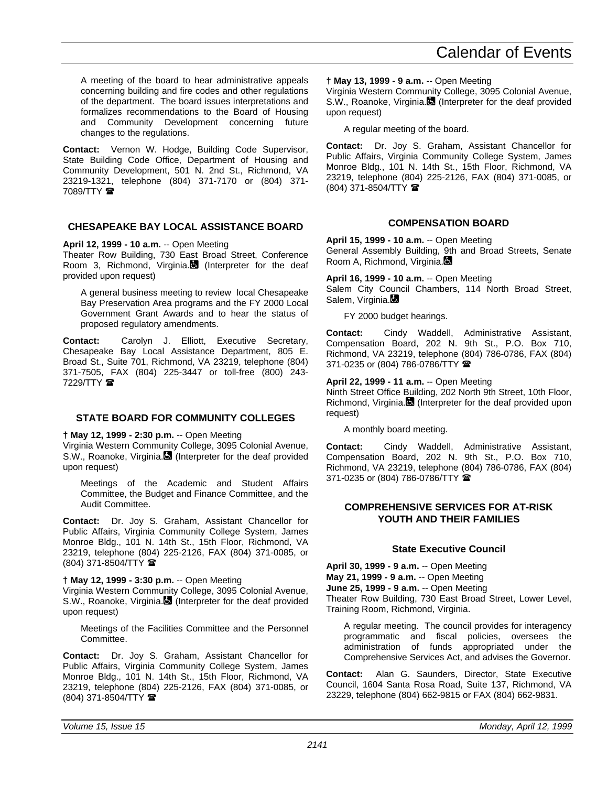A meeting of the board to hear administrative appeals concerning building and fire codes and other regulations of the department. The board issues interpretations and formalizes recommendations to the Board of Housing and Community Development concerning future changes to the regulations.

Contact: Vernon W. Hodge, Building Code Supervisor, State Building Code Office, Department of Housing and Community Development, 501 N. 2nd St., Richmond, VA 23219-1321, telephone (804) 371-7170 or (804) 371- 7089/TTY **雷** 

## **CHESAPEAKE BAY LOCAL ASSISTANCE BOARD**

## **April 12, 1999 - 10 a.m.** -- Open Meeting

Theater Row Building, 730 East Broad Street, Conference Room 3, Richmond, Virginia.<sup>8</sup> (Interpreter for the deaf provided upon request)

A general business meeting to review local Chesapeake Bay Preservation Area programs and the FY 2000 Local Government Grant Awards and to hear the status of proposed regulatory amendments.

**Contact:** Carolyn J. Elliott, Executive Secretary, Chesapeake Bay Local Assistance Department, 805 E. Broad St., Suite 701, Richmond, VA 23219, telephone (804) 371-7505, FAX (804) 225-3447 or toll-free (800) 243- 7229/TTY  $\circledR$ 

## **STATE BOARD FOR COMMUNITY COLLEGES**

**† May 12, 1999 - 2:30 p.m.** -- Open Meeting

Virginia Western Community College, 3095 Colonial Avenue, S.W., Roanoke, Virginia. (Interpreter for the deaf provided upon request)

Meetings of the Academic and Student Affairs Committee, the Budget and Finance Committee, and the Audit Committee.

**Contact:** Dr. Joy S. Graham, Assistant Chancellor for Public Affairs, Virginia Community College System, James Monroe Bldg., 101 N. 14th St., 15th Floor, Richmond, VA 23219, telephone (804) 225-2126, FAX (804) 371-0085, or (804) 371-8504/TTY (

## **† May 12, 1999 - 3:30 p.m.** -- Open Meeting

Virginia Western Community College, 3095 Colonial Avenue, S.W., Roanoke, Virginia. (Interpreter for the deaf provided upon request)

Meetings of the Facilities Committee and the Personnel Committee.

**Contact:** Dr. Joy S. Graham, Assistant Chancellor for Public Affairs, Virginia Community College System, James Monroe Bldg., 101 N. 14th St., 15th Floor, Richmond, VA 23219, telephone (804) 225-2126, FAX (804) 371-0085, or (804) 371-8504/TTY (

## **† May 13, 1999 - 9 a.m.** -- Open Meeting

Virginia Western Community College, 3095 Colonial Avenue, S.W., Roanoke, Virginia. (Interpreter for the deaf provided upon request)

A regular meeting of the board.

**Contact:** Dr. Joy S. Graham, Assistant Chancellor for Public Affairs, Virginia Community College System, James Monroe Bldg., 101 N. 14th St., 15th Floor, Richmond, VA 23219, telephone (804) 225-2126, FAX (804) 371-0085, or (804) 371-8504/TTY (

## **COMPENSATION BOARD**

**April 15, 1999 - 10 a.m.** -- Open Meeting General Assembly Building, 9th and Broad Streets, Senate Room A, Richmond, Virginia.

**April 16, 1999 - 10 a.m.** -- Open Meeting

Salem City Council Chambers, 114 North Broad Street, Salem, Virginia.

FY 2000 budget hearings.

**Contact:** Cindy Waddell, Administrative Assistant, Compensation Board, 202 N. 9th St., P.O. Box 710, Richmond, VA 23219, telephone (804) 786-0786, FAX (804) 371-0235 or (804) 786-0786/TTY (

#### **April 22, 1999 - 11 a.m.** -- Open Meeting

Ninth Street Office Building, 202 North 9th Street, 10th Floor, Richmond, Virginia. (Interpreter for the deaf provided upon request)

A monthly board meeting.

**Contact:** Cindy Waddell, Administrative Assistant, Compensation Board, 202 N. 9th St., P.O. Box 710, Richmond, VA 23219, telephone (804) 786-0786, FAX (804) 371-0235 or (804) 786-0786/TTY  $\blacksquare$ 

## **COMPREHENSIVE SERVICES FOR AT-RISK YOUTH AND THEIR FAMILIES**

## **State Executive Council**

**April 30, 1999 - 9 a.m.** -- Open Meeting **May 21, 1999 - 9 a.m.** -- Open Meeting **June 25, 1999 - 9 a.m.** -- Open Meeting Theater Row Building, 730 East Broad Street, Lower Level, Training Room, Richmond, Virginia.

A regular meeting. The council provides for interagency programmatic and fiscal policies, oversees the administration of funds appropriated under the Comprehensive Services Act, and advises the Governor.

**Contact:** Alan G. Saunders, Director, State Executive Council, 1604 Santa Rosa Road, Suite 137, Richmond, VA 23229, telephone (804) 662-9815 or FAX (804) 662-9831.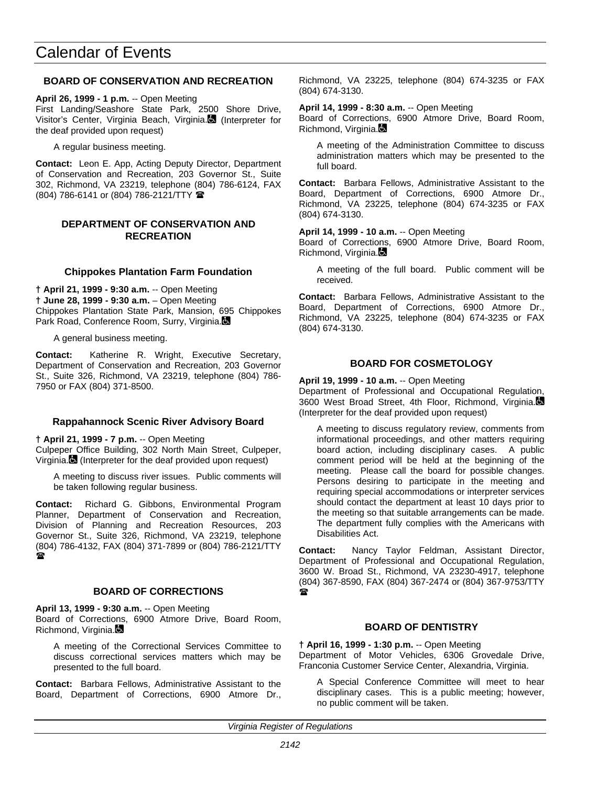## **BOARD OF CONSERVATION AND RECREATION**

**April 26, 1999 - 1 p.m.** -- Open Meeting First Landing/Seashore State Park, 2500 Shore Drive, Visitor's Center, Virginia Beach, Virginia. (Interpreter for the deaf provided upon request)

A regular business meeting.

**Contact:** Leon E. App, Acting Deputy Director, Department of Conservation and Recreation, 203 Governor St., Suite 302, Richmond, VA 23219, telephone (804) 786-6124, FAX (804) 786-6141 or (804) 786-2121/TTY (

## **DEPARTMENT OF CONSERVATION AND RECREATION**

#### **Chippokes Plantation Farm Foundation**

**† April 21, 1999 - 9:30 a.m.** -- Open Meeting **† June 28, 1999 - 9:30 a.m.** – Open Meeting Chippokes Plantation State Park, Mansion, 695 Chippokes Park Road, Conference Room, Surry, Virginia.

A general business meeting.

**Contact:** Katherine R. Wright, Executive Secretary, Department of Conservation and Recreation, 203 Governor St., Suite 326, Richmond, VA 23219, telephone (804) 786- 7950 or FAX (804) 371-8500.

#### **Rappahannock Scenic River Advisory Board**

**† April 21, 1999 - 7 p.m.** -- Open Meeting Culpeper Office Building, 302 North Main Street, Culpeper, Virginia. (Interpreter for the deaf provided upon request)

A meeting to discuss river issues. Public comments will be taken following regular business.

**Contact:** Richard G. Gibbons, Environmental Program Planner, Department of Conservation and Recreation, Division of Planning and Recreation Resources, 203 Governor St., Suite 326, Richmond, VA 23219, telephone (804) 786-4132, FAX (804) 371-7899 or (804) 786-2121/TTY  $\mathbf{r}$ 

## **BOARD OF CORRECTIONS**

**April 13, 1999 - 9:30 a.m.** -- Open Meeting

Board of Corrections, 6900 Atmore Drive, Board Room, Richmond, Virginia.

A meeting of the Correctional Services Committee to discuss correctional services matters which may be presented to the full board.

**Contact:** Barbara Fellows, Administrative Assistant to the Board, Department of Corrections, 6900 Atmore Dr.,

Richmond, VA 23225, telephone (804) 674-3235 or FAX (804) 674-3130.

**April 14, 1999 - 8:30 a.m.** -- Open Meeting Board of Corrections, 6900 Atmore Drive, Board Room, Richmond, Virginia.

A meeting of the Administration Committee to discuss administration matters which may be presented to the full board.

**Contact:** Barbara Fellows, Administrative Assistant to the Board, Department of Corrections, 6900 Atmore Dr., Richmond, VA 23225, telephone (804) 674-3235 or FAX (804) 674-3130.

**April 14, 1999 - 10 a.m.** -- Open Meeting

Board of Corrections, 6900 Atmore Drive, Board Room, Richmond, Virginia.

A meeting of the full board. Public comment will be received.

**Contact:** Barbara Fellows, Administrative Assistant to the Board, Department of Corrections, 6900 Atmore Dr., Richmond, VA 23225, telephone (804) 674-3235 or FAX (804) 674-3130.

## **BOARD FOR COSMETOLOGY**

**April 19, 1999 - 10 a.m.** -- Open Meeting

Department of Professional and Occupational Regulation, 3600 West Broad Street, 4th Floor, Richmond, Virginia. (Interpreter for the deaf provided upon request)

A meeting to discuss regulatory review, comments from informational proceedings, and other matters requiring board action, including disciplinary cases. A public comment period will be held at the beginning of the meeting. Please call the board for possible changes. Persons desiring to participate in the meeting and requiring special accommodations or interpreter services should contact the department at least 10 days prior to the meeting so that suitable arrangements can be made. The department fully complies with the Americans with Disabilities Act.

**Contact:** Nancy Taylor Feldman, Assistant Director, Department of Professional and Occupational Regulation, 3600 W. Broad St., Richmond, VA 23230-4917, telephone (804) 367-8590, FAX (804) 367-2474 or (804) 367-9753/TTY  $\mathbf{r}$ 

#### **BOARD OF DENTISTRY**

**† April 16, 1999 - 1:30 p.m.** -- Open Meeting Department of Motor Vehicles, 6306 Grovedale Drive, Franconia Customer Service Center, Alexandria, Virginia.

A Special Conference Committee will meet to hear disciplinary cases. This is a public meeting; however, no public comment will be taken.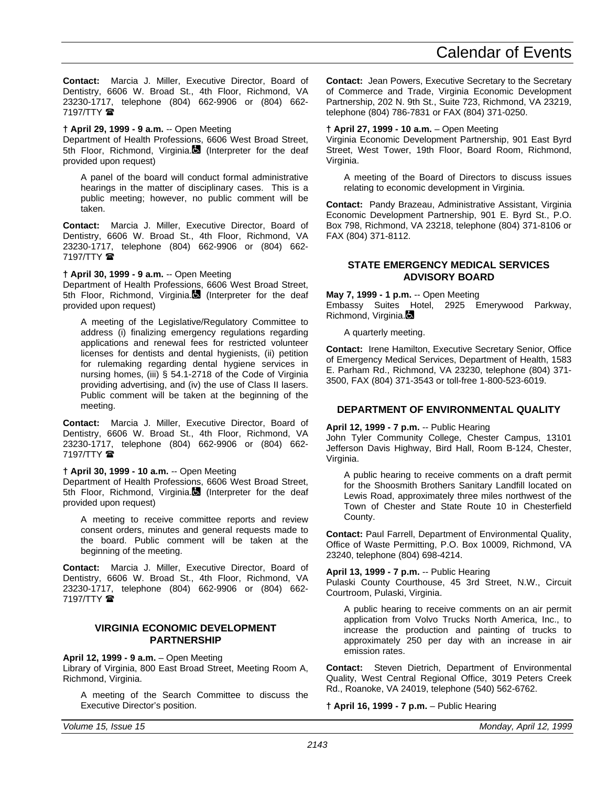**Contact:** Marcia J. Miller, Executive Director, Board of Dentistry, 6606 W. Broad St., 4th Floor, Richmond, VA 23230-1717, telephone (804) 662-9906 or (804) 662-  $7197/TTY$ 

#### **† April 29, 1999 - 9 a.m.** -- Open Meeting

Department of Health Professions, 6606 West Broad Street, 5th Floor, Richmond, Virginia. (Interpreter for the deaf provided upon request)

A panel of the board will conduct formal administrative hearings in the matter of disciplinary cases. This is a public meeting; however, no public comment will be taken.

**Contact:** Marcia J. Miller, Executive Director, Board of Dentistry, 6606 W. Broad St., 4th Floor, Richmond, VA 23230-1717, telephone (804) 662-9906 or (804) 662- 7197/TTY **雷** 

#### **† April 30, 1999 - 9 a.m.** -- Open Meeting

Department of Health Professions, 6606 West Broad Street, 5th Floor, Richmond, Virginia. (Interpreter for the deaf provided upon request)

A meeting of the Legislative/Regulatory Committee to address (i) finalizing emergency regulations regarding applications and renewal fees for restricted volunteer licenses for dentists and dental hygienists, (ii) petition for rulemaking regarding dental hygiene services in nursing homes, (iii) § 54.1-2718 of the Code of Virginia providing advertising, and (iv) the use of Class II lasers. Public comment will be taken at the beginning of the meeting.

**Contact:** Marcia J. Miller, Executive Director, Board of Dentistry, 6606 W. Broad St., 4th Floor, Richmond, VA 23230-1717, telephone (804) 662-9906 or (804) 662- 7197/TTY **雷** 

#### **† April 30, 1999 - 10 a.m.** -- Open Meeting

Department of Health Professions, 6606 West Broad Street, 5th Floor, Richmond, Virginia. (Interpreter for the deaf provided upon request)

A meeting to receive committee reports and review consent orders, minutes and general requests made to the board. Public comment will be taken at the beginning of the meeting.

**Contact:** Marcia J. Miller, Executive Director, Board of Dentistry, 6606 W. Broad St., 4th Floor, Richmond, VA 23230-1717, telephone (804) 662-9906 or (804) 662- 7197/TTY  $\mathbf{\mathcal{D}}$ 

#### **VIRGINIA ECONOMIC DEVELOPMENT PARTNERSHIP**

#### **April 12, 1999 - 9 a.m.** – Open Meeting

Library of Virginia, 800 East Broad Street, Meeting Room A, Richmond, Virginia.

A meeting of the Search Committee to discuss the Executive Director's position.

**Contact:** Jean Powers, Executive Secretary to the Secretary of Commerce and Trade, Virginia Economic Development Partnership, 202 N. 9th St., Suite 723, Richmond, VA 23219, telephone (804) 786-7831 or FAX (804) 371-0250.

#### **† April 27, 1999 - 10 a.m.** – Open Meeting

Virginia Economic Development Partnership, 901 East Byrd Street, West Tower, 19th Floor, Board Room, Richmond, Virginia.

A meeting of the Board of Directors to discuss issues relating to economic development in Virginia.

**Contact:** Pandy Brazeau, Administrative Assistant, Virginia Economic Development Partnership, 901 E. Byrd St., P.O. Box 798, Richmond, VA 23218, telephone (804) 371-8106 or FAX (804) 371-8112.

## **STATE EMERGENCY MEDICAL SERVICES ADVISORY BOARD**

**May 7, 1999 - 1 p.m.** -- Open Meeting

Embassy Suites Hotel, 2925 Emerywood Parkway, Richmond, Virginia.

A quarterly meeting.

**Contact:** Irene Hamilton, Executive Secretary Senior, Office of Emergency Medical Services, Department of Health, 1583 E. Parham Rd., Richmond, VA 23230, telephone (804) 371- 3500, FAX (804) 371-3543 or toll-free 1-800-523-6019.

## **DEPARTMENT OF ENVIRONMENTAL QUALITY**

#### **April 12, 1999 - 7 p.m.** -- Public Hearing

John Tyler Community College, Chester Campus, 13101 Jefferson Davis Highway, Bird Hall, Room B-124, Chester, Virginia.

A public hearing to receive comments on a draft permit for the Shoosmith Brothers Sanitary Landfill located on Lewis Road, approximately three miles northwest of the Town of Chester and State Route 10 in Chesterfield County.

**Contact:** Paul Farrell, Department of Environmental Quality, Office of Waste Permitting, P.O. Box 10009, Richmond, VA 23240, telephone (804) 698-4214.

#### **April 13, 1999 - 7 p.m.** -- Public Hearing

Pulaski County Courthouse, 45 3rd Street, N.W., Circuit Courtroom, Pulaski, Virginia.

A public hearing to receive comments on an air permit application from Volvo Trucks North America, Inc., to increase the production and painting of trucks to approximately 250 per day with an increase in air emission rates.

**Contact:** Steven Dietrich, Department of Environmental Quality, West Central Regional Office, 3019 Peters Creek Rd., Roanoke, VA 24019, telephone (540) 562-6762.

#### **† April 16, 1999 - 7 p.m.** – Public Hearing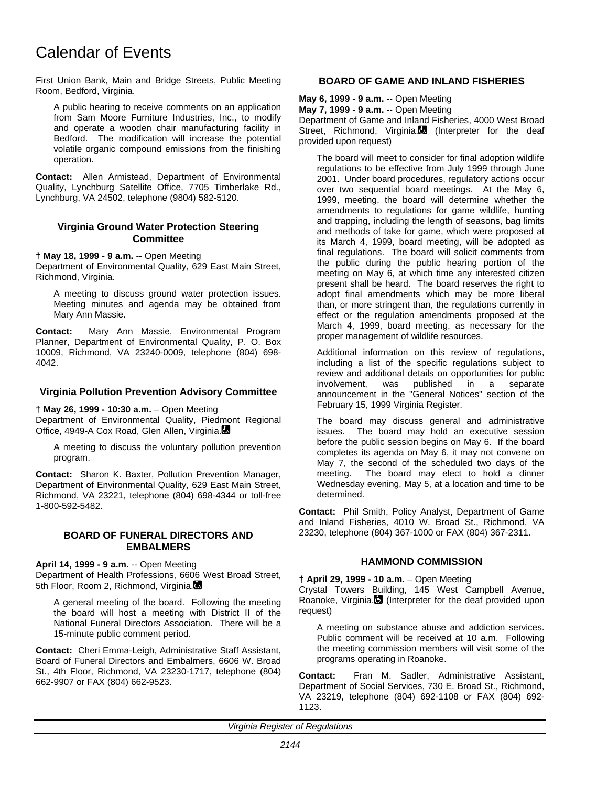First Union Bank, Main and Bridge Streets, Public Meeting Room, Bedford, Virginia.

A public hearing to receive comments on an application from Sam Moore Furniture Industries, Inc., to modify and operate a wooden chair manufacturing facility in Bedford. The modification will increase the potential volatile organic compound emissions from the finishing operation.

**Contact:** Allen Armistead, Department of Environmental Quality, Lynchburg Satellite Office, 7705 Timberlake Rd., Lynchburg, VA 24502, telephone (9804) 582-5120.

## **Virginia Ground Water Protection Steering Committee**

**† May 18, 1999 - 9 a.m.** -- Open Meeting

Department of Environmental Quality, 629 East Main Street, Richmond, Virginia.

A meeting to discuss ground water protection issues. Meeting minutes and agenda may be obtained from Mary Ann Massie.

**Contact:** Mary Ann Massie, Environmental Program Planner, Department of Environmental Quality, P. O. Box 10009, Richmond, VA 23240-0009, telephone (804) 698- 4042.

#### **Virginia Pollution Prevention Advisory Committee**

**† May 26, 1999 - 10:30 a.m.** – Open Meeting

Department of Environmental Quality, Piedmont Regional Office, 4949-A Cox Road, Glen Allen, Virginia.

A meeting to discuss the voluntary pollution prevention program.

**Contact:** Sharon K. Baxter, Pollution Prevention Manager, Department of Environmental Quality, 629 East Main Street, Richmond, VA 23221, telephone (804) 698-4344 or toll-free 1-800-592-5482.

#### **BOARD OF FUNERAL DIRECTORS AND EMBALMERS**

**April 14, 1999 - 9 a.m.** -- Open Meeting

Department of Health Professions, 6606 West Broad Street, 5th Floor, Room 2, Richmond, Virginia.

A general meeting of the board. Following the meeting the board will host a meeting with District II of the National Funeral Directors Association. There will be a 15-minute public comment period.

**Contact:** Cheri Emma-Leigh, Administrative Staff Assistant, Board of Funeral Directors and Embalmers, 6606 W. Broad St., 4th Floor, Richmond, VA 23230-1717, telephone (804) 662-9907 or FAX (804) 662-9523.

## **BOARD OF GAME AND INLAND FISHERIES**

**May 6, 1999 - 9 a.m.** -- Open Meeting

**May 7, 1999 - 9 a.m.** -- Open Meeting

Department of Game and Inland Fisheries, 4000 West Broad Street, Richmond, Virginia. (Interpreter for the deaf provided upon request)

The board will meet to consider for final adoption wildlife regulations to be effective from July 1999 through June 2001. Under board procedures, regulatory actions occur over two sequential board meetings. At the May 6, 1999, meeting, the board will determine whether the amendments to regulations for game wildlife, hunting and trapping, including the length of seasons, bag limits and methods of take for game, which were proposed at its March 4, 1999, board meeting, will be adopted as final regulations. The board will solicit comments from the public during the public hearing portion of the meeting on May 6, at which time any interested citizen present shall be heard. The board reserves the right to adopt final amendments which may be more liberal than, or more stringent than, the regulations currently in effect or the regulation amendments proposed at the March 4, 1999, board meeting, as necessary for the proper management of wildlife resources.

Additional information on this review of regulations, including a list of the specific regulations subject to review and additional details on opportunities for public<br>involvement, was published in a separate involvement, was published in a separate announcement in the "General Notices" section of the February 15, 1999 Virginia Register.

The board may discuss general and administrative issues. The board may hold an executive session before the public session begins on May 6. If the board completes its agenda on May 6, it may not convene on May 7, the second of the scheduled two days of the meeting. The board may elect to hold a dinner Wednesday evening, May 5, at a location and time to be determined.

**Contact:** Phil Smith, Policy Analyst, Department of Game and Inland Fisheries, 4010 W. Broad St., Richmond, VA 23230, telephone (804) 367-1000 or FAX (804) 367-2311.

## **HAMMOND COMMISSION**

**† April 29, 1999 - 10 a.m.** – Open Meeting Crystal Towers Building, 145 West Campbell Avenue, Roanoke, Virginia. (Interpreter for the deaf provided upon

A meeting on substance abuse and addiction services. Public comment will be received at 10 a.m. Following the meeting commission members will visit some of the programs operating in Roanoke.

**Contact:** Fran M. Sadler, Administrative Assistant, Department of Social Services, 730 E. Broad St., Richmond, VA 23219, telephone (804) 692-1108 or FAX (804) 692- 1123.

*Virginia Register of Regulations*

request)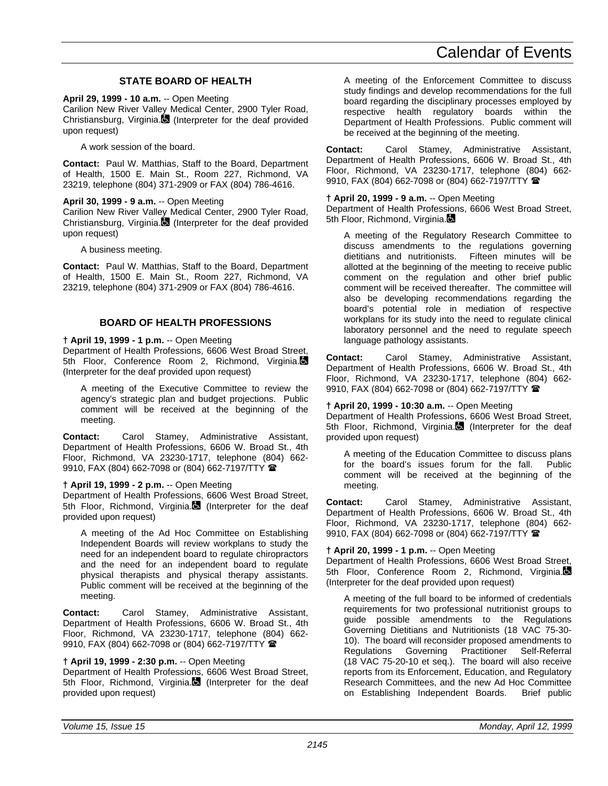## **STATE BOARD OF HEALTH**

**April 29, 1999 - 10 a.m.** -- Open Meeting Carilion New River Valley Medical Center, 2900 Tyler Road, Christiansburg, Virginia. (Interpreter for the deaf provided upon request)

A work session of the board.

**Contact:** Paul W. Matthias, Staff to the Board, Department of Health, 1500 E. Main St., Room 227, Richmond, VA 23219, telephone (804) 371-2909 or FAX (804) 786-4616.

#### **April 30, 1999 - 9 a.m.** -- Open Meeting

Carilion New River Valley Medical Center, 2900 Tyler Road, Christiansburg, Virginia. $\blacksquare$  (Interpreter for the deaf provided upon request)

A business meeting.

**Contact:** Paul W. Matthias, Staff to the Board, Department of Health, 1500 E. Main St., Room 227, Richmond, VA 23219, telephone (804) 371-2909 or FAX (804) 786-4616.

## **BOARD OF HEALTH PROFESSIONS**

#### **† April 19, 1999 - 1 p.m.** -- Open Meeting

Department of Health Professions, 6606 West Broad Street, 5th Floor, Conference Room 2, Richmond, Virginia. (Interpreter for the deaf provided upon request)

A meeting of the Executive Committee to review the agency's strategic plan and budget projections. Public comment will be received at the beginning of the meeting.

**Contact:** Carol Stamey, Administrative Assistant, Department of Health Professions, 6606 W. Broad St., 4th Floor, Richmond, VA 23230-1717, telephone (804) 662- 9910, FAX (804) 662-7098 or (804) 662-7197/TTY  $\blacksquare$ 

#### **† April 19, 1999 - 2 p.m.** -- Open Meeting

Department of Health Professions, 6606 West Broad Street, 5th Floor, Richmond, Virginia.  $\blacksquare$  (Interpreter for the deaf provided upon request)

A meeting of the Ad Hoc Committee on Establishing Independent Boards will review workplans to study the need for an independent board to regulate chiropractors and the need for an independent board to regulate physical therapists and physical therapy assistants. Public comment will be received at the beginning of the meeting.

**Contact:** Carol Stamey, Administrative Assistant, Department of Health Professions, 6606 W. Broad St., 4th Floor, Richmond, VA 23230-1717, telephone (804) 662- 9910, FAX (804) 662-7098 or (804) 662-7197/TTY <sup>金</sup>

#### **† April 19, 1999 - 2:30 p.m.** -- Open Meeting

Department of Health Professions, 6606 West Broad Street, 5th Floor, Richmond, Virginia. (Interpreter for the deaf provided upon request)

A meeting of the Enforcement Committee to discuss study findings and develop recommendations for the full board regarding the disciplinary processes employed by respective health regulatory boards within the Department of Health Professions. Public comment will be received at the beginning of the meeting.

**Contact:** Carol Stamey, Administrative Assistant, Department of Health Professions, 6606 W. Broad St., 4th Floor, Richmond, VA 23230-1717, telephone (804) 662- 9910, FAX (804) 662-7098 or (804) 662-7197/TTY  $\blacksquare$ 

#### **† April 20, 1999 - 9 a.m.** -- Open Meeting

Department of Health Professions, 6606 West Broad Street, 5th Floor, Richmond, Virginia.

A meeting of the Regulatory Research Committee to discuss amendments to the regulations governing dietitians and nutritionists. Fifteen minutes will be allotted at the beginning of the meeting to receive public comment on the regulation and other brief public comment will be received thereafter. The committee will also be developing recommendations regarding the board's potential role in mediation of respective workplans for its study into the need to regulate clinical laboratory personnel and the need to regulate speech language pathology assistants.

**Contact:** Carol Stamey, Administrative Assistant, Department of Health Professions, 6606 W. Broad St., 4th Floor, Richmond, VA 23230-1717, telephone (804) 662- 9910, FAX (804) 662-7098 or (804) 662-7197/TTY <sup>1</sup>

#### **† April 20, 1999 - 10:30 a.m.** -- Open Meeting

Department of Health Professions, 6606 West Broad Street, 5th Floor, Richmond, Virginia. (Interpreter for the deaf provided upon request)

A meeting of the Education Committee to discuss plans for the board's issues forum for the fall. Public comment will be received at the beginning of the meeting.

**Contact:** Carol Stamey, Administrative Assistant, Department of Health Professions, 6606 W. Broad St., 4th Floor, Richmond, VA 23230-1717, telephone (804) 662- 9910, FAX (804) 662-7098 or (804) 662-7197/TTY <sup>金</sup>

#### **† April 20, 1999 - 1 p.m.** -- Open Meeting

Department of Health Professions, 6606 West Broad Street, 5th Floor, Conference Room 2, Richmond, Virginia. (Interpreter for the deaf provided upon request)

A meeting of the full board to be informed of credentials requirements for two professional nutritionist groups to guide possible amendments to the Regulations Governing Dietitians and Nutritionists (18 VAC 75-30- 10). The board will reconsider proposed amendments to Regulations Governing Practitioner Self-Referral (18 VAC 75-20-10 et seq.). The board will also receive reports from its Enforcement, Education, and Regulatory Research Committees, and the new Ad Hoc Committee on Establishing Independent Boards. Brief public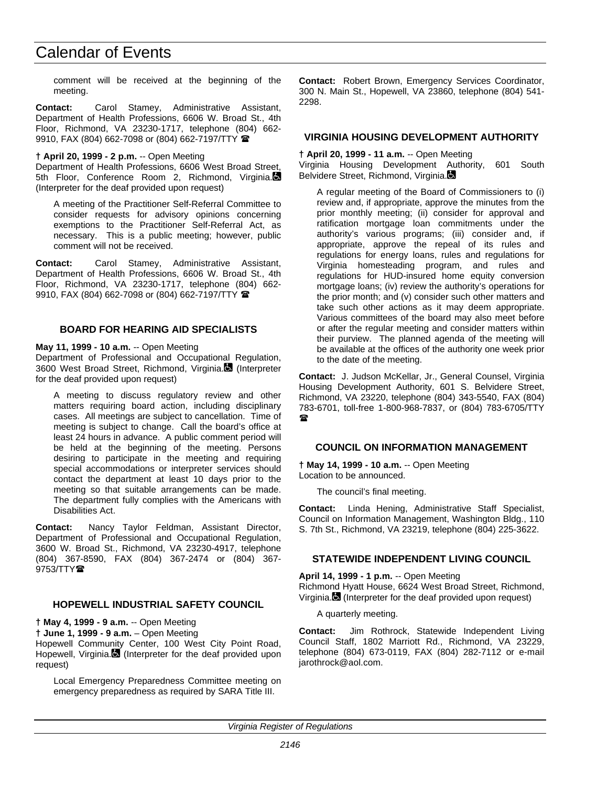comment will be received at the beginning of the meeting.

**Contact:** Carol Stamey, Administrative Assistant, Department of Health Professions, 6606 W. Broad St., 4th Floor, Richmond, VA 23230-1717, telephone (804) 662- 9910, FAX (804) 662-7098 or (804) 662-7197/TTY  $\blacksquare$ 

#### **† April 20, 1999 - 2 p.m.** -- Open Meeting

Department of Health Professions, 6606 West Broad Street, 5th Floor, Conference Room 2, Richmond, Virginia. (Interpreter for the deaf provided upon request)

A meeting of the Practitioner Self-Referral Committee to consider requests for advisory opinions concerning exemptions to the Practitioner Self-Referral Act, as necessary. This is a public meeting; however, public comment will not be received.

**Contact:** Carol Stamey, Administrative Assistant, Department of Health Professions, 6606 W. Broad St., 4th Floor, Richmond, VA 23230-1717, telephone (804) 662- 9910, FAX (804) 662-7098 or (804) 662-7197/TTY

#### **BOARD FOR HEARING AID SPECIALISTS**

#### **May 11, 1999 - 10 a.m.** -- Open Meeting

Department of Professional and Occupational Regulation, 3600 West Broad Street, Richmond, Virginia. (Interpreter for the deaf provided upon request)

A meeting to discuss regulatory review and other matters requiring board action, including disciplinary cases. All meetings are subject to cancellation. Time of meeting is subject to change. Call the board's office at least 24 hours in advance. A public comment period will be held at the beginning of the meeting. Persons desiring to participate in the meeting and requiring special accommodations or interpreter services should contact the department at least 10 days prior to the meeting so that suitable arrangements can be made. The department fully complies with the Americans with Disabilities Act.

**Contact:** Nancy Taylor Feldman, Assistant Director, Department of Professional and Occupational Regulation, 3600 W. Broad St., Richmond, VA 23230-4917, telephone (804) 367-8590, FAX (804) 367-2474 or (804) 367-  $9753/TTY$ 

#### **HOPEWELL INDUSTRIAL SAFETY COUNCIL**

**† May 4, 1999 - 9 a.m.** -- Open Meeting

**† June 1, 1999 - 9 a.m.** – Open Meeting

Hopewell Community Center, 100 West City Point Road, Hopewell, Virginia. (Interpreter for the deaf provided upon request)

Local Emergency Preparedness Committee meeting on emergency preparedness as required by SARA Title III.

**Contact:** Robert Brown, Emergency Services Coordinator, 300 N. Main St., Hopewell, VA 23860, telephone (804) 541- 2298.

## **VIRGINIA HOUSING DEVELOPMENT AUTHORITY**

#### **† April 20, 1999 - 11 a.m.** -- Open Meeting

Virginia Housing Development Authority, 601 South Belvidere Street, Richmond, Virginia.

A regular meeting of the Board of Commissioners to (i) review and, if appropriate, approve the minutes from the prior monthly meeting; (ii) consider for approval and ratification mortgage loan commitments under the authority's various programs; (iii) consider and, if appropriate, approve the repeal of its rules and regulations for energy loans, rules and regulations for Virginia homesteading program, and rules and regulations for HUD-insured home equity conversion mortgage loans; (iv) review the authority's operations for the prior month; and (v) consider such other matters and take such other actions as it may deem appropriate. Various committees of the board may also meet before or after the regular meeting and consider matters within their purview. The planned agenda of the meeting will be available at the offices of the authority one week prior to the date of the meeting.

**Contact:** J. Judson McKellar, Jr., General Counsel, Virginia Housing Development Authority, 601 S. Belvidere Street, Richmond, VA 23220, telephone (804) 343-5540, FAX (804) 783-6701, toll-free 1-800-968-7837, or (804) 783-6705/TTY  $\mathbf{r}$ 

## **COUNCIL ON INFORMATION MANAGEMENT**

**† May 14, 1999 - 10 a.m.** -- Open Meeting Location to be announced.

The council's final meeting.

**Contact:** Linda Hening, Administrative Staff Specialist, Council on Information Management, Washington Bldg., 110 S. 7th St., Richmond, VA 23219, telephone (804) 225-3622.

## **STATEWIDE INDEPENDENT LIVING COUNCIL**

**April 14, 1999 - 1 p.m.** -- Open Meeting

Richmond Hyatt House, 6624 West Broad Street, Richmond, Virginia. (Interpreter for the deaf provided upon request)

A quarterly meeting.

**Contact:** Jim Rothrock, Statewide Independent Living Council Staff, 1802 Marriott Rd., Richmond, VA 23229, telephone (804) 673-0119, FAX (804) 282-7112 or e-mail jarothrock@aol.com.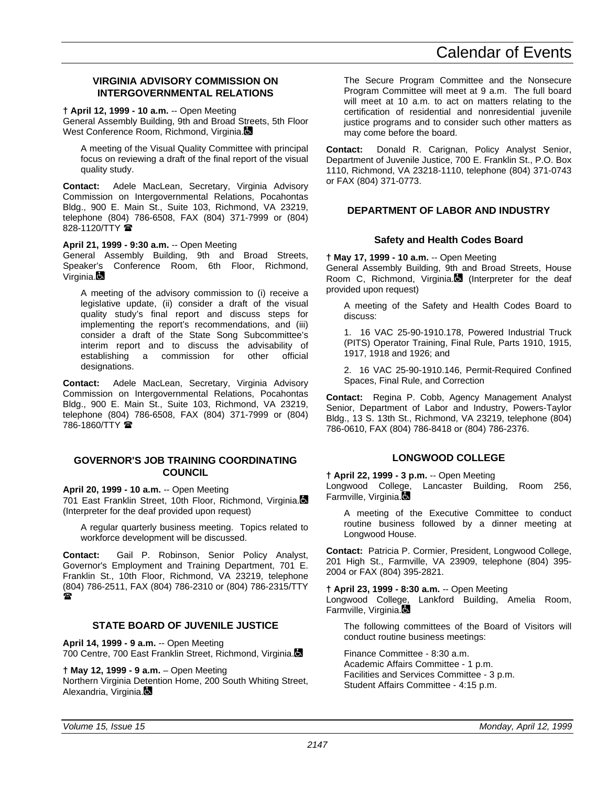## **VIRGINIA ADVISORY COMMISSION ON INTERGOVERNMENTAL RELATIONS**

**† April 12, 1999 - 10 a.m.** -- Open Meeting

General Assembly Building, 9th and Broad Streets, 5th Floor West Conference Room, Richmond, Virginia.

A meeting of the Visual Quality Committee with principal focus on reviewing a draft of the final report of the visual quality study.

**Contact:** Adele MacLean, Secretary, Virginia Advisory Commission on Intergovernmental Relations, Pocahontas Bldg., 900 E. Main St., Suite 103, Richmond, VA 23219, telephone (804) 786-6508, FAX (804) 371-7999 or (804) 828-1120/TTY

**April 21, 1999 - 9:30 a.m.** -- Open Meeting

General Assembly Building, 9th and Broad Streets, Speaker's Conference Room, 6th Floor, Richmond, Virginia.

A meeting of the advisory commission to (i) receive a legislative update, (ii) consider a draft of the visual quality study's final report and discuss steps for implementing the report's recommendations, and (iii) consider a draft of the State Song Subcommittee's interim report and to discuss the advisability of establishing a commission for other official designations.

**Contact:** Adele MacLean, Secretary, Virginia Advisory Commission on Intergovernmental Relations, Pocahontas Bldg., 900 E. Main St., Suite 103, Richmond, VA 23219, telephone (804) 786-6508, FAX (804) 371-7999 or (804) 786-1860/TTY <sup>2</sup>

## **GOVERNOR'S JOB TRAINING COORDINATING COUNCIL**

**April 20, 1999 - 10 a.m.** -- Open Meeting

701 East Franklin Street, 10th Floor, Richmond, Virginia. (Interpreter for the deaf provided upon request)

A regular quarterly business meeting. Topics related to workforce development will be discussed.

**Contact:** Gail P. Robinson, Senior Policy Analyst, Governor's Employment and Training Department, 701 E. Franklin St., 10th Floor, Richmond, VA 23219, telephone (804) 786-2511, FAX (804) 786-2310 or (804) 786-2315/TTY  $\blacksquare$ 

## **STATE BOARD OF JUVENILE JUSTICE**

**April 14, 1999 - 9 a.m.** -- Open Meeting 700 Centre, 700 East Franklin Street, Richmond, Virginia.

**† May 12, 1999 - 9 a.m.** – Open Meeting

Northern Virginia Detention Home, 200 South Whiting Street, Alexandria, Virginia.

The Secure Program Committee and the Nonsecure Program Committee will meet at 9 a.m. The full board will meet at 10 a.m. to act on matters relating to the certification of residential and nonresidential juvenile justice programs and to consider such other matters as may come before the board.

**Contact:** Donald R. Carignan, Policy Analyst Senior, Department of Juvenile Justice, 700 E. Franklin St., P.O. Box 1110, Richmond, VA 23218-1110, telephone (804) 371-0743 or FAX (804) 371-0773.

## **DEPARTMENT OF LABOR AND INDUSTRY**

## **Safety and Health Codes Board**

**† May 17, 1999 - 10 a.m.** -- Open Meeting

General Assembly Building, 9th and Broad Streets, House Room C, Richmond, Virginia. (Interpreter for the deaf provided upon request)

A meeting of the Safety and Health Codes Board to discuss:

1. 16 VAC 25-90-1910.178, Powered Industrial Truck (PITS) Operator Training, Final Rule, Parts 1910, 1915, 1917, 1918 and 1926; and

2. 16 VAC 25-90-1910.146, Permit-Required Confined Spaces, Final Rule, and Correction

**Contact:** Regina P. Cobb, Agency Management Analyst Senior, Department of Labor and Industry, Powers-Taylor Bldg., 13 S. 13th St., Richmond, VA 23219, telephone (804) 786-0610, FAX (804) 786-8418 or (804) 786-2376.

## **LONGWOOD COLLEGE**

**† April 22, 1999 - 3 p.m.** -- Open Meeting Longwood College, Lancaster Building, Room 256, Farmville, Virginia.

A meeting of the Executive Committee to conduct routine business followed by a dinner meeting at Longwood House.

**Contact:** Patricia P. Cormier, President, Longwood College, 201 High St., Farmville, VA 23909, telephone (804) 395- 2004 or FAX (804) 395-2821.

**† April 23, 1999 - 8:30 a.m.** -- Open Meeting Longwood College, Lankford Building, Amelia Room, Farmville, Virginia.

The following committees of the Board of Visitors will conduct routine business meetings:

Finance Committee - 8:30 a.m. Academic Affairs Committee - 1 p.m. Facilities and Services Committee - 3 p.m. Student Affairs Committee - 4:15 p.m.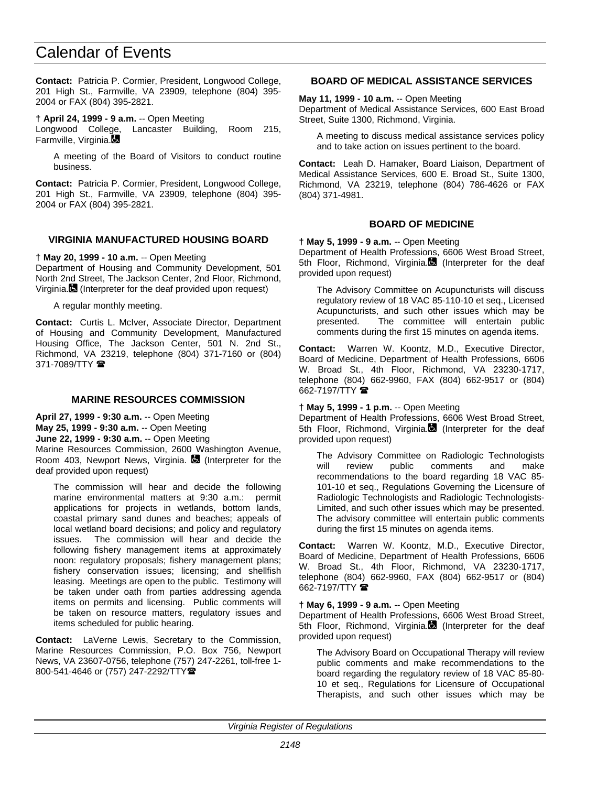**Contact:** Patricia P. Cormier, President, Longwood College, 201 High St., Farmville, VA 23909, telephone (804) 395- 2004 or FAX (804) 395-2821.

**† April 24, 1999 - 9 a.m.** -- Open Meeting

Longwood College, Lancaster Building, Room 215, Farmville, Virginia.

A meeting of the Board of Visitors to conduct routine business.

**Contact:** Patricia P. Cormier, President, Longwood College, 201 High St., Farmville, VA 23909, telephone (804) 395- 2004 or FAX (804) 395-2821.

## **VIRGINIA MANUFACTURED HOUSING BOARD**

**† May 20, 1999 - 10 a.m.** -- Open Meeting

Department of Housing and Community Development, 501 North 2nd Street, The Jackson Center, 2nd Floor, Richmond, Virginia. (Interpreter for the deaf provided upon request)

A regular monthly meeting.

**Contact:** Curtis L. McIver, Associate Director, Department of Housing and Community Development, Manufactured Housing Office, The Jackson Center, 501 N. 2nd St., Richmond, VA 23219, telephone (804) 371-7160 or (804) 371-7089/TTY  $\blacksquare$ 

## **MARINE RESOURCES COMMISSION**

**April 27, 1999 - 9:30 a.m.** -- Open Meeting

**May 25, 1999 - 9:30 a.m.** -- Open Meeting

**June 22, 1999 - 9:30 a.m.** -- Open Meeting

Marine Resources Commission, 2600 Washington Avenue, Room 403, Newport News, Virginia.  $\blacksquare$  (Interpreter for the deaf provided upon request)

The commission will hear and decide the following marine environmental matters at 9:30 a.m.: permit applications for projects in wetlands, bottom lands, coastal primary sand dunes and beaches; appeals of local wetland board decisions; and policy and regulatory issues. The commission will hear and decide the following fishery management items at approximately noon: regulatory proposals; fishery management plans; fishery conservation issues; licensing; and shellfish leasing. Meetings are open to the public. Testimony will be taken under oath from parties addressing agenda items on permits and licensing. Public comments will be taken on resource matters, regulatory issues and items scheduled for public hearing.

**Contact:** LaVerne Lewis, Secretary to the Commission, Marine Resources Commission, P.O. Box 756, Newport News, VA 23607-0756, telephone (757) 247-2261, toll-free 1- 800-541-4646 or (757) 247-2292/TTY<sup>2</sup>

## **BOARD OF MEDICAL ASSISTANCE SERVICES**

**May 11, 1999 - 10 a.m.** -- Open Meeting

Department of Medical Assistance Services, 600 East Broad Street, Suite 1300, Richmond, Virginia.

A meeting to discuss medical assistance services policy and to take action on issues pertinent to the board.

**Contact:** Leah D. Hamaker, Board Liaison, Department of Medical Assistance Services, 600 E. Broad St., Suite 1300, Richmond, VA 23219, telephone (804) 786-4626 or FAX (804) 371-4981.

## **BOARD OF MEDICINE**

**† May 5, 1999 - 9 a.m.** -- Open Meeting

Department of Health Professions, 6606 West Broad Street, 5th Floor, Richmond, Virginia. (Interpreter for the deaf provided upon request)

The Advisory Committee on Acupuncturists will discuss regulatory review of 18 VAC 85-110-10 et seq., Licensed Acupuncturists, and such other issues which may be presented. The committee will entertain public comments during the first 15 minutes on agenda items.

**Contact:** Warren W. Koontz, M.D., Executive Director, Board of Medicine, Department of Health Professions, 6606 W. Broad St., 4th Floor, Richmond, VA 23230-1717, telephone (804) 662-9960, FAX (804) 662-9517 or (804) 662-7197/TTY <sup>1</sup>

## **† May 5, 1999 - 1 p.m.** -- Open Meeting

Department of Health Professions, 6606 West Broad Street, 5th Floor, Richmond, Virginia. (Interpreter for the deaf provided upon request)

The Advisory Committee on Radiologic Technologists will review public comments and make recommendations to the board regarding 18 VAC 85- 101-10 et seq., Regulations Governing the Licensure of Radiologic Technologists and Radiologic Technologists-Limited, and such other issues which may be presented. The advisory committee will entertain public comments during the first 15 minutes on agenda items.

**Contact:** Warren W. Koontz, M.D., Executive Director, Board of Medicine, Department of Health Professions, 6606 W. Broad St., 4th Floor, Richmond, VA 23230-1717, telephone (804) 662-9960, FAX (804) 662-9517 or (804) 662-7197/TTY <sup>®</sup>

#### **† May 6, 1999 - 9 a.m.** -- Open Meeting

Department of Health Professions, 6606 West Broad Street, 5th Floor, Richmond, Virginia. (Interpreter for the deaf provided upon request)

The Advisory Board on Occupational Therapy will review public comments and make recommendations to the board regarding the regulatory review of 18 VAC 85-80- 10 et seq., Regulations for Licensure of Occupational Therapists, and such other issues which may be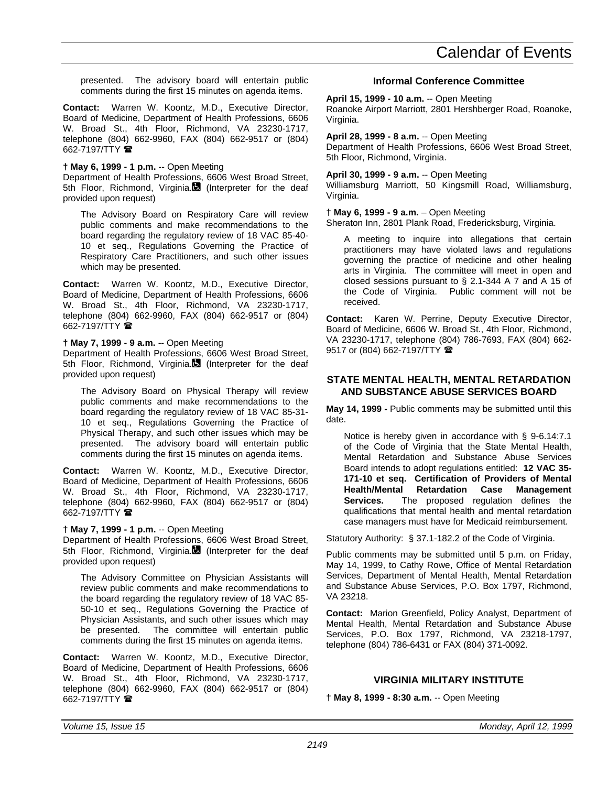presented. The advisory board will entertain public comments during the first 15 minutes on agenda items.

**Contact:** Warren W. Koontz, M.D., Executive Director, Board of Medicine, Department of Health Professions, 6606 W. Broad St., 4th Floor, Richmond, VA 23230-1717, telephone (804) 662-9960, FAX (804) 662-9517 or (804) 662-7197/TTY <sup>1</sup>

### **† May 6, 1999 - 1 p.m.** -- Open Meeting

Department of Health Professions, 6606 West Broad Street, 5th Floor, Richmond, Virginia. (Interpreter for the deaf provided upon request)

The Advisory Board on Respiratory Care will review public comments and make recommendations to the board regarding the regulatory review of 18 VAC 85-40- 10 et seq., Regulations Governing the Practice of Respiratory Care Practitioners, and such other issues which may be presented.

**Contact:** Warren W. Koontz, M.D., Executive Director, Board of Medicine, Department of Health Professions, 6606 W. Broad St., 4th Floor, Richmond, VA 23230-1717, telephone (804) 662-9960, FAX (804) 662-9517 or (804) 662-7197/TTY <sup>1</sup>

#### **† May 7, 1999 - 9 a.m.** -- Open Meeting

Department of Health Professions, 6606 West Broad Street, 5th Floor, Richmond, Virginia. (Interpreter for the deaf provided upon request)

The Advisory Board on Physical Therapy will review public comments and make recommendations to the board regarding the regulatory review of 18 VAC 85-31- 10 et seq., Regulations Governing the Practice of Physical Therapy, and such other issues which may be presented. The advisory board will entertain public comments during the first 15 minutes on agenda items.

**Contact:** Warren W. Koontz, M.D., Executive Director, Board of Medicine, Department of Health Professions, 6606 W. Broad St., 4th Floor, Richmond, VA 23230-1717, telephone (804) 662-9960, FAX (804) 662-9517 or (804) 662-7197/TTY <sup>全</sup>

#### **† May 7, 1999 - 1 p.m.** -- Open Meeting

Department of Health Professions, 6606 West Broad Street, 5th Floor, Richmond, Virginia. (Interpreter for the deaf provided upon request)

The Advisory Committee on Physician Assistants will review public comments and make recommendations to the board regarding the regulatory review of 18 VAC 85- 50-10 et seq., Regulations Governing the Practice of Physician Assistants, and such other issues which may be presented. The committee will entertain public comments during the first 15 minutes on agenda items.

**Contact:** Warren W. Koontz, M.D., Executive Director, Board of Medicine, Department of Health Professions, 6606 W. Broad St., 4th Floor, Richmond, VA 23230-1717, telephone (804) 662-9960, FAX (804) 662-9517 or (804) 662-7197/TTY <sup>1</sup>

## **Informal Conference Committee**

**April 15, 1999 - 10 a.m.** -- Open Meeting

Roanoke Airport Marriott, 2801 Hershberger Road, Roanoke, Virginia.

#### **April 28, 1999 - 8 a.m.** -- Open Meeting

Department of Health Professions, 6606 West Broad Street, 5th Floor, Richmond, Virginia.

#### **April 30, 1999 - 9 a.m.** -- Open Meeting

Williamsburg Marriott, 50 Kingsmill Road, Williamsburg, Virginia.

#### **† May 6, 1999 - 9 a.m.** – Open Meeting

Sheraton Inn, 2801 Plank Road, Fredericksburg, Virginia.

A meeting to inquire into allegations that certain practitioners may have violated laws and regulations governing the practice of medicine and other healing arts in Virginia. The committee will meet in open and closed sessions pursuant to § 2.1-344 A 7 and A 15 of the Code of Virginia. Public comment will not be received.

**Contact:** Karen W. Perrine, Deputy Executive Director, Board of Medicine, 6606 W. Broad St., 4th Floor, Richmond, VA 23230-1717, telephone (804) 786-7693, FAX (804) 662- 9517 or (804) 662-7197/TTY 2

#### **STATE MENTAL HEALTH, MENTAL RETARDATION AND SUBSTANCE ABUSE SERVICES BOARD**

**May 14, 1999 -** Public comments may be submitted until this date.

Notice is hereby given in accordance with § 9-6.14:7.1 of the Code of Virginia that the State Mental Health, Mental Retardation and Substance Abuse Services Board intends to adopt regulations entitled: **12 VAC 35- 171-10 et seq. Certification of Providers of Mental Health/Mental Retardation Case Management Services.** The proposed regulation defines the qualifications that mental health and mental retardation case managers must have for Medicaid reimbursement.

Statutory Authority: § 37.1-182.2 of the Code of Virginia.

Public comments may be submitted until 5 p.m. on Friday, May 14, 1999, to Cathy Rowe, Office of Mental Retardation Services, Department of Mental Health, Mental Retardation and Substance Abuse Services, P.O. Box 1797, Richmond, VA 23218.

**Contact:** Marion Greenfield, Policy Analyst, Department of Mental Health, Mental Retardation and Substance Abuse Services, P.O. Box 1797, Richmond, VA 23218-1797, telephone (804) 786-6431 or FAX (804) 371-0092.

## **VIRGINIA MILITARY INSTITUTE**

**† May 8, 1999 - 8:30 a.m.** -- Open Meeting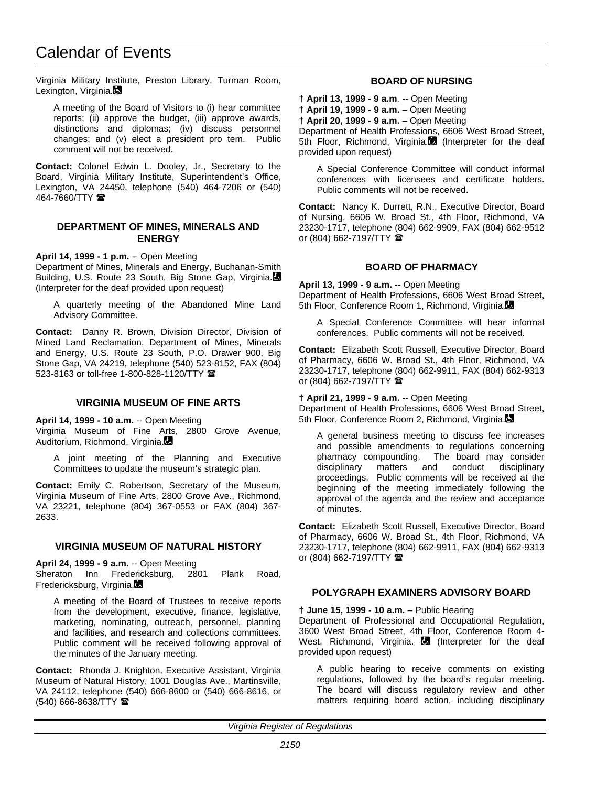Virginia Military Institute, Preston Library, Turman Room, Lexington, Virginia.

A meeting of the Board of Visitors to (i) hear committee reports; (ii) approve the budget, (iii) approve awards, distinctions and diplomas; (iv) discuss personnel changes; and (v) elect a president pro tem. Public comment will not be received.

**Contact:** Colonel Edwin L. Dooley, Jr., Secretary to the Board, Virginia Military Institute, Superintendent's Office, Lexington, VA 24450, telephone (540) 464-7206 or (540)  $464 - 7660$ /TTY  $\blacksquare$ 

### **DEPARTMENT OF MINES, MINERALS AND ENERGY**

**April 14, 1999 - 1 p.m.** -- Open Meeting

Department of Mines, Minerals and Energy, Buchanan-Smith Building, U.S. Route 23 South, Big Stone Gap, Virginia. (Interpreter for the deaf provided upon request)

A quarterly meeting of the Abandoned Mine Land Advisory Committee.

**Contact:** Danny R. Brown, Division Director, Division of Mined Land Reclamation, Department of Mines, Minerals and Energy, U.S. Route 23 South, P.O. Drawer 900, Big Stone Gap, VA 24219, telephone (540) 523-8152, FAX (804) 523-8163 or toll-free 1-800-828-1120/TTY 2

## **VIRGINIA MUSEUM OF FINE ARTS**

**April 14, 1999 - 10 a.m.** -- Open Meeting

Virginia Museum of Fine Arts, 2800 Grove Avenue, Auditorium, Richmond, Virginia.

A joint meeting of the Planning and Executive Committees to update the museum's strategic plan.

**Contact:** Emily C. Robertson, Secretary of the Museum, Virginia Museum of Fine Arts, 2800 Grove Ave., Richmond, VA 23221, telephone (804) 367-0553 or FAX (804) 367- 2633.

## **VIRGINIA MUSEUM OF NATURAL HISTORY**

**April 24, 1999 - 9 a.m.** -- Open Meeting

Sheraton Inn Fredericksburg, 2801 Plank Road, Fredericksburg, Virginia.

A meeting of the Board of Trustees to receive reports from the development, executive, finance, legislative, marketing, nominating, outreach, personnel, planning and facilities, and research and collections committees. Public comment will be received following approval of the minutes of the January meeting.

**Contact:** Rhonda J. Knighton, Executive Assistant, Virginia Museum of Natural History, 1001 Douglas Ave., Martinsville, VA 24112, telephone (540) 666-8600 or (540) 666-8616, or (540) 666-8638/TTY (

## **BOARD OF NURSING**

**† April 13, 1999 - 9 a.m**. -- Open Meeting

**† April 19, 1999 - 9 a.m.** – Open Meeting

**† April 20, 1999 - 9 a.m.** – Open Meeting

Department of Health Professions, 6606 West Broad Street, 5th Floor, Richmond, Virginia. (Interpreter for the deaf provided upon request)

A Special Conference Committee will conduct informal conferences with licensees and certificate holders. Public comments will not be received.

**Contact:** Nancy K. Durrett, R.N., Executive Director, Board of Nursing, 6606 W. Broad St., 4th Floor, Richmond, VA 23230-1717, telephone (804) 662-9909, FAX (804) 662-9512 or (804) 662-7197/TTY  $\blacksquare$ 

## **BOARD OF PHARMACY**

**April 13, 1999 - 9 a.m.** -- Open Meeting Department of Health Professions, 6606 West Broad Street, 5th Floor, Conference Room 1, Richmond, Virginia.

A Special Conference Committee will hear informal conferences. Public comments will not be received.

**Contact:** Elizabeth Scott Russell, Executive Director, Board of Pharmacy, 6606 W. Broad St., 4th Floor, Richmond, VA 23230-1717, telephone (804) 662-9911, FAX (804) 662-9313 or (804) 662-7197/TTY  $\blacksquare$ 

#### **† April 21, 1999 - 9 a.m.** -- Open Meeting

Department of Health Professions, 6606 West Broad Street, 5th Floor, Conference Room 2, Richmond, Virginia.

A general business meeting to discuss fee increases and possible amendments to regulations concerning pharmacy compounding. The board may consider<br>disciplinary matters and conduct disciplinary disciplinary matters and conduct disciplinary proceedings. Public comments will be received at the beginning of the meeting immediately following the approval of the agenda and the review and acceptance of minutes.

**Contact:** Elizabeth Scott Russell, Executive Director, Board of Pharmacy, 6606 W. Broad St., 4th Floor, Richmond, VA 23230-1717, telephone (804) 662-9911, FAX (804) 662-9313 or (804) 662-7197/TTY <sup>金</sup>

## **POLYGRAPH EXAMINERS ADVISORY BOARD**

**† June 15, 1999 - 10 a.m.** – Public Hearing Department of Professional and Occupational Regulation, 3600 West Broad Street, 4th Floor, Conference Room 4- West, Richmond, Virginia.  $\blacksquare$  (Interpreter for the deaf provided upon request)

A public hearing to receive comments on existing regulations, followed by the board's regular meeting. The board will discuss regulatory review and other matters requiring board action, including disciplinary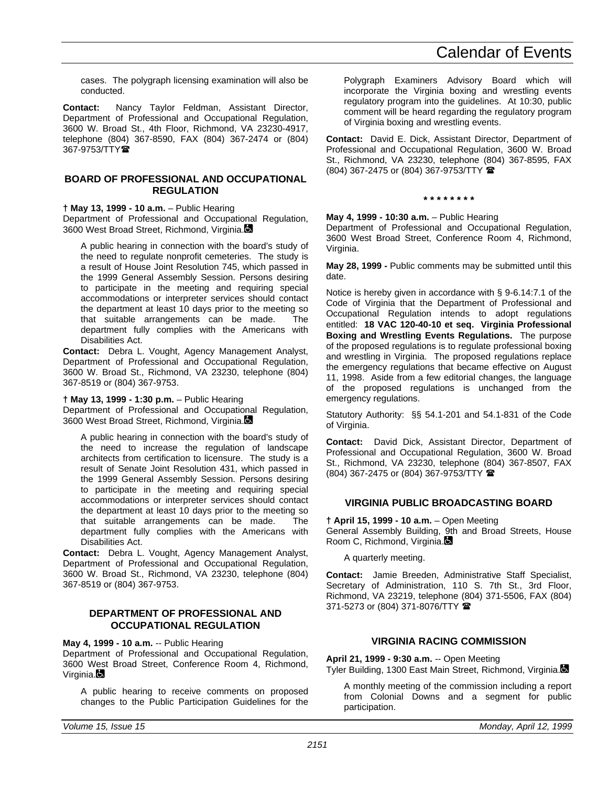cases. The polygraph licensing examination will also be conducted.

**Contact:** Nancy Taylor Feldman, Assistant Director, Department of Professional and Occupational Regulation, 3600 W. Broad St., 4th Floor, Richmond, VA 23230-4917, telephone (804) 367-8590, FAX (804) 367-2474 or (804) 367-9753/TTY<sup>®</sup>

## **BOARD OF PROFESSIONAL AND OCCUPATIONAL REGULATION**

#### **† May 13, 1999 - 10 a.m.** – Public Hearing

Department of Professional and Occupational Regulation, 3600 West Broad Street, Richmond, Virginia.

A public hearing in connection with the board's study of the need to regulate nonprofit cemeteries. The study is a result of House Joint Resolution 745, which passed in the 1999 General Assembly Session. Persons desiring to participate in the meeting and requiring special accommodations or interpreter services should contact the department at least 10 days prior to the meeting so that suitable arrangements can be made. The department fully complies with the Americans with Disabilities Act.

**Contact:** Debra L. Vought, Agency Management Analyst, Department of Professional and Occupational Regulation, 3600 W. Broad St., Richmond, VA 23230, telephone (804) 367-8519 or (804) 367-9753.

#### **† May 13, 1999 - 1:30 p.m.** – Public Hearing

Department of Professional and Occupational Regulation, 3600 West Broad Street, Richmond, Virginia.

A public hearing in connection with the board's study of the need to increase the regulation of landscape architects from certification to licensure. The study is a result of Senate Joint Resolution 431, which passed in the 1999 General Assembly Session. Persons desiring to participate in the meeting and requiring special accommodations or interpreter services should contact the department at least 10 days prior to the meeting so that suitable arrangements can be made. The department fully complies with the Americans with Disabilities Act.

**Contact:** Debra L. Vought, Agency Management Analyst, Department of Professional and Occupational Regulation, 3600 W. Broad St., Richmond, VA 23230, telephone (804) 367-8519 or (804) 367-9753.

#### **DEPARTMENT OF PROFESSIONAL AND OCCUPATIONAL REGULATION**

**May 4, 1999 - 10 a.m.** -- Public Hearing

Department of Professional and Occupational Regulation, 3600 West Broad Street, Conference Room 4, Richmond, Virginia.

A public hearing to receive comments on proposed changes to the Public Participation Guidelines for the Polygraph Examiners Advisory Board which will incorporate the Virginia boxing and wrestling events regulatory program into the guidelines. At 10:30, public comment will be heard regarding the regulatory program of Virginia boxing and wrestling events.

**Contact:** David E. Dick, Assistant Director, Department of Professional and Occupational Regulation, 3600 W. Broad St., Richmond, VA 23230, telephone (804) 367-8595, FAX (804) 367-2475 or (804) 367-9753/TTY (

#### **\* \* \* \* \* \* \* \***

#### **May 4, 1999 - 10:30 a.m.** – Public Hearing

Department of Professional and Occupational Regulation, 3600 West Broad Street, Conference Room 4, Richmond, Virginia.

**May 28, 1999 -** Public comments may be submitted until this date.

Notice is hereby given in accordance with § 9-6.14:7.1 of the Code of Virginia that the Department of Professional and Occupational Regulation intends to adopt regulations entitled: **18 VAC 120-40-10 et seq. Virginia Professional Boxing and Wrestling Events Regulations.** The purpose of the proposed regulations is to regulate professional boxing and wrestling in Virginia. The proposed regulations replace the emergency regulations that became effective on August 11, 1998. Aside from a few editorial changes, the language of the proposed regulations is unchanged from the emergency regulations.

Statutory Authority: §§ 54.1-201 and 54.1-831 of the Code of Virginia.

**Contact:** David Dick, Assistant Director, Department of Professional and Occupational Regulation, 3600 W. Broad St., Richmond, VA 23230, telephone (804) 367-8507, FAX (804) 367-2475 or (804) 367-9753/TTY (

## **VIRGINIA PUBLIC BROADCASTING BOARD**

#### **† April 15, 1999 - 10 a.m.** – Open Meeting General Assembly Building, 9th and Broad Streets, House Room C, Richmond, Virginia.

A quarterly meeting.

**Contact:** Jamie Breeden, Administrative Staff Specialist, Secretary of Administration, 110 S. 7th St., 3rd Floor, Richmond, VA 23219, telephone (804) 371-5506, FAX (804) 371-5273 or (804) 371-8076/TTY

## **VIRGINIA RACING COMMISSION**

## **April 21, 1999 - 9:30 a.m.** -- Open Meeting

Tyler Building, 1300 East Main Street, Richmond, Virginia.

A monthly meeting of the commission including a report from Colonial Downs and a segment for public participation.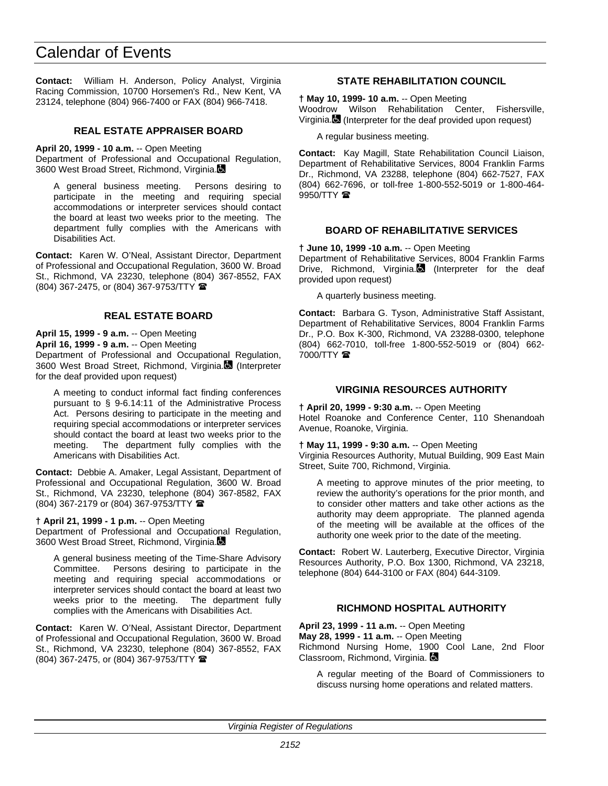**Contact:** William H. Anderson, Policy Analyst, Virginia Racing Commission, 10700 Horsemen's Rd., New Kent, VA 23124, telephone (804) 966-7400 or FAX (804) 966-7418.

## **REAL ESTATE APPRAISER BOARD**

**April 20, 1999 - 10 a.m.** -- Open Meeting

Department of Professional and Occupational Regulation, 3600 West Broad Street, Richmond, Virginia.

A general business meeting. Persons desiring to participate in the meeting and requiring special accommodations or interpreter services should contact the board at least two weeks prior to the meeting. The department fully complies with the Americans with Disabilities Act.

**Contact:** Karen W. O'Neal, Assistant Director, Department of Professional and Occupational Regulation, 3600 W. Broad St., Richmond, VA 23230, telephone (804) 367-8552, FAX (804) 367-2475, or (804) 367-9753/TTY (

## **REAL ESTATE BOARD**

**April 15, 1999 - 9 a.m.** -- Open Meeting

**April 16, 1999 - 9 a.m.** -- Open Meeting

Department of Professional and Occupational Regulation, 3600 West Broad Street, Richmond, Virginia. (Interpreter for the deaf provided upon request)

A meeting to conduct informal fact finding conferences pursuant to § 9-6.14:11 of the Administrative Process Act. Persons desiring to participate in the meeting and requiring special accommodations or interpreter services should contact the board at least two weeks prior to the meeting. The department fully complies with the Americans with Disabilities Act.

**Contact:** Debbie A. Amaker, Legal Assistant, Department of Professional and Occupational Regulation, 3600 W. Broad St., Richmond, VA 23230, telephone (804) 367-8582, FAX (804) 367-2179 or (804) 367-9753/TTY (

#### **† April 21, 1999 - 1 p.m.** -- Open Meeting

Department of Professional and Occupational Regulation, 3600 West Broad Street, Richmond, Virginia.

A general business meeting of the Time-Share Advisory Committee. Persons desiring to participate in the meeting and requiring special accommodations or interpreter services should contact the board at least two weeks prior to the meeting. The department fully complies with the Americans with Disabilities Act.

**Contact:** Karen W. O'Neal, Assistant Director, Department of Professional and Occupational Regulation, 3600 W. Broad St., Richmond, VA 23230, telephone (804) 367-8552, FAX (804) 367-2475, or (804) 367-9753/TTY (

## **STATE REHABILITATION COUNCIL**

**† May 10, 1999- 10 a.m.** -- Open Meeting Woodrow Wilson Rehabilitation Center, Fishersville, Virginia. (Interpreter for the deaf provided upon request)

A regular business meeting.

**Contact:** Kay Magill, State Rehabilitation Council Liaison, Department of Rehabilitative Services, 8004 Franklin Farms Dr., Richmond, VA 23288, telephone (804) 662-7527, FAX (804) 662-7696, or toll-free 1-800-552-5019 or 1-800-464- 9950/TTY  $\blacksquare$ 

## **BOARD OF REHABILITATIVE SERVICES**

**† June 10, 1999 -10 a.m.** -- Open Meeting

Department of Rehabilitative Services, 8004 Franklin Farms Drive, Richmond, Virginia. $\blacksquare$  (Interpreter for the deaf provided upon request)

A quarterly business meeting.

**Contact:** Barbara G. Tyson, Administrative Staff Assistant, Department of Rehabilitative Services, 8004 Franklin Farms Dr., P.O. Box K-300, Richmond, VA 23288-0300, telephone (804) 662-7010, toll-free 1-800-552-5019 or (804) 662-  $7000/TTY$ 

## **VIRGINIA RESOURCES AUTHORITY**

#### **† April 20, 1999 - 9:30 a.m.** -- Open Meeting

Hotel Roanoke and Conference Center, 110 Shenandoah Avenue, Roanoke, Virginia.

#### **† May 11, 1999 - 9:30 a.m.** -- Open Meeting

Virginia Resources Authority, Mutual Building, 909 East Main Street, Suite 700, Richmond, Virginia.

A meeting to approve minutes of the prior meeting, to review the authority's operations for the prior month, and to consider other matters and take other actions as the authority may deem appropriate. The planned agenda of the meeting will be available at the offices of the authority one week prior to the date of the meeting.

**Contact:** Robert W. Lauterberg, Executive Director, Virginia Resources Authority, P.O. Box 1300, Richmond, VA 23218, telephone (804) 644-3100 or FAX (804) 644-3109.

## **RICHMOND HOSPITAL AUTHORITY**

**April 23, 1999 - 11 a.m.** -- Open Meeting **May 28, 1999 - 11 a.m.** -- Open Meeting

Richmond Nursing Home, 1900 Cool Lane, 2nd Floor Classroom, Richmond, Virginia.

A regular meeting of the Board of Commissioners to discuss nursing home operations and related matters.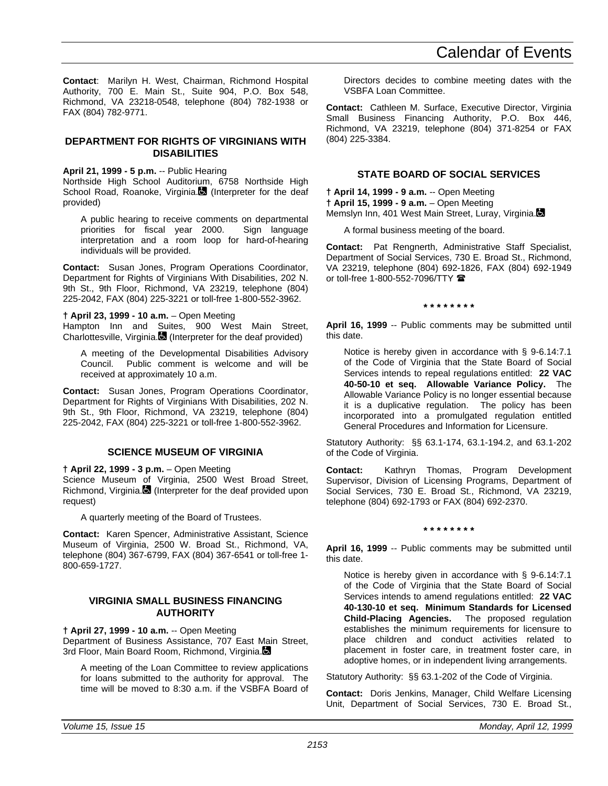**Contact**: Marilyn H. West, Chairman, Richmond Hospital Authority, 700 E. Main St., Suite 904, P.O. Box 548, Richmond, VA 23218-0548, telephone (804) 782-1938 or FAX (804) 782-9771.

## **DEPARTMENT FOR RIGHTS OF VIRGINIANS WITH DISABILITIES**

**April 21, 1999 - 5 p.m.** -- Public Hearing

Northside High School Auditorium, 6758 Northside High School Road, Roanoke, Virginia. (Interpreter for the deaf provided)

A public hearing to receive comments on departmental priorities for fiscal year 2000. Sign language interpretation and a room loop for hard-of-hearing individuals will be provided.

**Contact:** Susan Jones, Program Operations Coordinator, Department for Rights of Virginians With Disabilities, 202 N. 9th St., 9th Floor, Richmond, VA 23219, telephone (804) 225-2042, FAX (804) 225-3221 or toll-free 1-800-552-3962.

**† April 23, 1999 - 10 a.m.** – Open Meeting

Hampton Inn and Suites, 900 West Main Street, Charlottesville, Virginia. $\blacksquare$  (Interpreter for the deaf provided)

A meeting of the Developmental Disabilities Advisory Council. Public comment is welcome and will be received at approximately 10 a.m.

**Contact:** Susan Jones, Program Operations Coordinator, Department for Rights of Virginians With Disabilities, 202 N. 9th St., 9th Floor, Richmond, VA 23219, telephone (804) 225-2042, FAX (804) 225-3221 or toll-free 1-800-552-3962.

## **SCIENCE MUSEUM OF VIRGINIA**

**† April 22, 1999 - 3 p.m.** – Open Meeting

Science Museum of Virginia, 2500 West Broad Street, Richmond, Virginia. $\blacksquare$  (Interpreter for the deaf provided upon request)

A quarterly meeting of the Board of Trustees.

**Contact:** Karen Spencer, Administrative Assistant, Science Museum of Virginia, 2500 W. Broad St., Richmond, VA, telephone (804) 367-6799, FAX (804) 367-6541 or toll-free 1- 800-659-1727.

## **VIRGINIA SMALL BUSINESS FINANCING AUTHORITY**

**† April 27, 1999 - 10 a.m.** -- Open Meeting

Department of Business Assistance, 707 East Main Street, 3rd Floor, Main Board Room, Richmond, Virginia.

A meeting of the Loan Committee to review applications for loans submitted to the authority for approval. The time will be moved to 8:30 a.m. if the VSBFA Board of Directors decides to combine meeting dates with the VSBFA Loan Committee.

**Contact:** Cathleen M. Surface, Executive Director, Virginia Small Business Financing Authority, P.O. Box 446, Richmond, VA 23219, telephone (804) 371-8254 or FAX (804) 225-3384.

## **STATE BOARD OF SOCIAL SERVICES**

**† April 14, 1999 - 9 a.m.** -- Open Meeting **† April 15, 1999 - 9 a.m.** – Open Meeting Memslyn Inn, 401 West Main Street, Luray, Virginia.

A formal business meeting of the board.

**Contact:** Pat Rengnerth, Administrative Staff Specialist, Department of Social Services, 730 E. Broad St., Richmond, VA 23219, telephone (804) 692-1826, FAX (804) 692-1949 or toll-free 1-800-552-7096/TTY <sup>金</sup>

**\* \* \* \* \* \* \* \***

**April 16, 1999** -- Public comments may be submitted until this date.

Notice is hereby given in accordance with § 9-6.14:7.1 of the Code of Virginia that the State Board of Social Services intends to repeal regulations entitled: **22 VAC 40-50-10 et seq. Allowable Variance Policy.** The Allowable Variance Policy is no longer essential because it is a duplicative regulation. The policy has been incorporated into a promulgated regulation entitled General Procedures and Information for Licensure.

Statutory Authority: §§ 63.1-174, 63.1-194.2, and 63.1-202 of the Code of Virginia.

**Contact:** Kathryn Thomas, Program Development Supervisor, Division of Licensing Programs, Department of Social Services, 730 E. Broad St., Richmond, VA 23219, telephone (804) 692-1793 or FAX (804) 692-2370.

## **\* \* \* \* \* \* \* \***

**April 16, 1999** -- Public comments may be submitted until this date.

Notice is hereby given in accordance with § 9-6.14:7.1 of the Code of Virginia that the State Board of Social Services intends to amend regulations entitled: **22 VAC 40-130-10 et seq. Minimum Standards for Licensed Child-Placing Agencies.** The proposed regulation establishes the minimum requirements for licensure to place children and conduct activities related to placement in foster care, in treatment foster care, in adoptive homes, or in independent living arrangements.

Statutory Authority: §§ 63.1-202 of the Code of Virginia.

**Contact:** Doris Jenkins, Manager, Child Welfare Licensing Unit, Department of Social Services, 730 E. Broad St.,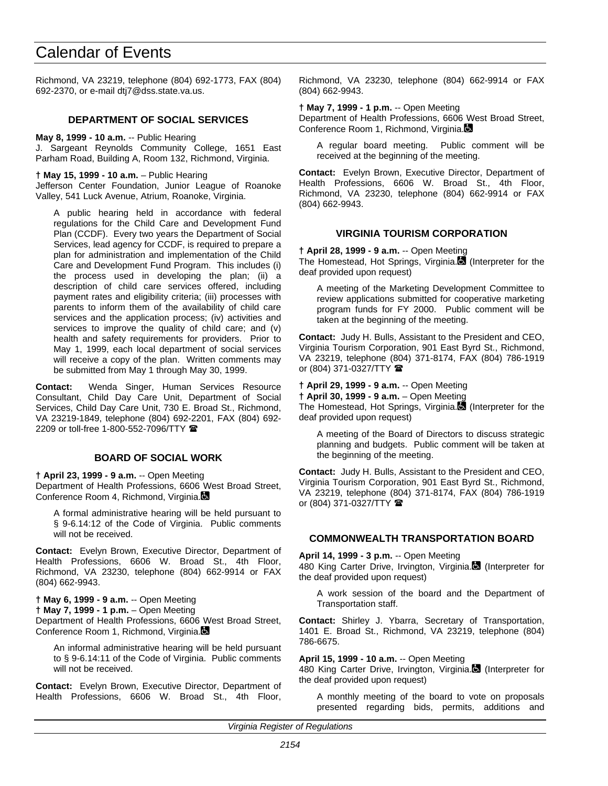Richmond, VA 23219, telephone (804) 692-1773, FAX (804) 692-2370, or e-mail dtj7@dss.state.va.us.

## **DEPARTMENT OF SOCIAL SERVICES**

**May 8, 1999 - 10 a.m.** -- Public Hearing J. Sargeant Reynolds Community College, 1651 East Parham Road, Building A, Room 132, Richmond, Virginia.

**† May 15, 1999 - 10 a.m.** – Public Hearing

Jefferson Center Foundation, Junior League of Roanoke Valley, 541 Luck Avenue, Atrium, Roanoke, Virginia.

A public hearing held in accordance with federal regulations for the Child Care and Development Fund Plan (CCDF). Every two years the Department of Social Services, lead agency for CCDF, is required to prepare a plan for administration and implementation of the Child Care and Development Fund Program. This includes (i) the process used in developing the plan; (ii) a description of child care services offered, including payment rates and eligibility criteria; (iii) processes with parents to inform them of the availability of child care services and the application process; (iv) activities and services to improve the quality of child care; and (v) health and safety requirements for providers. Prior to May 1, 1999, each local department of social services will receive a copy of the plan. Written comments may be submitted from May 1 through May 30, 1999.

**Contact:** Wenda Singer, Human Services Resource Consultant, Child Day Care Unit, Department of Social Services, Child Day Care Unit, 730 E. Broad St., Richmond, VA 23219-1849, telephone (804) 692-2201, FAX (804) 692- 2209 or toll-free 1-800-552-7096/TTY <sup>全</sup>

## **BOARD OF SOCIAL WORK**

**† April 23, 1999 - 9 a.m.** -- Open Meeting

Department of Health Professions, 6606 West Broad Street, Conference Room 4, Richmond, Virginia.

A formal administrative hearing will be held pursuant to § 9-6.14:12 of the Code of Virginia. Public comments will not be received.

**Contact:** Evelyn Brown, Executive Director, Department of Health Professions, 6606 W. Broad St., 4th Floor, Richmond, VA 23230, telephone (804) 662-9914 or FAX (804) 662-9943.

**† May 6, 1999 - 9 a.m.** -- Open Meeting

**† May 7, 1999 - 1 p.m.** – Open Meeting

Department of Health Professions, 6606 West Broad Street, Conference Room 1, Richmond, Virginia.

An informal administrative hearing will be held pursuant to § 9-6.14:11 of the Code of Virginia. Public comments will not be received.

**Contact:** Evelyn Brown, Executive Director, Department of Health Professions, 6606 W. Broad St., 4th Floor, Richmond, VA 23230, telephone (804) 662-9914 or FAX (804) 662-9943.

**† May 7, 1999 - 1 p.m.** -- Open Meeting Department of Health Professions, 6606 West Broad Street, Conference Room 1, Richmond, Virginia.

A regular board meeting. Public comment will be received at the beginning of the meeting.

**Contact:** Evelyn Brown, Executive Director, Department of Health Professions, 6606 W. Broad St., 4th Floor, Richmond, VA 23230, telephone (804) 662-9914 or FAX (804) 662-9943.

#### **VIRGINIA TOURISM CORPORATION**

**† April 28, 1999 - 9 a.m.** -- Open Meeting

The Homestead, Hot Springs, Virginia. (Interpreter for the deaf provided upon request)

A meeting of the Marketing Development Committee to review applications submitted for cooperative marketing program funds for FY 2000. Public comment will be taken at the beginning of the meeting.

**Contact:** Judy H. Bulls, Assistant to the President and CEO, Virginia Tourism Corporation, 901 East Byrd St., Richmond, VA 23219, telephone (804) 371-8174, FAX (804) 786-1919 or (804) 371-0327/TTY  $\blacksquare$ 

#### **† April 29, 1999 - 9 a.m.** -- Open Meeting

**† April 30, 1999 - 9 a.m.** – Open Meeting The Homestead, Hot Springs, Virginia. (Interpreter for the deaf provided upon request)

A meeting of the Board of Directors to discuss strategic planning and budgets. Public comment will be taken at the beginning of the meeting.

**Contact:** Judy H. Bulls, Assistant to the President and CEO, Virginia Tourism Corporation, 901 East Byrd St., Richmond, VA 23219, telephone (804) 371-8174, FAX (804) 786-1919 or (804) 371-0327/TTY  $\blacksquare$ 

## **COMMONWEALTH TRANSPORTATION BOARD**

**April 14, 1999 - 3 p.m.** -- Open Meeting

480 King Carter Drive, Irvington, Virginia. (Interpreter for the deaf provided upon request)

A work session of the board and the Department of Transportation staff.

**Contact:** Shirley J. Ybarra, Secretary of Transportation, 1401 E. Broad St., Richmond, VA 23219, telephone (804) 786-6675.

#### **April 15, 1999 - 10 a.m.** -- Open Meeting

480 King Carter Drive, Irvington, Virginia.<sup>8</sup> (Interpreter for the deaf provided upon request)

A monthly meeting of the board to vote on proposals presented regarding bids, permits, additions and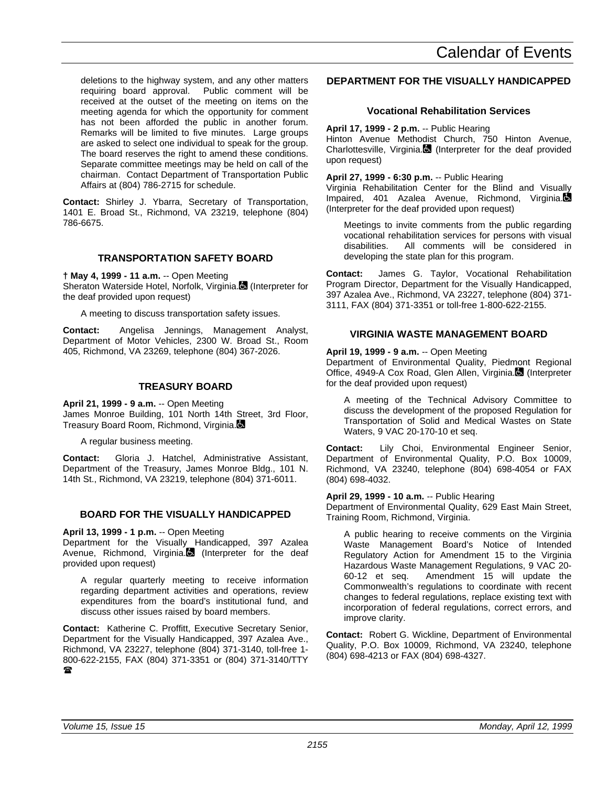deletions to the highway system, and any other matters requiring board approval. Public comment will be received at the outset of the meeting on items on the meeting agenda for which the opportunity for comment has not been afforded the public in another forum. Remarks will be limited to five minutes. Large groups are asked to select one individual to speak for the group. The board reserves the right to amend these conditions. Separate committee meetings may be held on call of the chairman. Contact Department of Transportation Public Affairs at (804) 786-2715 for schedule.

**Contact:** Shirley J. Ybarra, Secretary of Transportation, 1401 E. Broad St., Richmond, VA 23219, telephone (804) 786-6675.

## **TRANSPORTATION SAFETY BOARD**

**† May 4, 1999 - 11 a.m.** -- Open Meeting Sheraton Waterside Hotel, Norfolk, Virginia. (Interpreter for the deaf provided upon request)

A meeting to discuss transportation safety issues.

**Contact:** Angelisa Jennings, Management Analyst, Department of Motor Vehicles, 2300 W. Broad St., Room 405, Richmond, VA 23269, telephone (804) 367-2026.

## **TREASURY BOARD**

**April 21, 1999 - 9 a.m.** -- Open Meeting James Monroe Building, 101 North 14th Street, 3rd Floor, Treasury Board Room, Richmond, Virginia.

A regular business meeting.

**Contact:** Gloria J. Hatchel, Administrative Assistant, Department of the Treasury, James Monroe Bldg., 101 N. 14th St., Richmond, VA 23219, telephone (804) 371-6011.

## **BOARD FOR THE VISUALLY HANDICAPPED**

**April 13, 1999 - 1 p.m.** -- Open Meeting Department for the Visually Handicapped, 397 Azalea Avenue, Richmond, Virginia. (Interpreter for the deaf provided upon request)

A regular quarterly meeting to receive information regarding department activities and operations, review expenditures from the board's institutional fund, and discuss other issues raised by board members.

**Contact:** Katherine C. Proffitt, Executive Secretary Senior, Department for the Visually Handicapped, 397 Azalea Ave., Richmond, VA 23227, telephone (804) 371-3140, toll-free 1- 800-622-2155, FAX (804) 371-3351 or (804) 371-3140/TTY  $\mathbf{r}$ 

## **DEPARTMENT FOR THE VISUALLY HANDICAPPED**

## **Vocational Rehabilitation Services**

**April 17, 1999 - 2 p.m.** -- Public Hearing

Hinton Avenue Methodist Church, 750 Hinton Avenue, Charlottesville, Virginia. (Interpreter for the deaf provided upon request)

## **April 27, 1999 - 6:30 p.m.** -- Public Hearing

Virginia Rehabilitation Center for the Blind and Visually Impaired, 401 Azalea Avenue, Richmond, Virginia. (Interpreter for the deaf provided upon request)

Meetings to invite comments from the public regarding vocational rehabilitation services for persons with visual disabilities. All comments will be considered in developing the state plan for this program.

**Contact:** James G. Taylor, Vocational Rehabilitation Program Director, Department for the Visually Handicapped, 397 Azalea Ave., Richmond, VA 23227, telephone (804) 371- 3111, FAX (804) 371-3351 or toll-free 1-800-622-2155.

## **VIRGINIA WASTE MANAGEMENT BOARD**

**April 19, 1999 - 9 a.m.** -- Open Meeting

Department of Environmental Quality, Piedmont Regional Office, 4949-A Cox Road, Glen Allen, Virginia. (Interpreter for the deaf provided upon request)

A meeting of the Technical Advisory Committee to discuss the development of the proposed Regulation for Transportation of Solid and Medical Wastes on State Waters, 9 VAC 20-170-10 et seq.

**Contact:** Lily Choi, Environmental Engineer Senior, Department of Environmental Quality, P.O. Box 10009, Richmond, VA 23240, telephone (804) 698-4054 or FAX (804) 698-4032.

## **April 29, 1999 - 10 a.m.** -- Public Hearing

Department of Environmental Quality, 629 East Main Street, Training Room, Richmond, Virginia.

A public hearing to receive comments on the Virginia Waste Management Board's Notice of Intended Regulatory Action for Amendment 15 to the Virginia Hazardous Waste Management Regulations, 9 VAC 20- 60-12 et seq. Amendment 15 will update the Commonwealth's regulations to coordinate with recent changes to federal regulations, replace existing text with incorporation of federal regulations, correct errors, and improve clarity.

**Contact:** Robert G. Wickline, Department of Environmental Quality, P.O. Box 10009, Richmond, VA 23240, telephone (804) 698-4213 or FAX (804) 698-4327.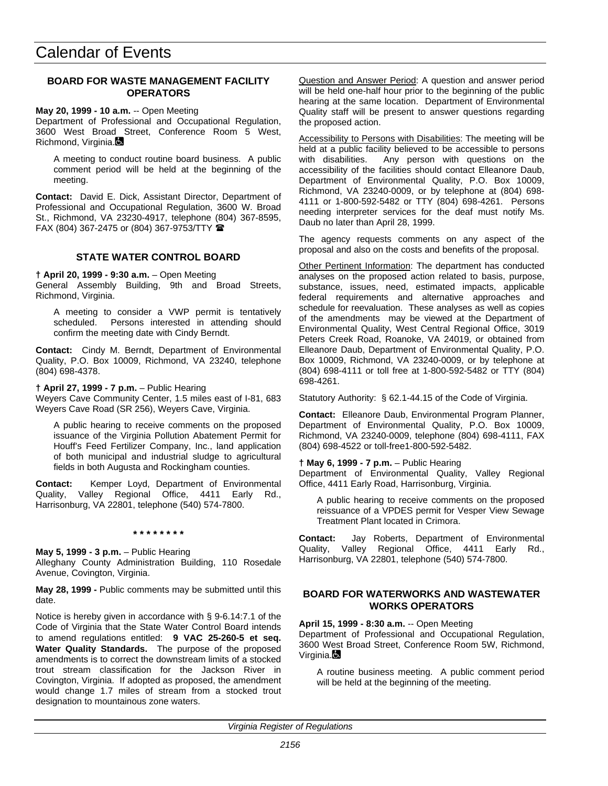## **BOARD FOR WASTE MANAGEMENT FACILITY OPERATORS**

#### **May 20, 1999 - 10 a.m.** -- Open Meeting

Department of Professional and Occupational Regulation, 3600 West Broad Street, Conference Room 5 West, Richmond, Virginia.

A meeting to conduct routine board business. A public comment period will be held at the beginning of the meeting.

**Contact:** David E. Dick, Assistant Director, Department of Professional and Occupational Regulation, 3600 W. Broad St., Richmond, VA 23230-4917, telephone (804) 367-8595, FAX (804) 367-2475 or (804) 367-9753/TTY  $\blacksquare$ 

## **STATE WATER CONTROL BOARD**

#### **† April 20, 1999 - 9:30 a.m.** – Open Meeting

General Assembly Building, 9th and Broad Streets, Richmond, Virginia.

A meeting to consider a VWP permit is tentatively scheduled. Persons interested in attending should confirm the meeting date with Cindy Berndt.

**Contact:** Cindy M. Berndt, Department of Environmental Quality, P.O. Box 10009, Richmond, VA 23240, telephone (804) 698-4378.

#### **† April 27, 1999 - 7 p.m.** – Public Hearing

Weyers Cave Community Center, 1.5 miles east of I-81, 683 Weyers Cave Road (SR 256), Weyers Cave, Virginia.

A public hearing to receive comments on the proposed issuance of the Virginia Pollution Abatement Permit for Houff's Feed Fertilizer Company, Inc., land application of both municipal and industrial sludge to agricultural fields in both Augusta and Rockingham counties.

**Contact:** Kemper Loyd, Department of Environmental Quality, Valley Regional Office, 4411 Early Rd., Harrisonburg, VA 22801, telephone (540) 574-7800.

**\* \* \* \* \* \* \* \***

#### **May 5, 1999 - 3 p.m.** – Public Hearing

Alleghany County Administration Building, 110 Rosedale Avenue, Covington, Virginia.

**May 28, 1999 -** Public comments may be submitted until this date.

Notice is hereby given in accordance with § 9-6.14:7.1 of the Code of Virginia that the State Water Control Board intends to amend regulations entitled: **9 VAC 25-260-5 et seq. Water Quality Standards.** The purpose of the proposed amendments is to correct the downstream limits of a stocked trout stream classification for the Jackson River in Covington, Virginia. If adopted as proposed, the amendment would change 1.7 miles of stream from a stocked trout designation to mountainous zone waters.

Question and Answer Period: A question and answer period will be held one-half hour prior to the beginning of the public hearing at the same location. Department of Environmental Quality staff will be present to answer questions regarding the proposed action.

Accessibility to Persons with Disabilities: The meeting will be held at a public facility believed to be accessible to persons with disabilities. Any person with questions on the accessibility of the facilities should contact Elleanore Daub, Department of Environmental Quality, P.O. Box 10009, Richmond, VA 23240-0009, or by telephone at (804) 698- 4111 or 1-800-592-5482 or TTY (804) 698-4261. Persons needing interpreter services for the deaf must notify Ms. Daub no later than April 28, 1999.

The agency requests comments on any aspect of the proposal and also on the costs and benefits of the proposal.

Other Pertinent Information: The department has conducted analyses on the proposed action related to basis, purpose, substance, issues, need, estimated impacts, applicable federal requirements and alternative approaches and schedule for reevaluation. These analyses as well as copies of the amendments may be viewed at the Department of Environmental Quality, West Central Regional Office, 3019 Peters Creek Road, Roanoke, VA 24019, or obtained from Elleanore Daub, Department of Environmental Quality, P.O. Box 10009, Richmond, VA 23240-0009, or by telephone at (804) 698-4111 or toll free at 1-800-592-5482 or TTY (804) 698-4261.

Statutory Authority: § 62.1-44.15 of the Code of Virginia.

**Contact:** Elleanore Daub, Environmental Program Planner, Department of Environmental Quality, P.O. Box 10009, Richmond, VA 23240-0009, telephone (804) 698-4111, FAX (804) 698-4522 or toll-free1-800-592-5482.

#### **† May 6, 1999 - 7 p.m.** – Public Hearing

Department of Environmental Quality, Valley Regional Office, 4411 Early Road, Harrisonburg, Virginia.

A public hearing to receive comments on the proposed reissuance of a VPDES permit for Vesper View Sewage Treatment Plant located in Crimora.

**Contact:** Jay Roberts, Department of Environmental Quality, Valley Regional Office, 4411 Early Rd., Harrisonburg, VA 22801, telephone (540) 574-7800.

## **BOARD FOR WATERWORKS AND WASTEWATER WORKS OPERATORS**

**April 15, 1999 - 8:30 a.m.** -- Open Meeting

Department of Professional and Occupational Regulation, 3600 West Broad Street, Conference Room 5W, Richmond, Virginia.

A routine business meeting. A public comment period will be held at the beginning of the meeting.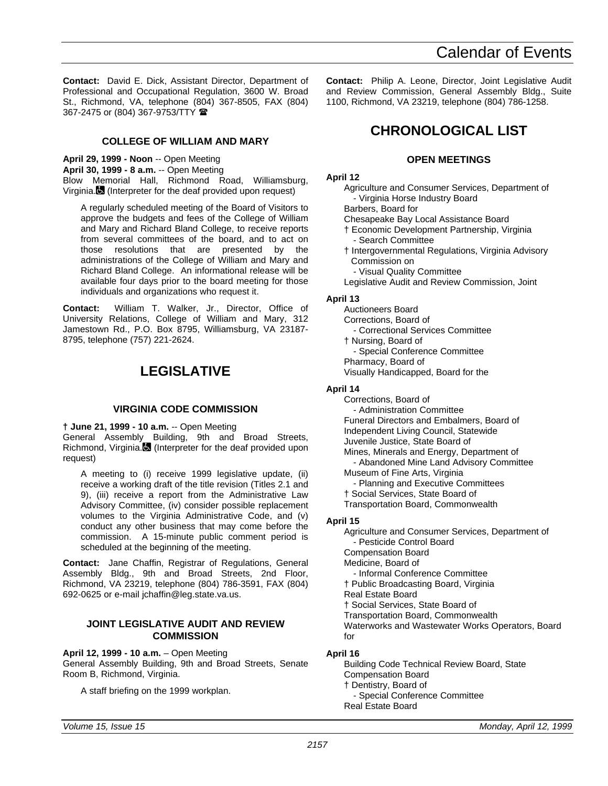<span id="page-60-0"></span>**Contact:** David E. Dick, Assistant Director, Department of Professional and Occupational Regulation, 3600 W. Broad St., Richmond, VA, telephone (804) 367-8505, FAX (804) 367-2475 or (804) 367-9753/TTY (

## **COLLEGE OF WILLIAM AND MARY**

**April 29, 1999 - Noon** -- Open Meeting **April 30, 1999 - 8 a.m.** -- Open Meeting Blow Memorial Hall, Richmond Road, Williamsburg, Virginia. (Interpreter for the deaf provided upon request)

A regularly scheduled meeting of the Board of Visitors to approve the budgets and fees of the College of William and Mary and Richard Bland College, to receive reports from several committees of the board, and to act on those resolutions that are presented by the administrations of the College of William and Mary and Richard Bland College. An informational release will be available four days prior to the board meeting for those individuals and organizations who request it.

**Contact:** William T. Walker, Jr., Director, Office of University Relations, College of William and Mary, 312 Jamestown Rd., P.O. Box 8795, Williamsburg, VA 23187- 8795, telephone (757) 221-2624.

## **LEGISLATIVE**

## **VIRGINIA CODE COMMISSION**

**† June 21, 1999 - 10 a.m.** -- Open Meeting General Assembly Building, 9th and Broad Streets, Richmond, Virginia. $\blacksquare$  (Interpreter for the deaf provided upon request)

A meeting to (i) receive 1999 legislative update, (ii) receive a working draft of the title revision (Titles 2.1 and 9), (iii) receive a report from the Administrative Law Advisory Committee, (iv) consider possible replacement volumes to the Virginia Administrative Code, and (v) conduct any other business that may come before the commission. A 15-minute public comment period is scheduled at the beginning of the meeting.

**Contact:** Jane Chaffin, Registrar of Regulations, General Assembly Bldg., 9th and Broad Streets, 2nd Floor, Richmond, VA 23219, telephone (804) 786-3591, FAX (804) 692-0625 or e-mail jchaffin@leg.state.va.us.

#### **JOINT LEGISLATIVE AUDIT AND REVIEW COMMISSION**

#### **April 12, 1999 - 10 a.m.** – Open Meeting

General Assembly Building, 9th and Broad Streets, Senate Room B, Richmond, Virginia.

A staff briefing on the 1999 workplan.

**Contact:** Philip A. Leone, Director, Joint Legislative Audit and Review Commission, General Assembly Bldg., Suite 1100, Richmond, VA 23219, telephone (804) 786-1258.

## **CHRONOLOGICAL LIST**

## **OPEN MEETINGS**

### **April 12**

Agriculture and Consumer Services, Department of - Virginia Horse Industry Board

Barbers, Board for

Chesapeake Bay Local Assistance Board

- † Economic Development Partnership, Virginia Search Committee
- † Intergovernmental Regulations, Virginia Advisory Commission on
	- Visual Quality Committee

Legislative Audit and Review Commission, Joint

#### **April 13**

Auctioneers Board Corrections, Board of - Correctional Services Committee † Nursing, Board of

- Special Conference Committee

Pharmacy, Board of

Visually Handicapped, Board for the

## **April 14**

- Corrections, Board of
- Administration Committee
- Funeral Directors and Embalmers, Board of
- Independent Living Council, Statewide
- Juvenile Justice, State Board of
- Mines, Minerals and Energy, Department of - Abandoned Mine Land Advisory Committee
- Museum of Fine Arts, Virginia
	- Planning and Executive Committees
- † Social Services, State Board of
- Transportation Board, Commonwealth

## **April 15**

Agriculture and Consumer Services, Department of - Pesticide Control Board Compensation Board Medicine, Board of - Informal Conference Committee † Public Broadcasting Board, Virginia

Real Estate Board

† Social Services, State Board of

Transportation Board, Commonwealth

Waterworks and Wastewater Works Operators, Board for

## **April 16**

Building Code Technical Review Board, State Compensation Board † Dentistry, Board of - Special Conference Committee Real Estate Board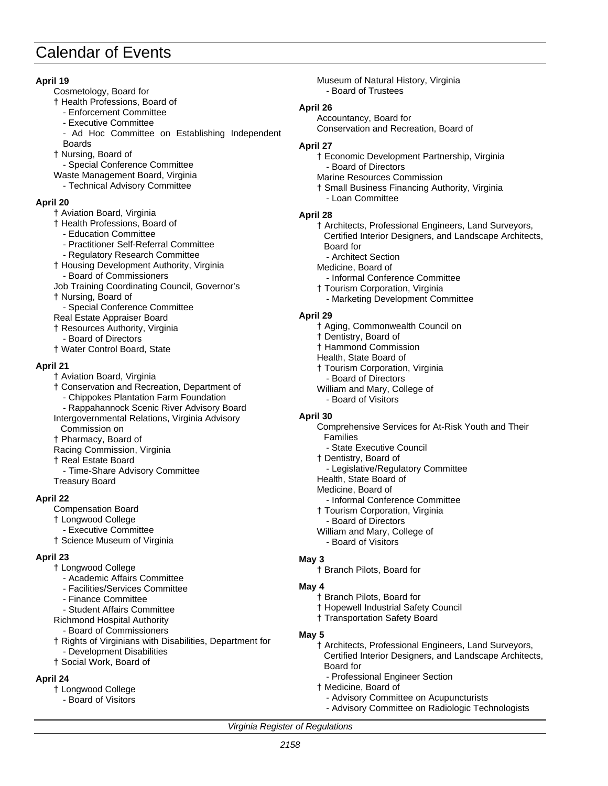## **April 19**

- Cosmetology, Board for
- † Health Professions, Board of
	- Enforcement Committee
	- Executive Committee
	- Ad Hoc Committee on Establishing Independent Boards
- † Nursing, Board of
- Special Conference Committee
- Waste Management Board, Virginia
- Technical Advisory Committee

## **April 20**

- † Aviation Board, Virginia
- † Health Professions, Board of
	- Education Committee
	- Practitioner Self-Referral Committee
	- Regulatory Research Committee
- † Housing Development Authority, Virginia
	- Board of Commissioners
- Job Training Coordinating Council, Governor's
- † Nursing, Board of
- Special Conference Committee
- Real Estate Appraiser Board
- † Resources Authority, Virginia
	- Board of Directors
- † Water Control Board, State

## **April 21**

- † Aviation Board, Virginia
- † Conservation and Recreation, Department of
	- Chippokes Plantation Farm Foundation
- Rappahannock Scenic River Advisory Board
- Intergovernmental Relations, Virginia Advisory Commission on
- † Pharmacy, Board of
- Racing Commission, Virginia
- † Real Estate Board
- Time-Share Advisory Committee Treasury Board

## **April 22**

- Compensation Board
- † Longwood College
- Executive Committee
- † Science Museum of Virginia

## **April 23**

- † Longwood College
	- Academic Affairs Committee
	- Facilities/Services Committee
	- Finance Committee
	- Student Affairs Committee
- Richmond Hospital Authority
- Board of Commissioners
- † Rights of Virginians with Disabilities, Department for Development Disabilities
- † Social Work, Board of

## **April 24**

- † Longwood College
- Board of Visitors

Museum of Natural History, Virginia - Board of Trustees

#### **April 26**

Accountancy, Board for Conservation and Recreation, Board of

### **April 27**

- † Economic Development Partnership, Virginia - Board of Directors
- Marine Resources Commission
- † Small Business Financing Authority, Virginia - Loan Committee

## **April 28**

- † Architects, Professional Engineers, Land Surveyors, Certified Interior Designers, and Landscape Architects, Board for
- Architect Section
- Medicine, Board of
- Informal Conference Committee
- † Tourism Corporation, Virginia
	- Marketing Development Committee

## **April 29**

- † Aging, Commonwealth Council on
- † Dentistry, Board of
- † Hammond Commission
- Health, State Board of
- † Tourism Corporation, Virginia
- Board of Directors
- William and Mary, College of
- Board of Visitors

## **April 30**

- Comprehensive Services for At-Risk Youth and Their Families - State Executive Council
- † Dentistry, Board of
- Legislative/Regulatory Committee
- Health, State Board of
- Medicine, Board of
- Informal Conference Committee
- † Tourism Corporation, Virginia
- Board of Directors
- William and Mary, College of
- Board of Visitors

## **May 3**

† Branch Pilots, Board for

## **May 4**

- † Branch Pilots, Board for
- † Hopewell Industrial Safety Council
- † Transportation Safety Board
- **May 5**

- † Architects, Professional Engineers, Land Surveyors, Certified Interior Designers, and Landscape Architects, Board for
	- Professional Engineer Section
- † Medicine, Board of
	- Advisory Committee on Acupuncturists
	- Advisory Committee on Radiologic Technologists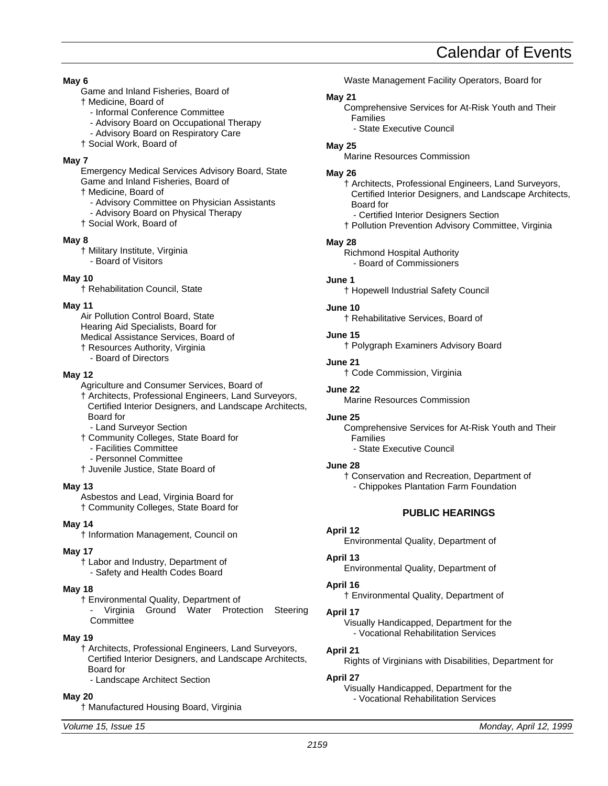<span id="page-62-0"></span>**May 6**

- Game and Inland Fisheries, Board of
- † Medicine, Board of
	- Informal Conference Committee
	- Advisory Board on Occupational Therapy
	- Advisory Board on Respiratory Care
- † Social Work, Board of

## **May 7**

Emergency Medical Services Advisory Board, State Game and Inland Fisheries, Board of

† Medicine, Board of

- Advisory Committee on Physician Assistants
- Advisory Board on Physical Therapy

† Social Work, Board of

## **May 8**

† Military Institute, Virginia - Board of Visitors

## **May 10**

† Rehabilitation Council, State

## **May 11**

Air Pollution Control Board, State Hearing Aid Specialists, Board for Medical Assistance Services, Board of † Resources Authority, Virginia

- Board of Directors

## **May 12**

- Agriculture and Consumer Services, Board of
- † Architects, Professional Engineers, Land Surveyors, Certified Interior Designers, and Landscape Architects, Board for
- Land Surveyor Section
- † Community Colleges, State Board for
- Facilities Committee
- Personnel Committee
- † Juvenile Justice, State Board of

## **May 13**

Asbestos and Lead, Virginia Board for † Community Colleges, State Board for

## **May 14**

† Information Management, Council on

**May 17** † Labor and Industry, Department of

- Safety and Health Codes Board

## **May 18**

† Environmental Quality, Department of Virginia Ground Water Protection Steering **Committee** 

## **May 19**

- † Architects, Professional Engineers, Land Surveyors, Certified Interior Designers, and Landscape Architects, Board for
	- Landscape Architect Section

## **May 20**

† Manufactured Housing Board, Virginia

Waste Management Facility Operators, Board for

## **May 21**

- Comprehensive Services for At-Risk Youth and Their Families
	- State Executive Council

## **May 25**

Marine Resources Commission

## **May 26**

- † Architects, Professional Engineers, Land Surveyors, Certified Interior Designers, and Landscape Architects, Board for Certified Interior Designers Section
- † Pollution Prevention Advisory Committee, Virginia

## **May 28**

Richmond Hospital Authority - Board of Commissioners

## **June 1**

† Hopewell Industrial Safety Council

## **June 10**

† Rehabilitative Services, Board of

**June 15**

† Polygraph Examiners Advisory Board

## **June 21**

† Code Commission, Virginia

## **June 22**

Marine Resources Commission

## **June 25**

Comprehensive Services for At-Risk Youth and Their Families

- State Executive Council

## **June 28**

† Conservation and Recreation, Department of - Chippokes Plantation Farm Foundation

## **PUBLIC HEARINGS**

## **April 12**

Environmental Quality, Department of

## **April 13**

Environmental Quality, Department of

## **April 16**

† Environmental Quality, Department of

## **April 17**

Visually Handicapped, Department for the - Vocational Rehabilitation Services

## **April 21**

Rights of Virginians with Disabilities, Department for

## **April 27**

Visually Handicapped, Department for the - Vocational Rehabilitation Services